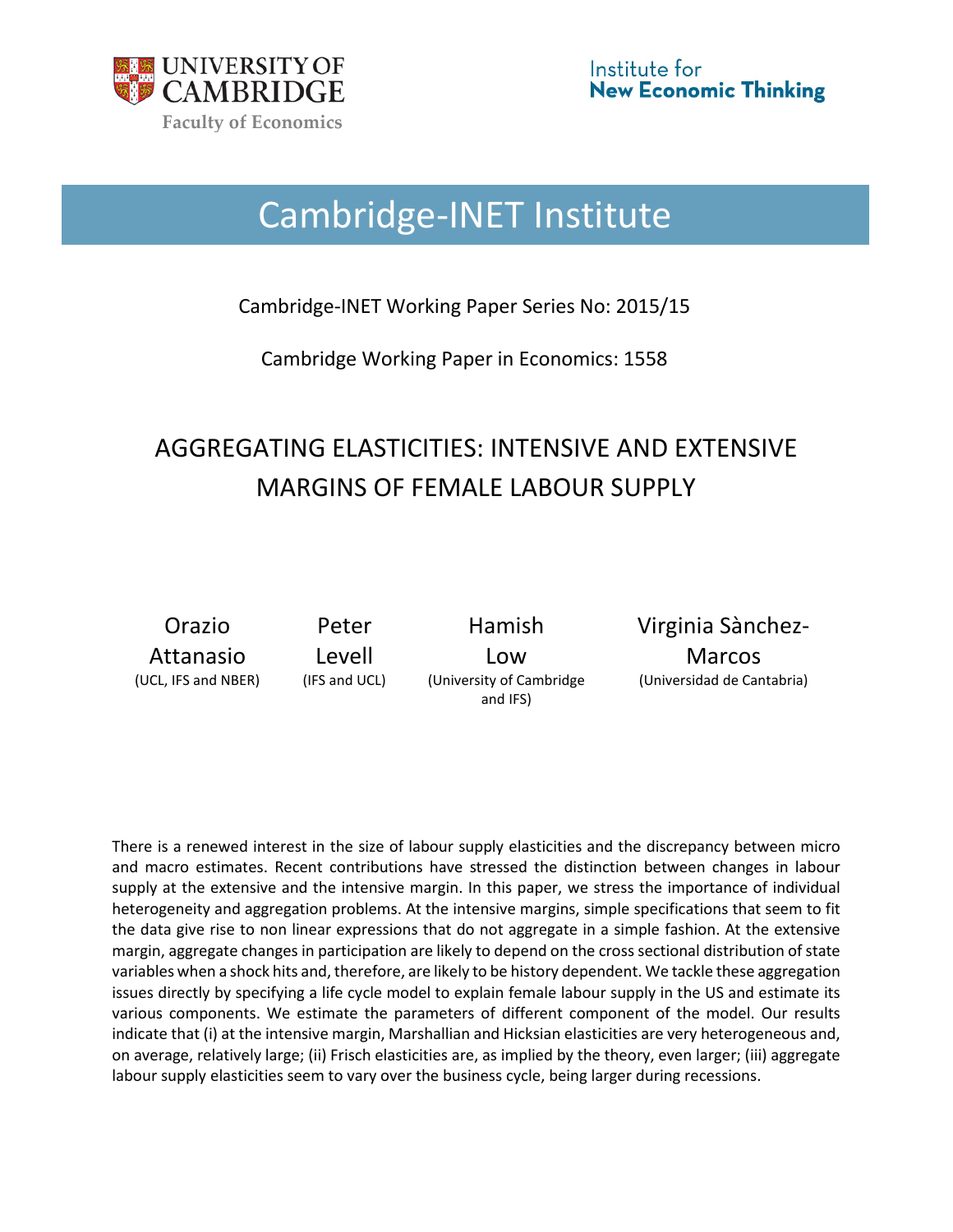

# Cambridge-INET Institute

Cambridge-INET Working Paper Series No: 2015/15

Cambridge Working Paper in Economics: 1558

## AGGREGATING ELASTICITIES: INTENSIVE AND EXTENSIVE MARGINS OF FEMALE LABOUR SUPPLY

Orazio Attanasio

Peter Levell

Hamish Low (UCL, IFS and NBER) (IFS and UCL) (University of Cambridge and IFS)

Virginia Sànchez-Marcos (Universidad de Cantabria)

There is a renewed interest in the size of labour supply elasticities and the discrepancy between micro and macro estimates. Recent contributions have stressed the distinction between changes in labour supply at the extensive and the intensive margin. In this paper, we stress the importance of individual heterogeneity and aggregation problems. At the intensive margins, simple specifications that seem to fit the data give rise to non linear expressions that do not aggregate in a simple fashion. At the extensive margin, aggregate changes in participation are likely to depend on the cross sectional distribution of state variables when a shock hits and, therefore, are likely to be history dependent. We tackle these aggregation issues directly by specifying a life cycle model to explain female labour supply in the US and estimate its various components. We estimate the parameters of different component of the model. Our results indicate that (i) at the intensive margin, Marshallian and Hicksian elasticities are very heterogeneous and, on average, relatively large; (ii) Frisch elasticities are, as implied by the theory, even larger; (iii) aggregate labour supply elasticities seem to vary over the business cycle, being larger during recessions.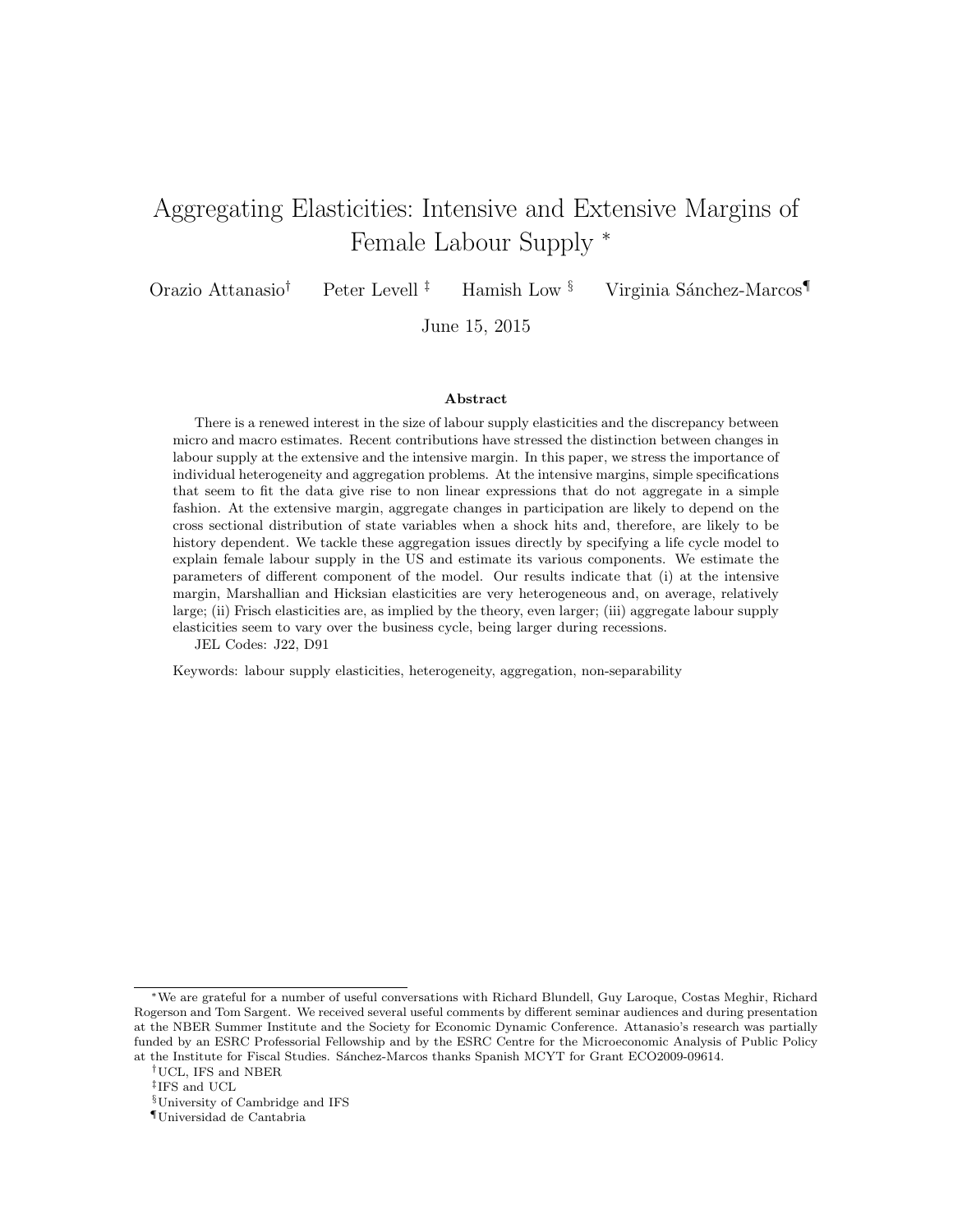## Aggregating Elasticities: Intensive and Extensive Margins of Female Labour Supply <sup>∗</sup>

Orazio Attanasio<sup>†</sup> Peter Levell<sup>‡</sup> Hamish Low <sup>§</sup> Virginia Sánchez-Marcos

June 15, 2015

#### Abstract

There is a renewed interest in the size of labour supply elasticities and the discrepancy between micro and macro estimates. Recent contributions have stressed the distinction between changes in labour supply at the extensive and the intensive margin. In this paper, we stress the importance of individual heterogeneity and aggregation problems. At the intensive margins, simple specifications that seem to fit the data give rise to non linear expressions that do not aggregate in a simple fashion. At the extensive margin, aggregate changes in participation are likely to depend on the cross sectional distribution of state variables when a shock hits and, therefore, are likely to be history dependent. We tackle these aggregation issues directly by specifying a life cycle model to explain female labour supply in the US and estimate its various components. We estimate the parameters of different component of the model. Our results indicate that (i) at the intensive margin, Marshallian and Hicksian elasticities are very heterogeneous and, on average, relatively large; (ii) Frisch elasticities are, as implied by the theory, even larger; (iii) aggregate labour supply elasticities seem to vary over the business cycle, being larger during recessions.

JEL Codes: J22, D91

Keywords: labour supply elasticities, heterogeneity, aggregation, non-separability

<sup>∗</sup>We are grateful for a number of useful conversations with Richard Blundell, Guy Laroque, Costas Meghir, Richard Rogerson and Tom Sargent. We received several useful comments by different seminar audiences and during presentation at the NBER Summer Institute and the Society for Economic Dynamic Conference. Attanasio's research was partially funded by an ESRC Professorial Fellowship and by the ESRC Centre for the Microeconomic Analysis of Public Policy at the Institute for Fiscal Studies. Sánchez-Marcos thanks Spanish MCYT for Grant ECO2009-09614.

<sup>†</sup>UCL, IFS and NBER

<sup>‡</sup> IFS and UCL

<sup>§</sup>University of Cambridge and IFS

<sup>¶</sup>Universidad de Cantabria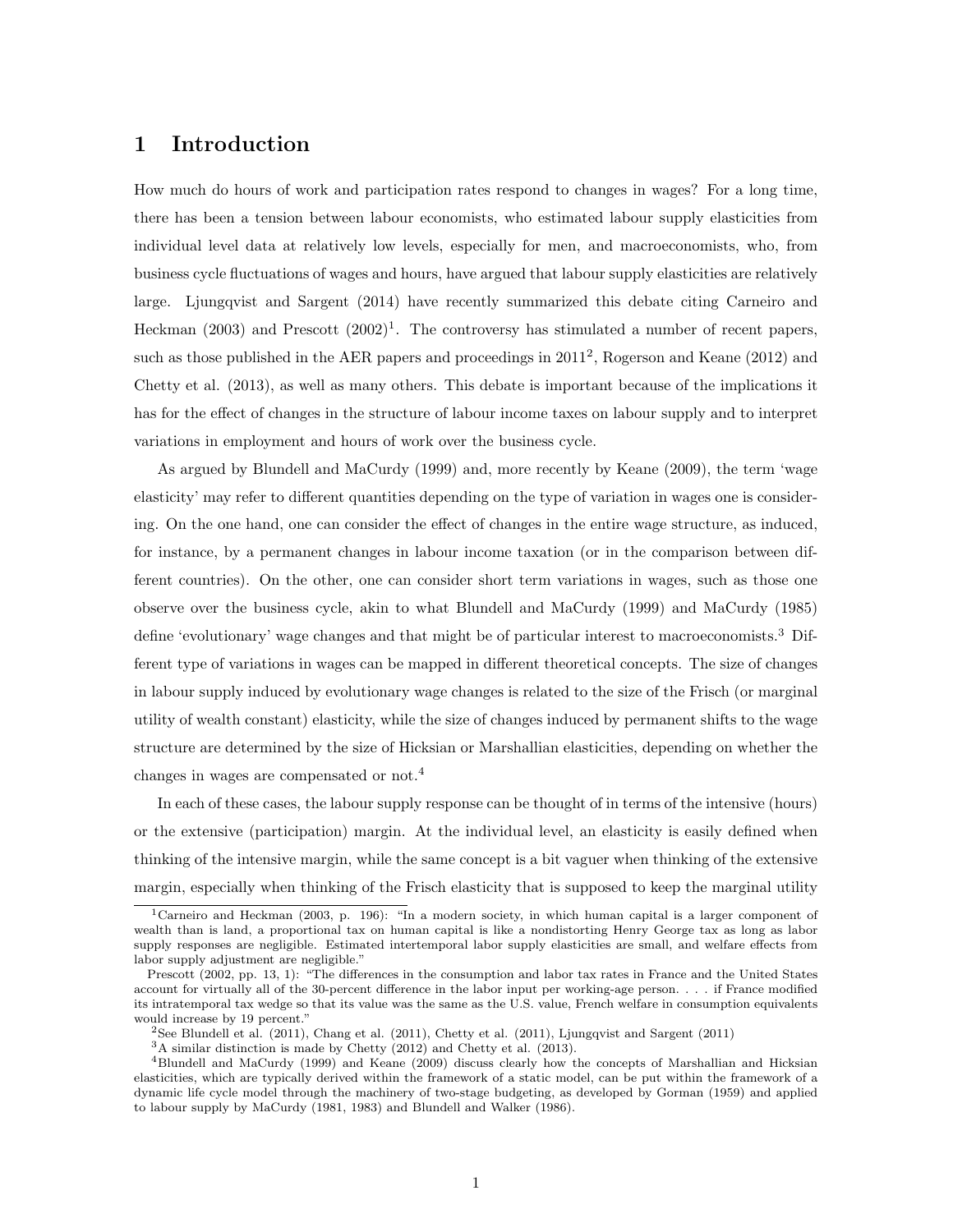## 1 Introduction

How much do hours of work and participation rates respond to changes in wages? For a long time, there has been a tension between labour economists, who estimated labour supply elasticities from individual level data at relatively low levels, especially for men, and macroeconomists, who, from business cycle fluctuations of wages and hours, have argued that labour supply elasticities are relatively large. Ljungqvist and Sargent (2014) have recently summarized this debate citing Carneiro and Heckman  $(2003)$  and Prescott  $(2002)^1$ . The controversy has stimulated a number of recent papers, such as those published in the AER papers and proceedings in  $2011^2$ , Rogerson and Keane (2012) and Chetty et al. (2013), as well as many others. This debate is important because of the implications it has for the effect of changes in the structure of labour income taxes on labour supply and to interpret variations in employment and hours of work over the business cycle.

As argued by Blundell and MaCurdy (1999) and, more recently by Keane (2009), the term 'wage elasticity' may refer to different quantities depending on the type of variation in wages one is considering. On the one hand, one can consider the effect of changes in the entire wage structure, as induced, for instance, by a permanent changes in labour income taxation (or in the comparison between different countries). On the other, one can consider short term variations in wages, such as those one observe over the business cycle, akin to what Blundell and MaCurdy (1999) and MaCurdy (1985) define 'evolutionary' wage changes and that might be of particular interest to macroeconomists.<sup>3</sup> Different type of variations in wages can be mapped in different theoretical concepts. The size of changes in labour supply induced by evolutionary wage changes is related to the size of the Frisch (or marginal utility of wealth constant) elasticity, while the size of changes induced by permanent shifts to the wage structure are determined by the size of Hicksian or Marshallian elasticities, depending on whether the changes in wages are compensated or not.<sup>4</sup>

In each of these cases, the labour supply response can be thought of in terms of the intensive (hours) or the extensive (participation) margin. At the individual level, an elasticity is easily defined when thinking of the intensive margin, while the same concept is a bit vaguer when thinking of the extensive margin, especially when thinking of the Frisch elasticity that is supposed to keep the marginal utility

<sup>&</sup>lt;sup>1</sup>Carneiro and Heckman (2003, p. 196): "In a modern society, in which human capital is a larger component of wealth than is land, a proportional tax on human capital is like a nondistorting Henry George tax as long as labor supply responses are negligible. Estimated intertemporal labor supply elasticities are small, and welfare effects from labor supply adjustment are negligible."

Prescott (2002, pp. 13, 1): "The differences in the consumption and labor tax rates in France and the United States account for virtually all of the 30-percent difference in the labor input per working-age person. . . . if France modified its intratemporal tax wedge so that its value was the same as the U.S. value, French welfare in consumption equivalents would increase by 19 percent."

<sup>2</sup>See Blundell et al. (2011), Chang et al. (2011), Chetty et al. (2011), Ljungqvist and Sargent (2011)

<sup>3</sup>A similar distinction is made by Chetty (2012) and Chetty et al. (2013).

<sup>4</sup>Blundell and MaCurdy (1999) and Keane (2009) discuss clearly how the concepts of Marshallian and Hicksian elasticities, which are typically derived within the framework of a static model, can be put within the framework of a dynamic life cycle model through the machinery of two-stage budgeting, as developed by Gorman (1959) and applied to labour supply by MaCurdy (1981, 1983) and Blundell and Walker (1986).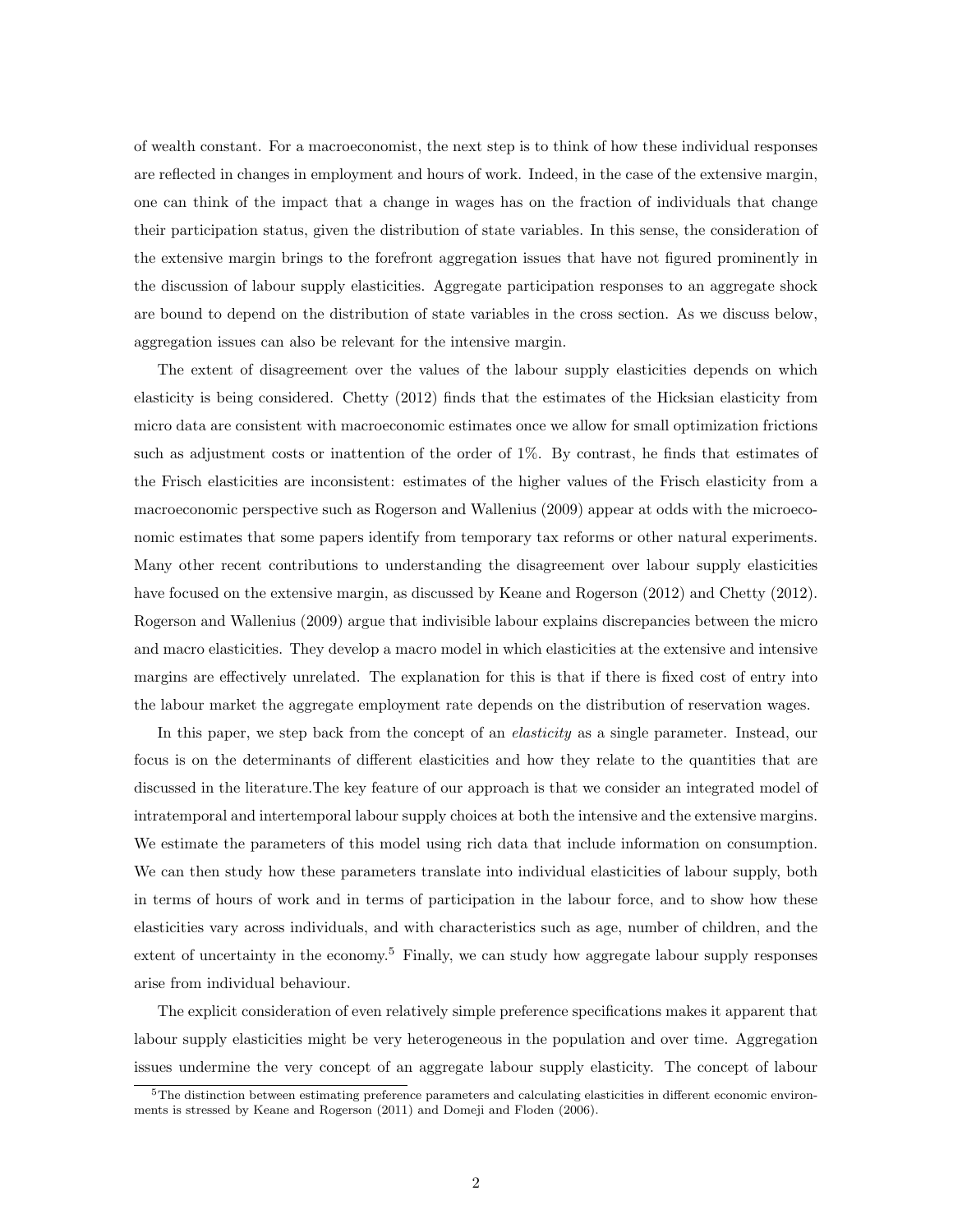of wealth constant. For a macroeconomist, the next step is to think of how these individual responses are reflected in changes in employment and hours of work. Indeed, in the case of the extensive margin, one can think of the impact that a change in wages has on the fraction of individuals that change their participation status, given the distribution of state variables. In this sense, the consideration of the extensive margin brings to the forefront aggregation issues that have not figured prominently in the discussion of labour supply elasticities. Aggregate participation responses to an aggregate shock are bound to depend on the distribution of state variables in the cross section. As we discuss below, aggregation issues can also be relevant for the intensive margin.

The extent of disagreement over the values of the labour supply elasticities depends on which elasticity is being considered. Chetty (2012) finds that the estimates of the Hicksian elasticity from micro data are consistent with macroeconomic estimates once we allow for small optimization frictions such as adjustment costs or inattention of the order of 1%. By contrast, he finds that estimates of the Frisch elasticities are inconsistent: estimates of the higher values of the Frisch elasticity from a macroeconomic perspective such as Rogerson and Wallenius (2009) appear at odds with the microeconomic estimates that some papers identify from temporary tax reforms or other natural experiments. Many other recent contributions to understanding the disagreement over labour supply elasticities have focused on the extensive margin, as discussed by Keane and Rogerson (2012) and Chetty (2012). Rogerson and Wallenius (2009) argue that indivisible labour explains discrepancies between the micro and macro elasticities. They develop a macro model in which elasticities at the extensive and intensive margins are effectively unrelated. The explanation for this is that if there is fixed cost of entry into the labour market the aggregate employment rate depends on the distribution of reservation wages.

In this paper, we step back from the concept of an *elasticity* as a single parameter. Instead, our focus is on the determinants of different elasticities and how they relate to the quantities that are discussed in the literature.The key feature of our approach is that we consider an integrated model of intratemporal and intertemporal labour supply choices at both the intensive and the extensive margins. We estimate the parameters of this model using rich data that include information on consumption. We can then study how these parameters translate into individual elasticities of labour supply, both in terms of hours of work and in terms of participation in the labour force, and to show how these elasticities vary across individuals, and with characteristics such as age, number of children, and the extent of uncertainty in the economy.<sup>5</sup> Finally, we can study how aggregate labour supply responses arise from individual behaviour.

The explicit consideration of even relatively simple preference specifications makes it apparent that labour supply elasticities might be very heterogeneous in the population and over time. Aggregation issues undermine the very concept of an aggregate labour supply elasticity. The concept of labour

<sup>&</sup>lt;sup>5</sup>The distinction between estimating preference parameters and calculating elasticities in different economic environments is stressed by Keane and Rogerson (2011) and Domeji and Floden (2006).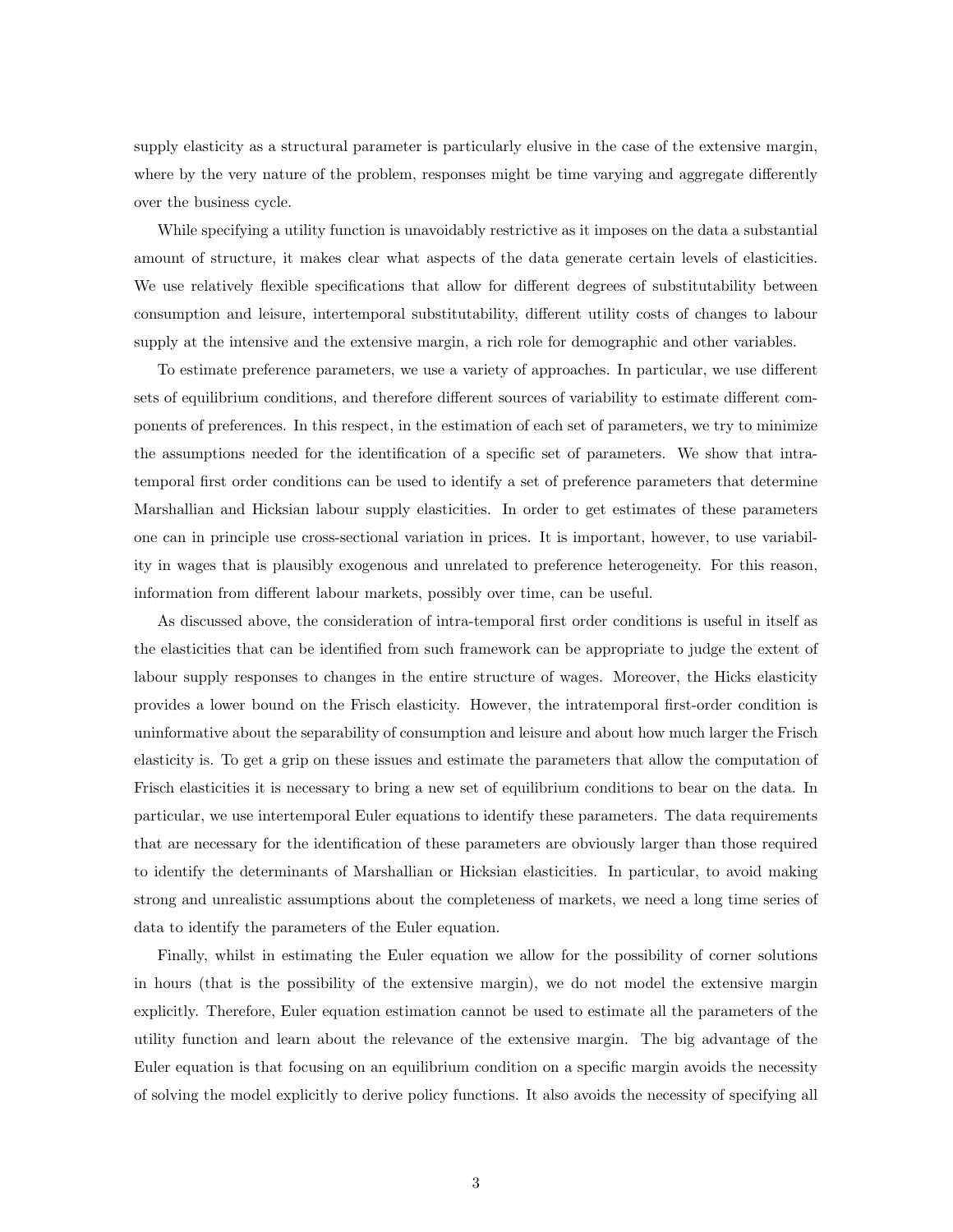supply elasticity as a structural parameter is particularly elusive in the case of the extensive margin, where by the very nature of the problem, responses might be time varying and aggregate differently over the business cycle.

While specifying a utility function is unavoidably restrictive as it imposes on the data a substantial amount of structure, it makes clear what aspects of the data generate certain levels of elasticities. We use relatively flexible specifications that allow for different degrees of substitutability between consumption and leisure, intertemporal substitutability, different utility costs of changes to labour supply at the intensive and the extensive margin, a rich role for demographic and other variables.

To estimate preference parameters, we use a variety of approaches. In particular, we use different sets of equilibrium conditions, and therefore different sources of variability to estimate different components of preferences. In this respect, in the estimation of each set of parameters, we try to minimize the assumptions needed for the identification of a specific set of parameters. We show that intratemporal first order conditions can be used to identify a set of preference parameters that determine Marshallian and Hicksian labour supply elasticities. In order to get estimates of these parameters one can in principle use cross-sectional variation in prices. It is important, however, to use variability in wages that is plausibly exogenous and unrelated to preference heterogeneity. For this reason, information from different labour markets, possibly over time, can be useful.

As discussed above, the consideration of intra-temporal first order conditions is useful in itself as the elasticities that can be identified from such framework can be appropriate to judge the extent of labour supply responses to changes in the entire structure of wages. Moreover, the Hicks elasticity provides a lower bound on the Frisch elasticity. However, the intratemporal first-order condition is uninformative about the separability of consumption and leisure and about how much larger the Frisch elasticity is. To get a grip on these issues and estimate the parameters that allow the computation of Frisch elasticities it is necessary to bring a new set of equilibrium conditions to bear on the data. In particular, we use intertemporal Euler equations to identify these parameters. The data requirements that are necessary for the identification of these parameters are obviously larger than those required to identify the determinants of Marshallian or Hicksian elasticities. In particular, to avoid making strong and unrealistic assumptions about the completeness of markets, we need a long time series of data to identify the parameters of the Euler equation.

Finally, whilst in estimating the Euler equation we allow for the possibility of corner solutions in hours (that is the possibility of the extensive margin), we do not model the extensive margin explicitly. Therefore, Euler equation estimation cannot be used to estimate all the parameters of the utility function and learn about the relevance of the extensive margin. The big advantage of the Euler equation is that focusing on an equilibrium condition on a specific margin avoids the necessity of solving the model explicitly to derive policy functions. It also avoids the necessity of specifying all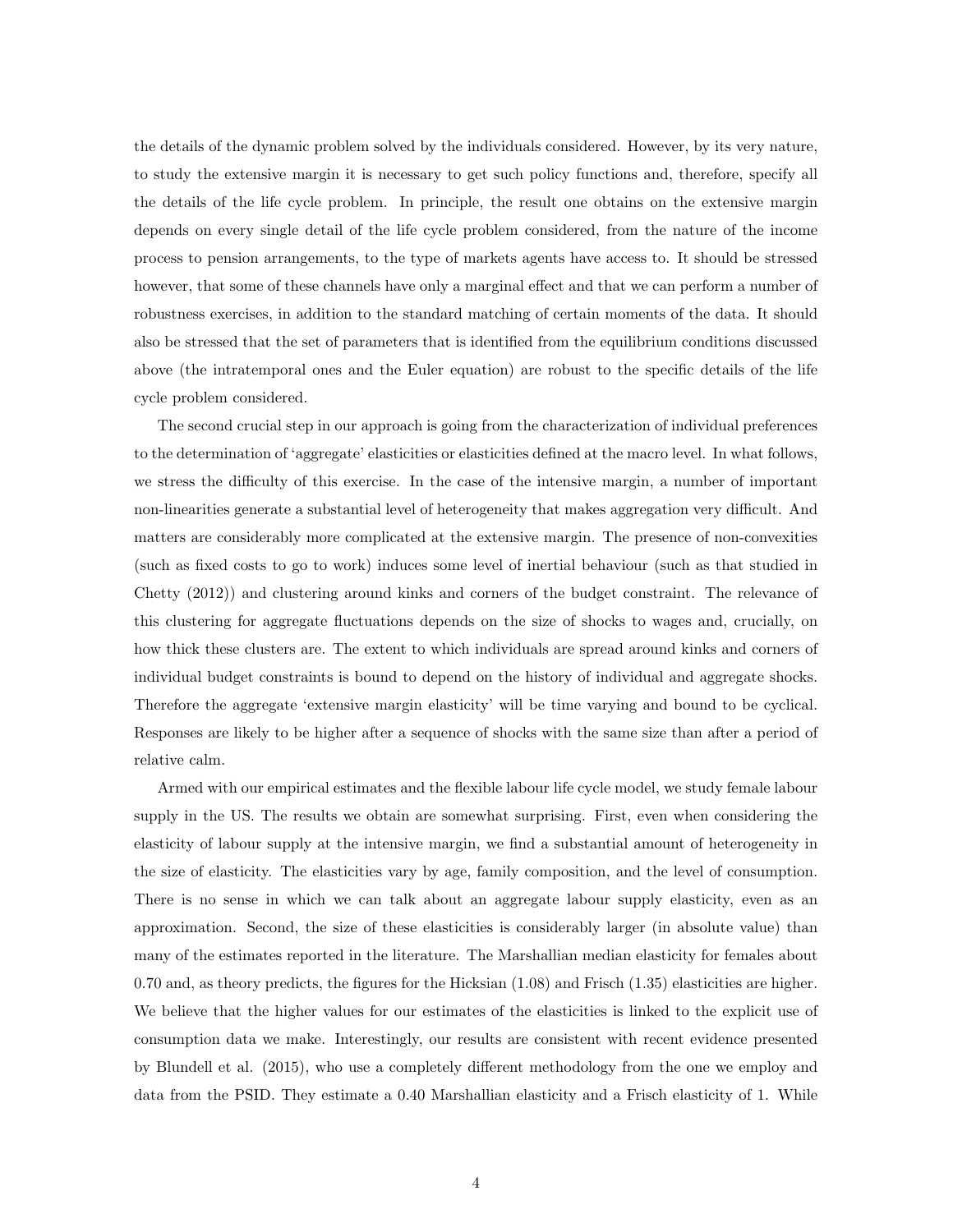the details of the dynamic problem solved by the individuals considered. However, by its very nature, to study the extensive margin it is necessary to get such policy functions and, therefore, specify all the details of the life cycle problem. In principle, the result one obtains on the extensive margin depends on every single detail of the life cycle problem considered, from the nature of the income process to pension arrangements, to the type of markets agents have access to. It should be stressed however, that some of these channels have only a marginal effect and that we can perform a number of robustness exercises, in addition to the standard matching of certain moments of the data. It should also be stressed that the set of parameters that is identified from the equilibrium conditions discussed above (the intratemporal ones and the Euler equation) are robust to the specific details of the life cycle problem considered.

The second crucial step in our approach is going from the characterization of individual preferences to the determination of 'aggregate' elasticities or elasticities defined at the macro level. In what follows, we stress the difficulty of this exercise. In the case of the intensive margin, a number of important non-linearities generate a substantial level of heterogeneity that makes aggregation very difficult. And matters are considerably more complicated at the extensive margin. The presence of non-convexities (such as fixed costs to go to work) induces some level of inertial behaviour (such as that studied in Chetty (2012)) and clustering around kinks and corners of the budget constraint. The relevance of this clustering for aggregate fluctuations depends on the size of shocks to wages and, crucially, on how thick these clusters are. The extent to which individuals are spread around kinks and corners of individual budget constraints is bound to depend on the history of individual and aggregate shocks. Therefore the aggregate 'extensive margin elasticity' will be time varying and bound to be cyclical. Responses are likely to be higher after a sequence of shocks with the same size than after a period of relative calm.

Armed with our empirical estimates and the flexible labour life cycle model, we study female labour supply in the US. The results we obtain are somewhat surprising. First, even when considering the elasticity of labour supply at the intensive margin, we find a substantial amount of heterogeneity in the size of elasticity. The elasticities vary by age, family composition, and the level of consumption. There is no sense in which we can talk about an aggregate labour supply elasticity, even as an approximation. Second, the size of these elasticities is considerably larger (in absolute value) than many of the estimates reported in the literature. The Marshallian median elasticity for females about 0.70 and, as theory predicts, the figures for the Hicksian (1.08) and Frisch (1.35) elasticities are higher. We believe that the higher values for our estimates of the elasticities is linked to the explicit use of consumption data we make. Interestingly, our results are consistent with recent evidence presented by Blundell et al. (2015), who use a completely different methodology from the one we employ and data from the PSID. They estimate a 0.40 Marshallian elasticity and a Frisch elasticity of 1. While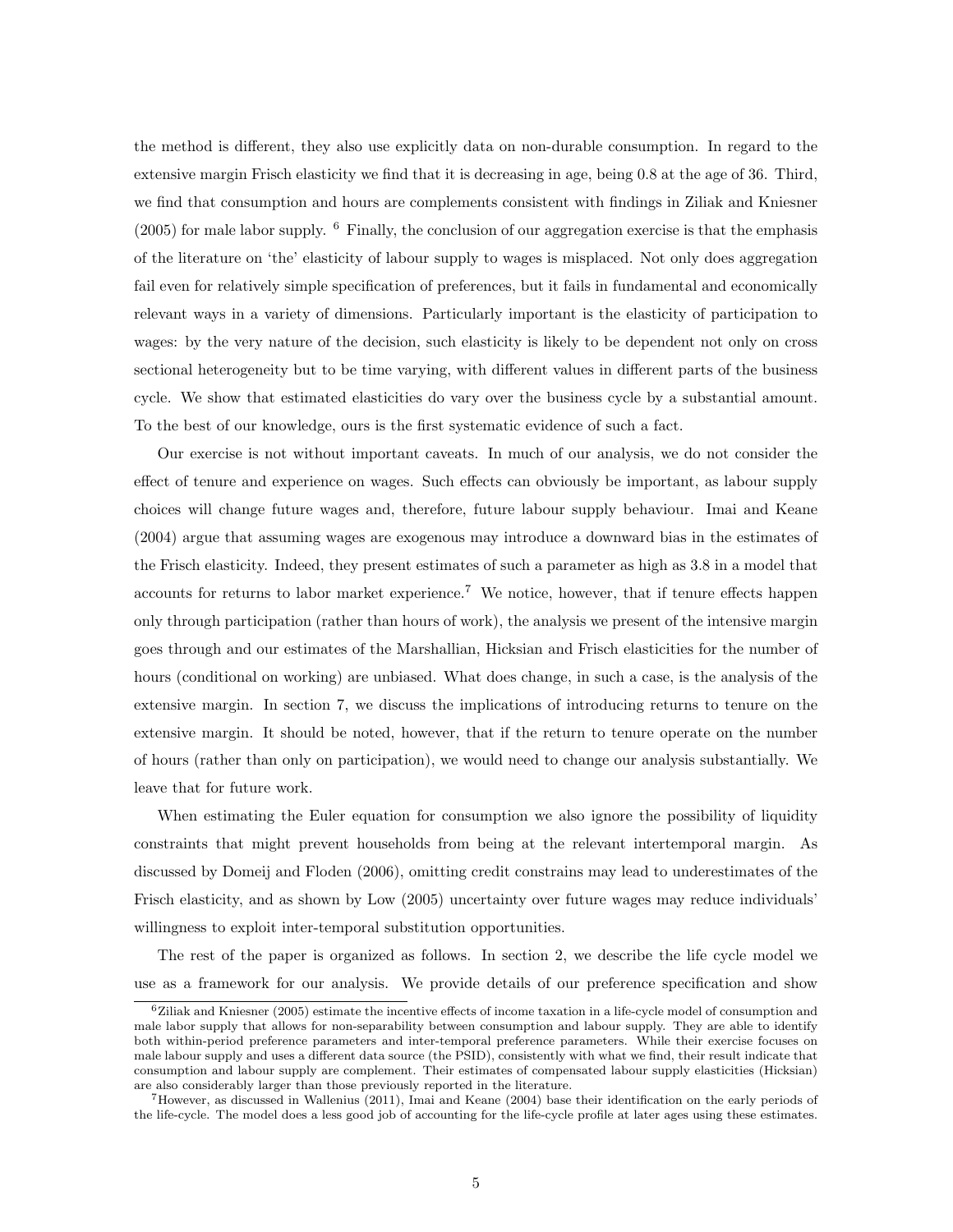the method is different, they also use explicitly data on non-durable consumption. In regard to the extensive margin Frisch elasticity we find that it is decreasing in age, being 0.8 at the age of 36. Third, we find that consumption and hours are complements consistent with findings in Ziliak and Kniesner  $(2005)$  for male labor supply. <sup>6</sup> Finally, the conclusion of our aggregation exercise is that the emphasis of the literature on 'the' elasticity of labour supply to wages is misplaced. Not only does aggregation fail even for relatively simple specification of preferences, but it fails in fundamental and economically relevant ways in a variety of dimensions. Particularly important is the elasticity of participation to wages: by the very nature of the decision, such elasticity is likely to be dependent not only on cross sectional heterogeneity but to be time varying, with different values in different parts of the business cycle. We show that estimated elasticities do vary over the business cycle by a substantial amount. To the best of our knowledge, ours is the first systematic evidence of such a fact.

Our exercise is not without important caveats. In much of our analysis, we do not consider the effect of tenure and experience on wages. Such effects can obviously be important, as labour supply choices will change future wages and, therefore, future labour supply behaviour. Imai and Keane (2004) argue that assuming wages are exogenous may introduce a downward bias in the estimates of the Frisch elasticity. Indeed, they present estimates of such a parameter as high as 3.8 in a model that accounts for returns to labor market experience.<sup>7</sup> We notice, however, that if tenure effects happen only through participation (rather than hours of work), the analysis we present of the intensive margin goes through and our estimates of the Marshallian, Hicksian and Frisch elasticities for the number of hours (conditional on working) are unbiased. What does change, in such a case, is the analysis of the extensive margin. In section 7, we discuss the implications of introducing returns to tenure on the extensive margin. It should be noted, however, that if the return to tenure operate on the number of hours (rather than only on participation), we would need to change our analysis substantially. We leave that for future work.

When estimating the Euler equation for consumption we also ignore the possibility of liquidity constraints that might prevent households from being at the relevant intertemporal margin. As discussed by Domeij and Floden (2006), omitting credit constrains may lead to underestimates of the Frisch elasticity, and as shown by Low (2005) uncertainty over future wages may reduce individuals' willingness to exploit inter-temporal substitution opportunities.

The rest of the paper is organized as follows. In section 2, we describe the life cycle model we use as a framework for our analysis. We provide details of our preference specification and show

 $6Ziliak$  and Kniesner (2005) estimate the incentive effects of income taxation in a life-cycle model of consumption and male labor supply that allows for non-separability between consumption and labour supply. They are able to identify both within-period preference parameters and inter-temporal preference parameters. While their exercise focuses on male labour supply and uses a different data source (the PSID), consistently with what we find, their result indicate that consumption and labour supply are complement. Their estimates of compensated labour supply elasticities (Hicksian) are also considerably larger than those previously reported in the literature.

<sup>7</sup>However, as discussed in Wallenius (2011), Imai and Keane (2004) base their identification on the early periods of the life-cycle. The model does a less good job of accounting for the life-cycle profile at later ages using these estimates.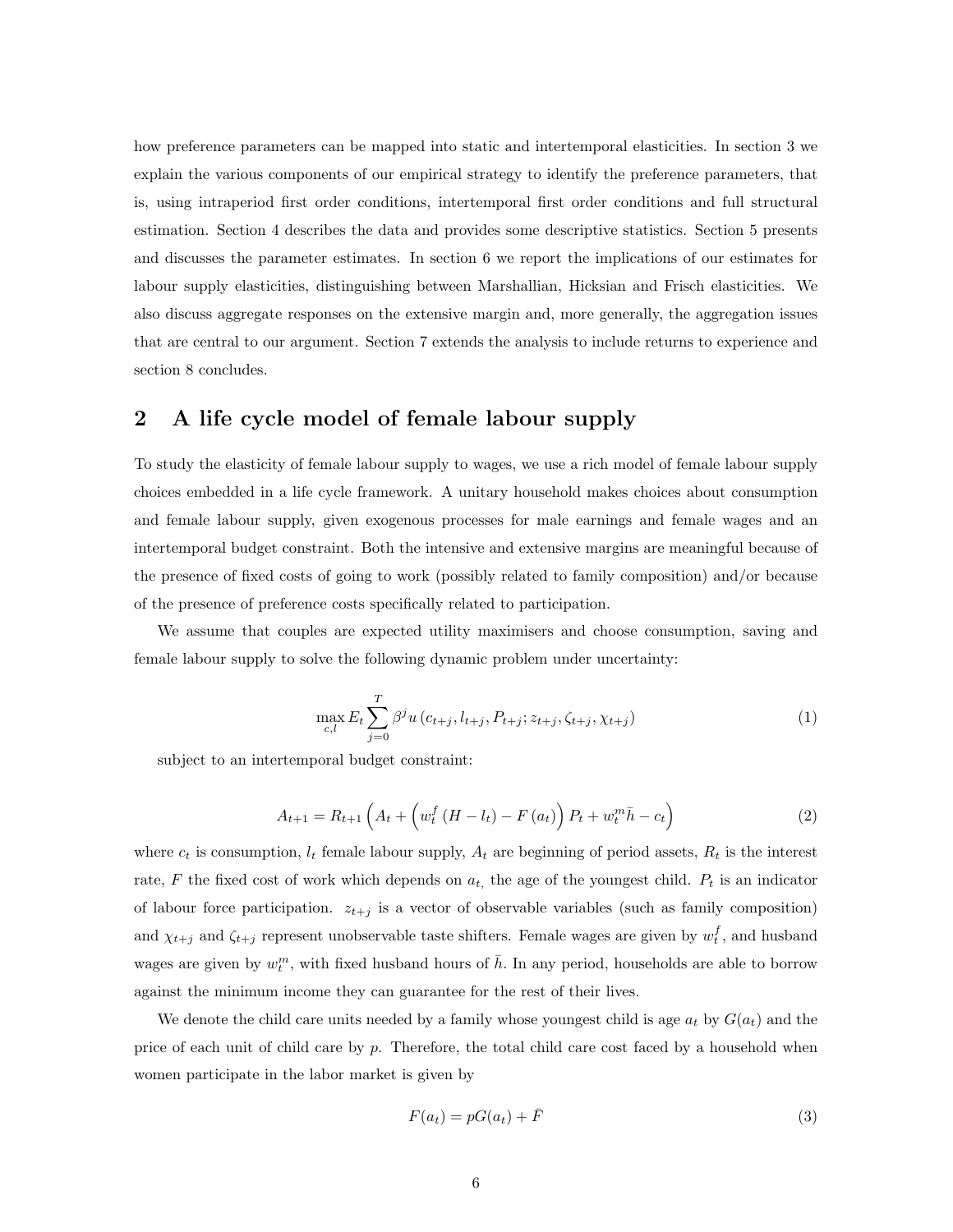how preference parameters can be mapped into static and intertemporal elasticities. In section 3 we explain the various components of our empirical strategy to identify the preference parameters, that is, using intraperiod first order conditions, intertemporal first order conditions and full structural estimation. Section 4 describes the data and provides some descriptive statistics. Section 5 presents and discusses the parameter estimates. In section 6 we report the implications of our estimates for labour supply elasticities, distinguishing between Marshallian, Hicksian and Frisch elasticities. We also discuss aggregate responses on the extensive margin and, more generally, the aggregation issues that are central to our argument. Section 7 extends the analysis to include returns to experience and section 8 concludes.

## 2 A life cycle model of female labour supply

To study the elasticity of female labour supply to wages, we use a rich model of female labour supply choices embedded in a life cycle framework. A unitary household makes choices about consumption and female labour supply, given exogenous processes for male earnings and female wages and an intertemporal budget constraint. Both the intensive and extensive margins are meaningful because of the presence of fixed costs of going to work (possibly related to family composition) and/or because of the presence of preference costs specifically related to participation.

We assume that couples are expected utility maximisers and choose consumption, saving and female labour supply to solve the following dynamic problem under uncertainty:

$$
\max_{c,l} E_t \sum_{j=0}^T \beta^j u(c_{t+j}, l_{t+j}, P_{t+j}; z_{t+j}, \zeta_{t+j}, \chi_{t+j})
$$
\n(1)

subject to an intertemporal budget constraint:

$$
A_{t+1} = R_{t+1} \left( A_t + \left( w_t^f \left( H - l_t \right) - F \left( a_t \right) \right) P_t + w_t^m \bar{h} - c_t \right) \tag{2}
$$

where  $c_t$  is consumption,  $l_t$  female labour supply,  $A_t$  are beginning of period assets,  $R_t$  is the interest rate, F the fixed cost of work which depends on  $a_t$ , the age of the youngest child.  $P_t$  is an indicator of labour force participation.  $z_{t+j}$  is a vector of observable variables (such as family composition) and  $\chi_{t+j}$  and  $\zeta_{t+j}$  represent unobservable taste shifters. Female wages are given by  $w_t^f$ , and husband wages are given by  $w_t^m$ , with fixed husband hours of  $\bar{h}$ . In any period, households are able to borrow against the minimum income they can guarantee for the rest of their lives.

We denote the child care units needed by a family whose youngest child is age  $a_t$  by  $G(a_t)$  and the price of each unit of child care by p. Therefore, the total child care cost faced by a household when women participate in the labor market is given by

$$
F(a_t) = pG(a_t) + \bar{F}
$$
\n(3)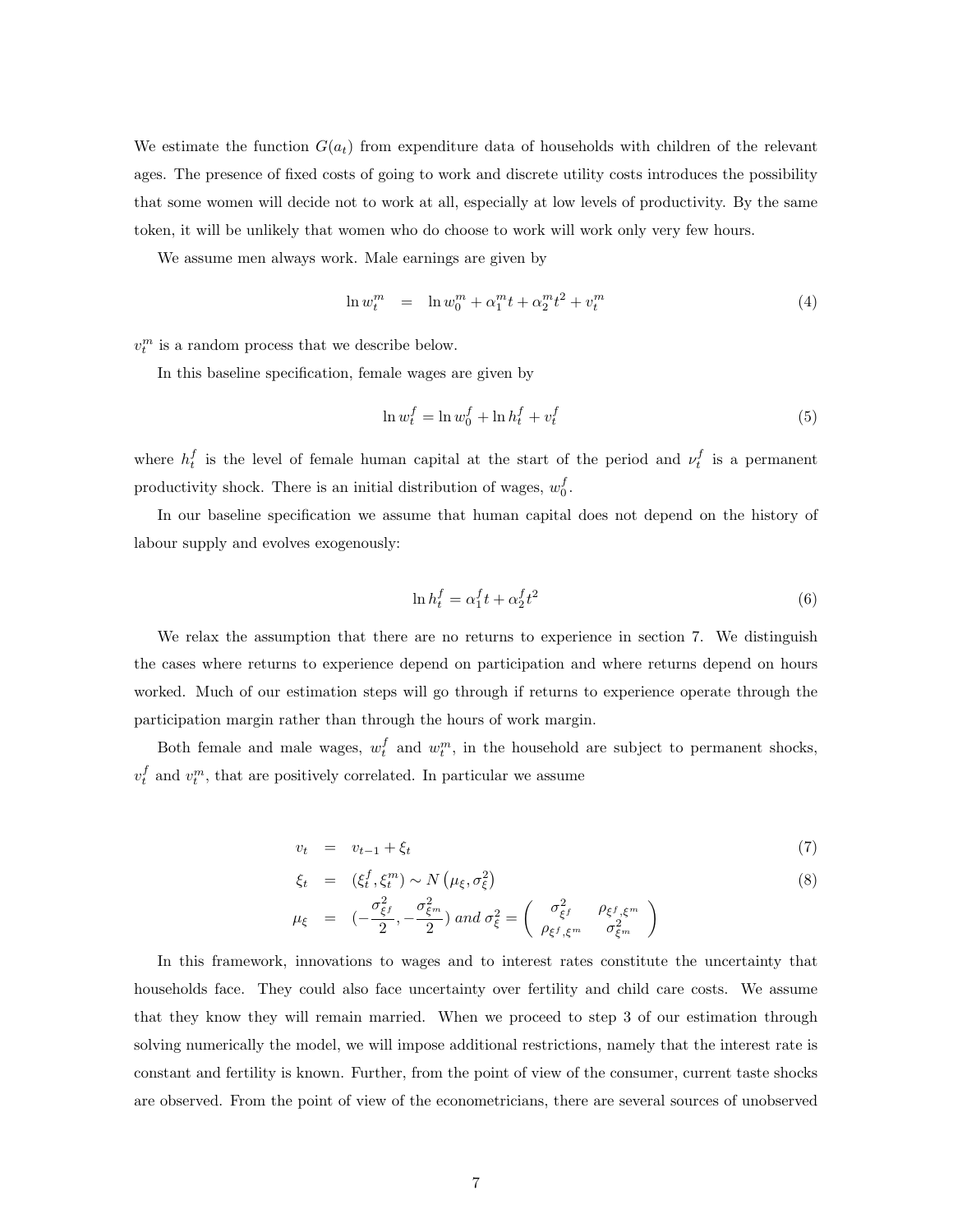We estimate the function  $G(a_t)$  from expenditure data of households with children of the relevant ages. The presence of fixed costs of going to work and discrete utility costs introduces the possibility that some women will decide not to work at all, especially at low levels of productivity. By the same token, it will be unlikely that women who do choose to work will work only very few hours.

We assume men always work. Male earnings are given by

$$
\ln w_t^m = \ln w_0^m + \alpha_1^m t + \alpha_2^m t^2 + v_t^m \tag{4}
$$

 $v_t^m$  is a random process that we describe below.

In this baseline specification, female wages are given by

$$
\ln w_t^f = \ln w_0^f + \ln h_t^f + v_t^f \tag{5}
$$

where  $h_t^f$  is the level of female human capital at the start of the period and  $\nu_t^f$  is a permanent productivity shock. There is an initial distribution of wages,  $w_0^f$ .

In our baseline specification we assume that human capital does not depend on the history of labour supply and evolves exogenously:

$$
\ln h_t^f = \alpha_1^f t + \alpha_2^f t^2 \tag{6}
$$

We relax the assumption that there are no returns to experience in section 7. We distinguish the cases where returns to experience depend on participation and where returns depend on hours worked. Much of our estimation steps will go through if returns to experience operate through the participation margin rather than through the hours of work margin.

Both female and male wages,  $w_t^f$  and  $w_t^m$ , in the household are subject to permanent shocks,  $v_t^f$  and  $v_t^m$ , that are positively correlated. In particular we assume

$$
v_t = v_{t-1} + \xi_t \tag{7}
$$

$$
\xi_t = (\xi_t^f, \xi_t^m) \sim N\left(\mu_\xi, \sigma_\xi^2\right) \tag{8}
$$

$$
\mu_{\xi} = \left( -\frac{\sigma_{\xi f}^2}{2}, -\frac{\sigma_{\xi^m}^2}{2} \right) \text{ and } \sigma_{\xi}^2 = \left( \begin{array}{cc} \sigma_{\xi}^2 & \rho_{\xi f, \xi^m} \\ \rho_{\xi f, \xi^m} & \sigma_{\xi^m}^2 \end{array} \right)
$$

In this framework, innovations to wages and to interest rates constitute the uncertainty that households face. They could also face uncertainty over fertility and child care costs. We assume that they know they will remain married. When we proceed to step 3 of our estimation through solving numerically the model, we will impose additional restrictions, namely that the interest rate is constant and fertility is known. Further, from the point of view of the consumer, current taste shocks are observed. From the point of view of the econometricians, there are several sources of unobserved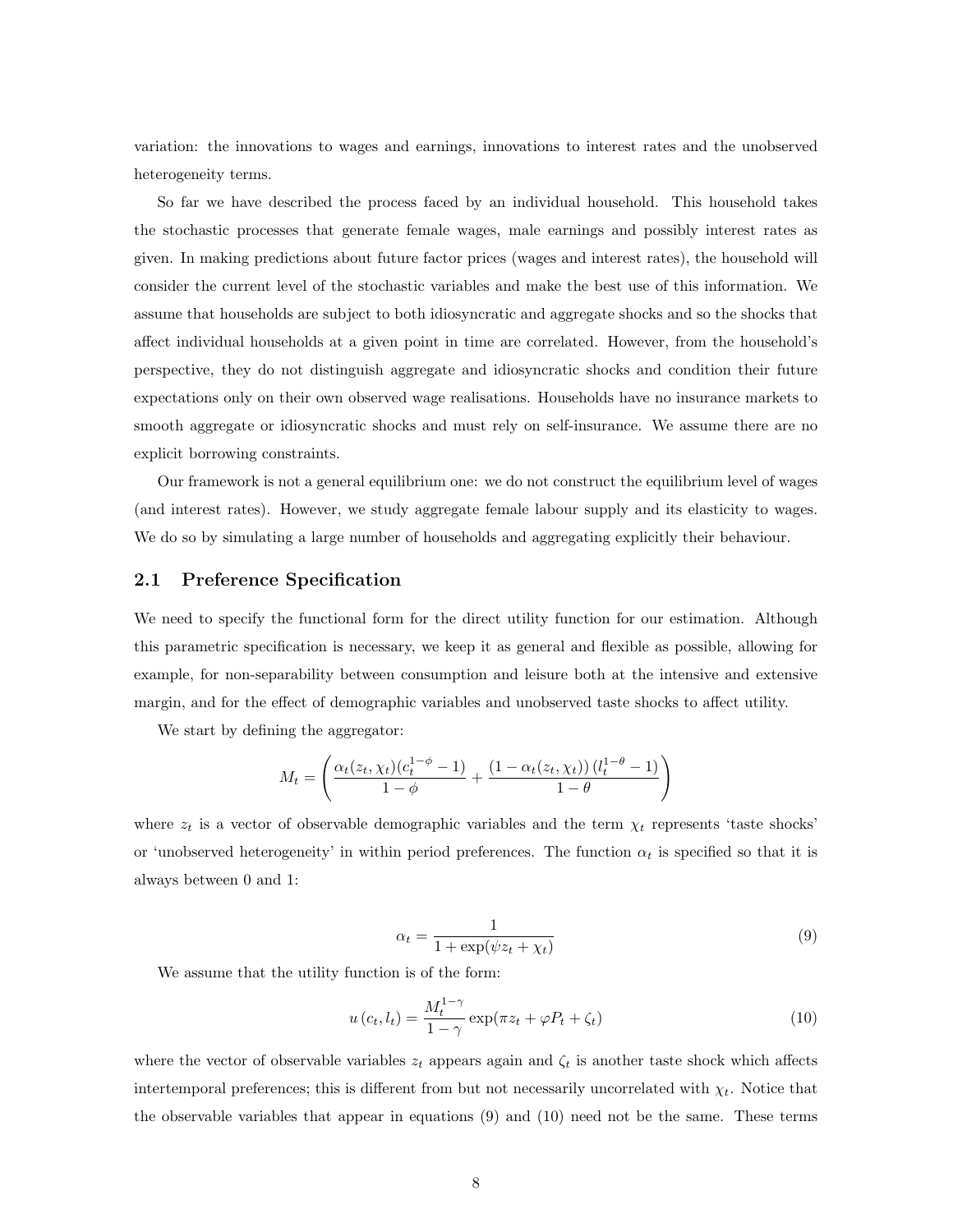variation: the innovations to wages and earnings, innovations to interest rates and the unobserved heterogeneity terms.

So far we have described the process faced by an individual household. This household takes the stochastic processes that generate female wages, male earnings and possibly interest rates as given. In making predictions about future factor prices (wages and interest rates), the household will consider the current level of the stochastic variables and make the best use of this information. We assume that households are subject to both idiosyncratic and aggregate shocks and so the shocks that affect individual households at a given point in time are correlated. However, from the household's perspective, they do not distinguish aggregate and idiosyncratic shocks and condition their future expectations only on their own observed wage realisations. Households have no insurance markets to smooth aggregate or idiosyncratic shocks and must rely on self-insurance. We assume there are no explicit borrowing constraints.

Our framework is not a general equilibrium one: we do not construct the equilibrium level of wages (and interest rates). However, we study aggregate female labour supply and its elasticity to wages. We do so by simulating a large number of households and aggregating explicitly their behaviour.

#### 2.1 Preference Specification

We need to specify the functional form for the direct utility function for our estimation. Although this parametric specification is necessary, we keep it as general and flexible as possible, allowing for example, for non-separability between consumption and leisure both at the intensive and extensive margin, and for the effect of demographic variables and unobserved taste shocks to affect utility.

We start by defining the aggregator:

$$
M_t = \left(\frac{\alpha_t(z_t, \chi_t)(c_t^{1-\phi}-1)}{1-\phi} + \frac{\left(1-\alpha_t(z_t, \chi_t)\right)(l_t^{1-\theta}-1)}{1-\theta}\right)
$$

where  $z_t$  is a vector of observable demographic variables and the term  $\chi_t$  represents 'taste shocks' or 'unobserved heterogeneity' in within period preferences. The function  $\alpha_t$  is specified so that it is always between 0 and 1:

$$
\alpha_t = \frac{1}{1 + \exp(\psi z_t + \chi_t)}\tag{9}
$$

We assume that the utility function is of the form:

$$
u\left(c_{t}, l_{t}\right) = \frac{M_{t}^{1-\gamma}}{1-\gamma} \exp(\pi z_{t} + \varphi P_{t} + \zeta_{t})
$$
\n<sup>(10)</sup>

where the vector of observable variables  $z_t$  appears again and  $\zeta_t$  is another taste shock which affects intertemporal preferences; this is different from but not necessarily uncorrelated with  $\chi_t$ . Notice that the observable variables that appear in equations (9) and (10) need not be the same. These terms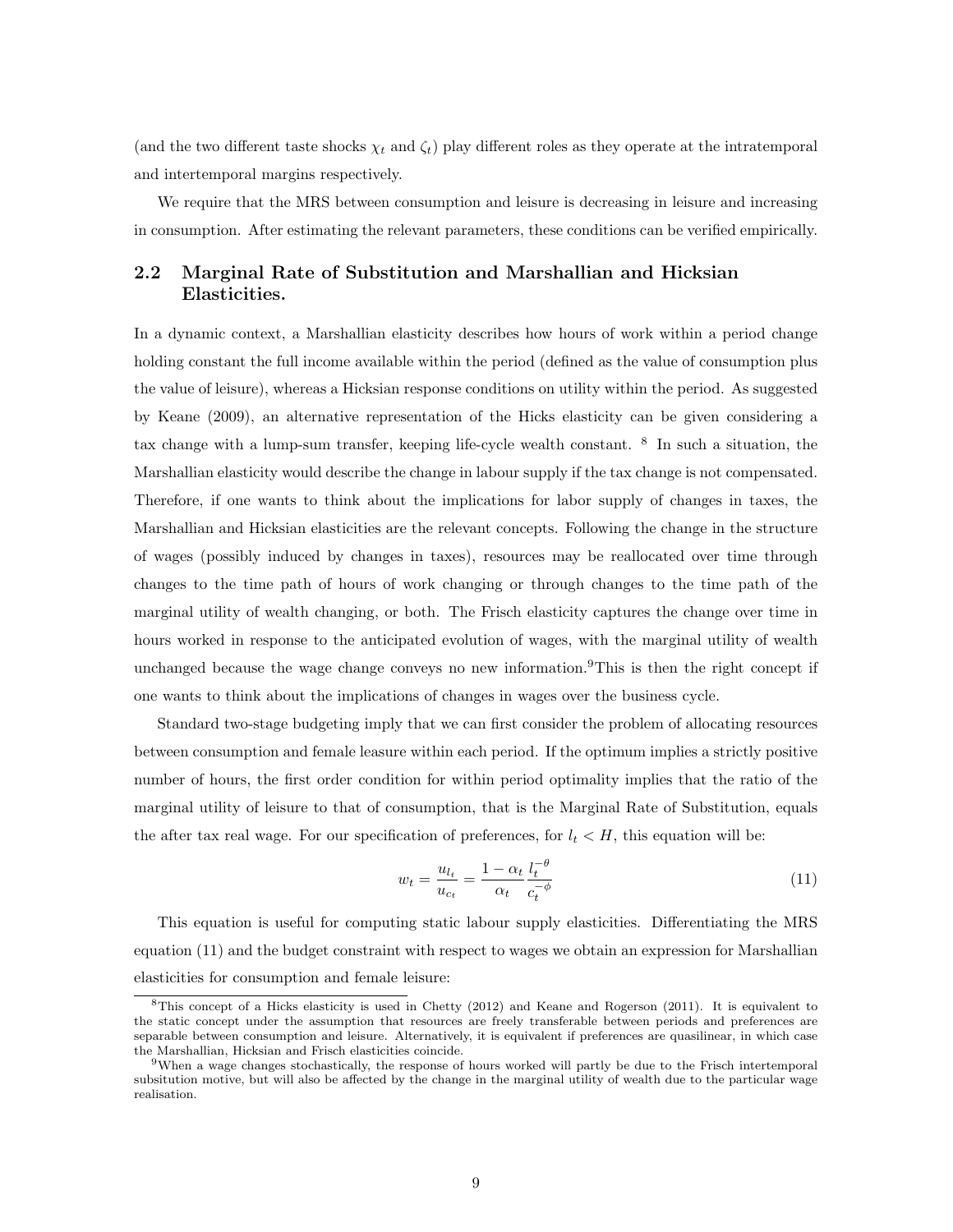(and the two different taste shocks  $\chi_t$  and  $\zeta_t$ ) play different roles as they operate at the intratemporal and intertemporal margins respectively.

We require that the MRS between consumption and leisure is decreasing in leisure and increasing in consumption. After estimating the relevant parameters, these conditions can be verified empirically.

## 2.2 Marginal Rate of Substitution and Marshallian and Hicksian Elasticities.

In a dynamic context, a Marshallian elasticity describes how hours of work within a period change holding constant the full income available within the period (defined as the value of consumption plus the value of leisure), whereas a Hicksian response conditions on utility within the period. As suggested by Keane (2009), an alternative representation of the Hicks elasticity can be given considering a tax change with a lump-sum transfer, keeping life-cycle wealth constant. <sup>8</sup> In such a situation, the Marshallian elasticity would describe the change in labour supply if the tax change is not compensated. Therefore, if one wants to think about the implications for labor supply of changes in taxes, the Marshallian and Hicksian elasticities are the relevant concepts. Following the change in the structure of wages (possibly induced by changes in taxes), resources may be reallocated over time through changes to the time path of hours of work changing or through changes to the time path of the marginal utility of wealth changing, or both. The Frisch elasticity captures the change over time in hours worked in response to the anticipated evolution of wages, with the marginal utility of wealth unchanged because the wage change conveys no new information.<sup>9</sup>This is then the right concept if one wants to think about the implications of changes in wages over the business cycle.

Standard two-stage budgeting imply that we can first consider the problem of allocating resources between consumption and female leasure within each period. If the optimum implies a strictly positive number of hours, the first order condition for within period optimality implies that the ratio of the marginal utility of leisure to that of consumption, that is the Marginal Rate of Substitution, equals the after tax real wage. For our specification of preferences, for  $l_t < H$ , this equation will be:

$$
w_t = \frac{u_{l_t}}{u_{c_t}} = \frac{1 - \alpha_t}{\alpha_t} \frac{l_t^{-\theta}}{c_t^{-\phi}}
$$
\n
$$
\tag{11}
$$

This equation is useful for computing static labour supply elasticities. Differentiating the MRS equation (11) and the budget constraint with respect to wages we obtain an expression for Marshallian elasticities for consumption and female leisure:

<sup>8</sup>This concept of a Hicks elasticity is used in Chetty (2012) and Keane and Rogerson (2011). It is equivalent to the static concept under the assumption that resources are freely transferable between periods and preferences are separable between consumption and leisure. Alternatively, it is equivalent if preferences are quasilinear, in which case the Marshallian, Hicksian and Frisch elasticities coincide.

<sup>9</sup>When a wage changes stochastically, the response of hours worked will partly be due to the Frisch intertemporal subsitution motive, but will also be affected by the change in the marginal utility of wealth due to the particular wage realisation.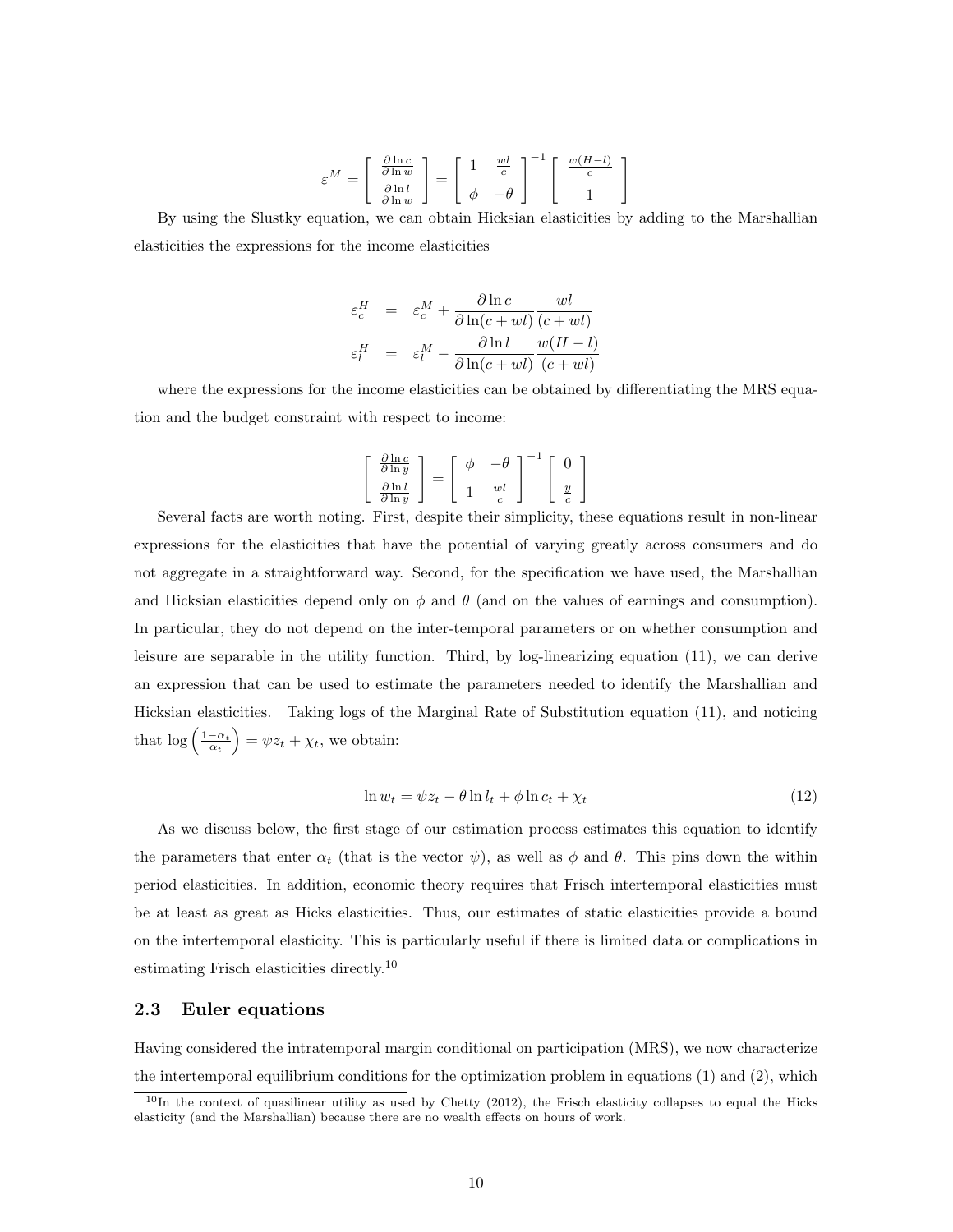$$
\varepsilon^{M} = \left[ \begin{array}{c} \frac{\partial \ln c}{\partial \ln w} \\ \frac{\partial \ln l}{\partial \ln w} \end{array} \right] = \left[ \begin{array}{cc} 1 & \frac{wl}{c} \\ \phi & -\theta \end{array} \right]^{-1} \left[ \begin{array}{c} \frac{w(H-l)}{c} \\ 1 \end{array} \right]
$$

By using the Slustky equation, we can obtain Hicksian elasticities by adding to the Marshallian elasticities the expressions for the income elasticities

$$
\varepsilon_c^H = \varepsilon_c^M + \frac{\partial \ln c}{\partial \ln(c + w l)} \frac{wl}{(c + w l)}
$$

$$
\varepsilon_l^H = \varepsilon_l^M - \frac{\partial \ln l}{\partial \ln(c + w l)} \frac{w(H - l)}{(c + w l)}
$$

where the expressions for the income elasticities can be obtained by differentiating the MRS equation and the budget constraint with respect to income:

$$
\begin{bmatrix}\n\frac{\partial \ln c}{\partial \ln y} \\
\frac{\partial \ln l}{\partial \ln y}\n\end{bmatrix} = \begin{bmatrix}\n\phi & -\theta \\
1 & \frac{wl}{c}\n\end{bmatrix}^{-1} \begin{bmatrix}\n0 \\
\frac{y}{c}\n\end{bmatrix}
$$

Several facts are worth noting. First, despite their simplicity, these equations result in non-linear expressions for the elasticities that have the potential of varying greatly across consumers and do not aggregate in a straightforward way. Second, for the specification we have used, the Marshallian and Hicksian elasticities depend only on  $\phi$  and  $\theta$  (and on the values of earnings and consumption). In particular, they do not depend on the inter-temporal parameters or on whether consumption and leisure are separable in the utility function. Third, by log-linearizing equation (11), we can derive an expression that can be used to estimate the parameters needed to identify the Marshallian and Hicksian elasticities. Taking logs of the Marginal Rate of Substitution equation (11), and noticing that  $\log\left(\frac{1-\alpha_t}{\alpha_t}\right) = \psi z_t + \chi_t$ , we obtain:

$$
\ln w_t = \psi z_t - \theta \ln l_t + \phi \ln c_t + \chi_t \tag{12}
$$

As we discuss below, the first stage of our estimation process estimates this equation to identify the parameters that enter  $\alpha_t$  (that is the vector  $\psi$ ), as well as  $\phi$  and  $\theta$ . This pins down the within period elasticities. In addition, economic theory requires that Frisch intertemporal elasticities must be at least as great as Hicks elasticities. Thus, our estimates of static elasticities provide a bound on the intertemporal elasticity. This is particularly useful if there is limited data or complications in estimating Frisch elasticities directly.<sup>10</sup>

#### 2.3 Euler equations

Having considered the intratemporal margin conditional on participation (MRS), we now characterize the intertemporal equilibrium conditions for the optimization problem in equations (1) and (2), which

 $10$ In the context of quasilinear utility as used by Chetty (2012), the Frisch elasticity collapses to equal the Hicks elasticity (and the Marshallian) because there are no wealth effects on hours of work.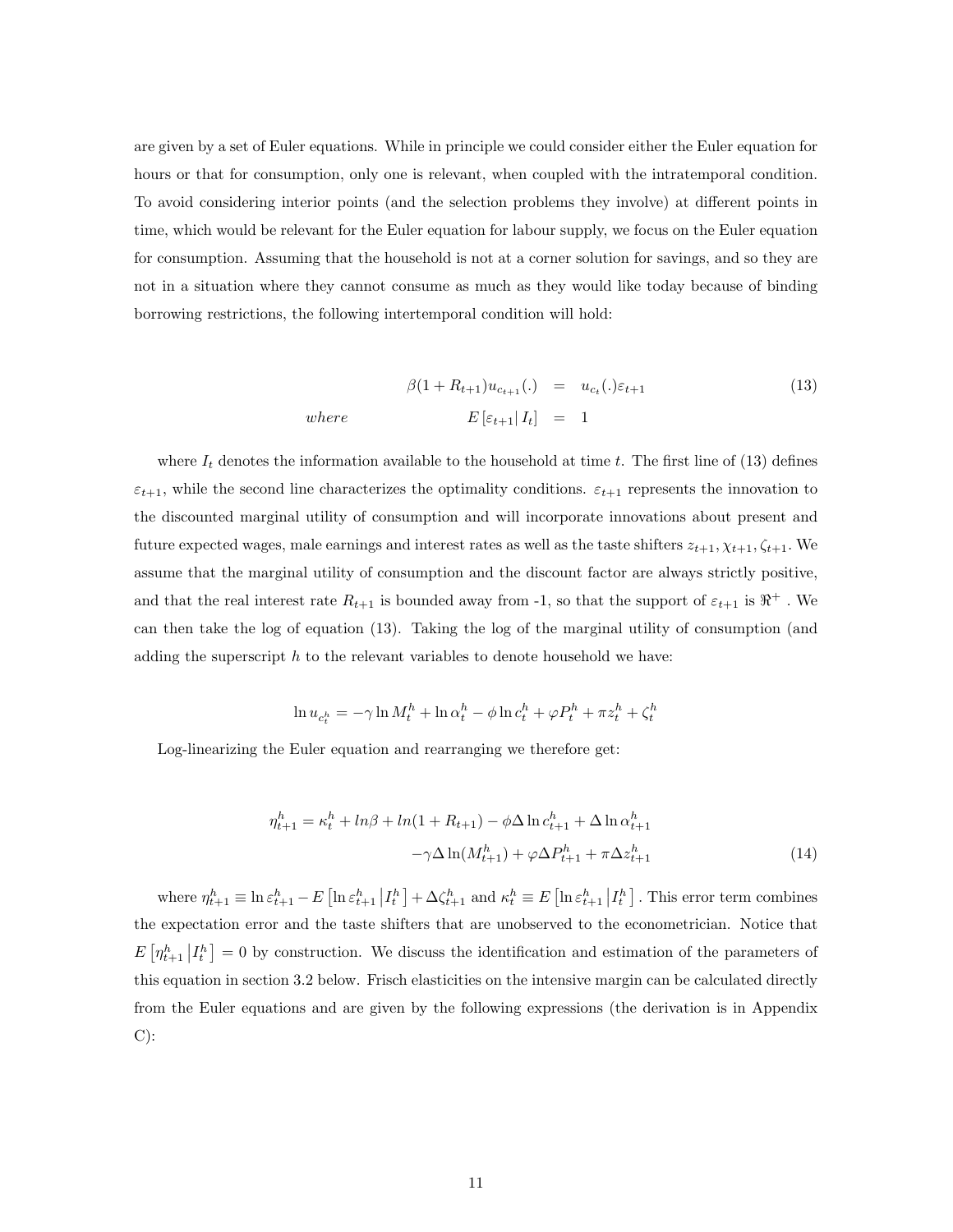are given by a set of Euler equations. While in principle we could consider either the Euler equation for hours or that for consumption, only one is relevant, when coupled with the intratemporal condition. To avoid considering interior points (and the selection problems they involve) at different points in time, which would be relevant for the Euler equation for labour supply, we focus on the Euler equation for consumption. Assuming that the household is not at a corner solution for savings, and so they are not in a situation where they cannot consume as much as they would like today because of binding borrowing restrictions, the following intertemporal condition will hold:

$$
\beta(1 + R_{t+1})u_{c_{t+1}}(.) = u_{c_t}(.)\varepsilon_{t+1}
$$
\n
$$
where \qquad E\left[\varepsilon_{t+1} | I_t\right] = 1
$$
\n
$$
(13)
$$

where  $I_t$  denotes the information available to the household at time t. The first line of (13) defines  $\varepsilon_{t+1}$ , while the second line characterizes the optimality conditions.  $\varepsilon_{t+1}$  represents the innovation to the discounted marginal utility of consumption and will incorporate innovations about present and future expected wages, male earnings and interest rates as well as the taste shifters  $z_{t+1}, \chi_{t+1}, \zeta_{t+1}$ . We assume that the marginal utility of consumption and the discount factor are always strictly positive, and that the real interest rate  $R_{t+1}$  is bounded away from -1, so that the support of  $\varepsilon_{t+1}$  is  $\Re^+$ . We can then take the log of equation (13). Taking the log of the marginal utility of consumption (and adding the superscript  $h$  to the relevant variables to denote household we have:

$$
\ln u_{c_t^h} = -\gamma \ln M_t^h + \ln \alpha_t^h - \phi \ln c_t^h + \varphi P_t^h + \pi z_t^h + \zeta_t^h
$$

Log-linearizing the Euler equation and rearranging we therefore get:

$$
\eta_{t+1}^h = \kappa_t^h + \ln\beta + \ln(1 + R_{t+1}) - \phi \Delta \ln c_{t+1}^h + \Delta \ln \alpha_{t+1}^h
$$

$$
-\gamma \Delta \ln(M_{t+1}^h) + \varphi \Delta P_{t+1}^h + \pi \Delta z_{t+1}^h \tag{14}
$$

where  $\eta_{t+1}^h \equiv \ln \varepsilon_{t+1}^h - E\left[\ln \varepsilon_{t+1}^h \middle| I_t^h \right] + \Delta \zeta_{t+1}^h$  and  $\kappa_t^h \equiv E\left[\ln \varepsilon_{t+1}^h \middle| I_t^h \right]$ . This error term combines the expectation error and the taste shifters that are unobserved to the econometrician. Notice that  $E\left[\eta_{t+1}^h \middle| I_t^h\right] = 0$  by construction. We discuss the identification and estimation of the parameters of this equation in section 3.2 below. Frisch elasticities on the intensive margin can be calculated directly from the Euler equations and are given by the following expressions (the derivation is in Appendix  $C)$ :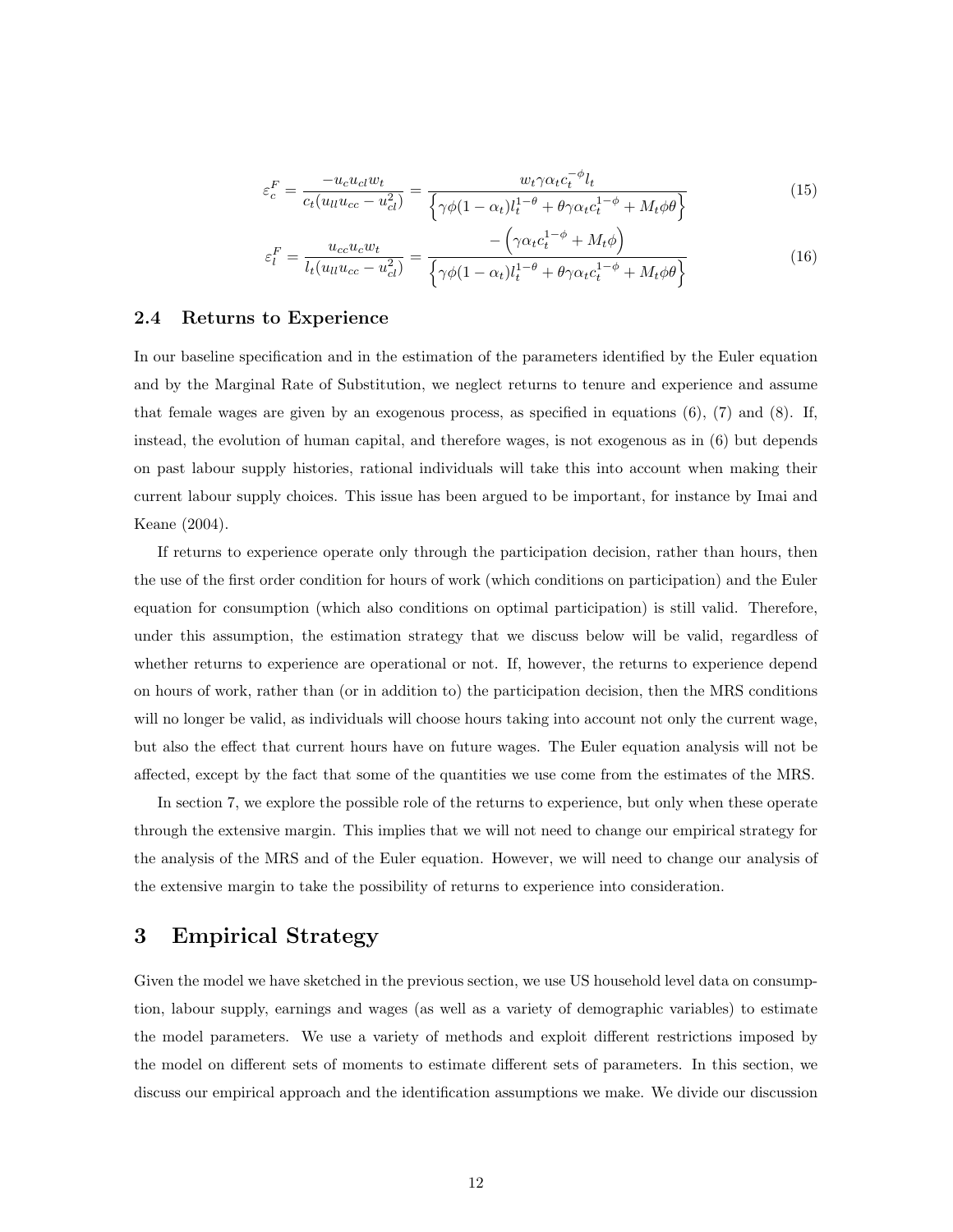$$
\varepsilon_c^F = \frac{-u_c u_{cl} w_t}{c_t (u_{ll} u_{cc} - u_{cl}^2)} = \frac{w_t \gamma \alpha_t c_t^{-\phi} l_t}{\left\{ \gamma \phi (1 - \alpha_t) l_t^{1-\theta} + \theta \gamma \alpha_t c_t^{1-\phi} + M_t \phi \theta \right\}}
$$
(15)

$$
\varepsilon_l^F = \frac{u_{cc}u_c w_t}{l_t(u_{ll}u_{cc} - u_{cl}^2)} = \frac{-\left(\gamma \alpha_t c_t^{1-\phi} + M_t \phi\right)}{\left\{\gamma \phi (1 - \alpha_t) l_t^{1-\theta} + \theta \gamma \alpha_t c_t^{1-\phi} + M_t \phi \theta\right\}}
$$
(16)

#### 2.4 Returns to Experience

In our baseline specification and in the estimation of the parameters identified by the Euler equation and by the Marginal Rate of Substitution, we neglect returns to tenure and experience and assume that female wages are given by an exogenous process, as specified in equations (6), (7) and (8). If, instead, the evolution of human capital, and therefore wages, is not exogenous as in (6) but depends on past labour supply histories, rational individuals will take this into account when making their current labour supply choices. This issue has been argued to be important, for instance by Imai and Keane (2004).

If returns to experience operate only through the participation decision, rather than hours, then the use of the first order condition for hours of work (which conditions on participation) and the Euler equation for consumption (which also conditions on optimal participation) is still valid. Therefore, under this assumption, the estimation strategy that we discuss below will be valid, regardless of whether returns to experience are operational or not. If, however, the returns to experience depend on hours of work, rather than (or in addition to) the participation decision, then the MRS conditions will no longer be valid, as individuals will choose hours taking into account not only the current wage, but also the effect that current hours have on future wages. The Euler equation analysis will not be affected, except by the fact that some of the quantities we use come from the estimates of the MRS.

In section 7, we explore the possible role of the returns to experience, but only when these operate through the extensive margin. This implies that we will not need to change our empirical strategy for the analysis of the MRS and of the Euler equation. However, we will need to change our analysis of the extensive margin to take the possibility of returns to experience into consideration.

## 3 Empirical Strategy

Given the model we have sketched in the previous section, we use US household level data on consumption, labour supply, earnings and wages (as well as a variety of demographic variables) to estimate the model parameters. We use a variety of methods and exploit different restrictions imposed by the model on different sets of moments to estimate different sets of parameters. In this section, we discuss our empirical approach and the identification assumptions we make. We divide our discussion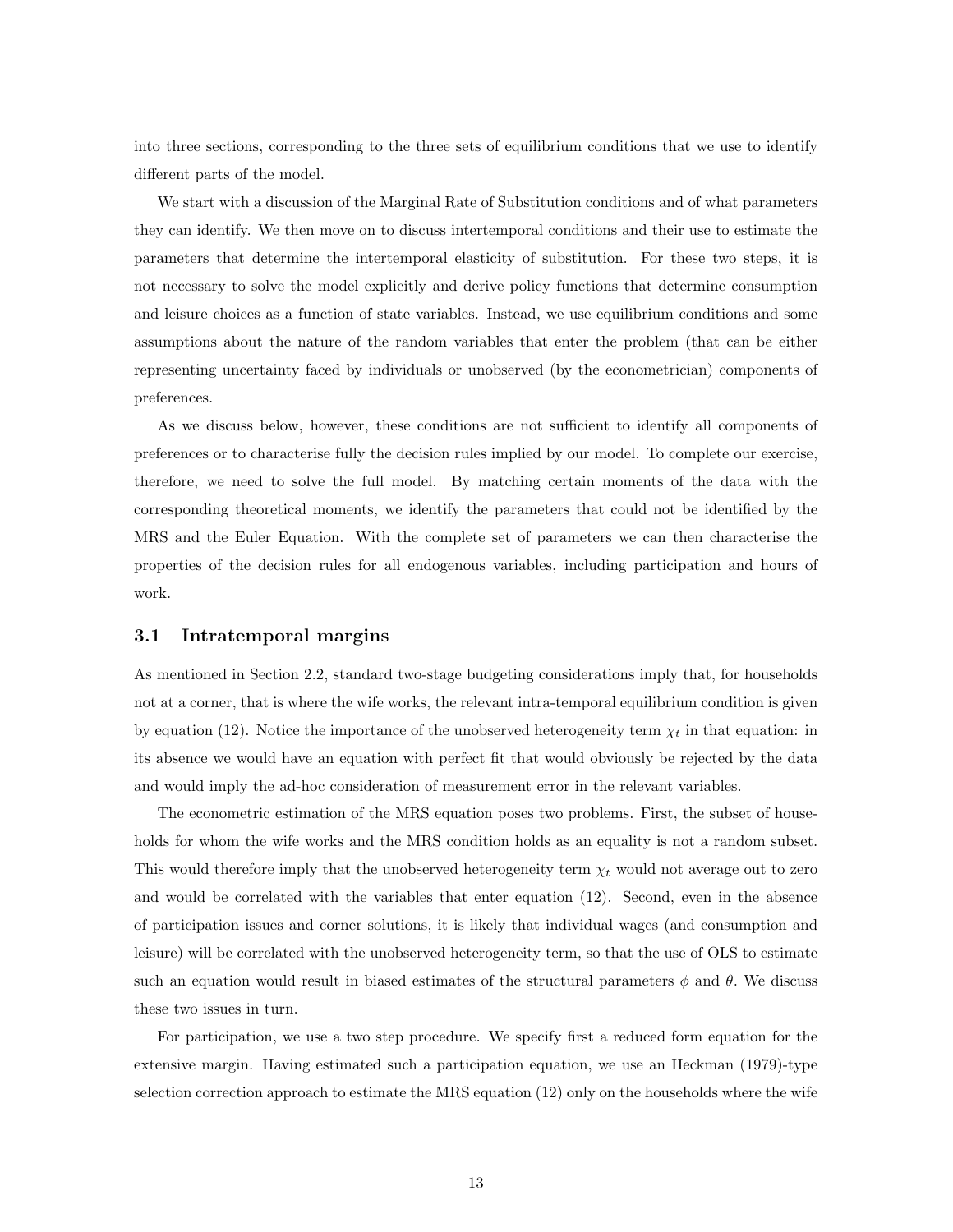into three sections, corresponding to the three sets of equilibrium conditions that we use to identify different parts of the model.

We start with a discussion of the Marginal Rate of Substitution conditions and of what parameters they can identify. We then move on to discuss intertemporal conditions and their use to estimate the parameters that determine the intertemporal elasticity of substitution. For these two steps, it is not necessary to solve the model explicitly and derive policy functions that determine consumption and leisure choices as a function of state variables. Instead, we use equilibrium conditions and some assumptions about the nature of the random variables that enter the problem (that can be either representing uncertainty faced by individuals or unobserved (by the econometrician) components of preferences.

As we discuss below, however, these conditions are not sufficient to identify all components of preferences or to characterise fully the decision rules implied by our model. To complete our exercise, therefore, we need to solve the full model. By matching certain moments of the data with the corresponding theoretical moments, we identify the parameters that could not be identified by the MRS and the Euler Equation. With the complete set of parameters we can then characterise the properties of the decision rules for all endogenous variables, including participation and hours of work.

#### 3.1 Intratemporal margins

As mentioned in Section 2.2, standard two-stage budgeting considerations imply that, for households not at a corner, that is where the wife works, the relevant intra-temporal equilibrium condition is given by equation (12). Notice the importance of the unobserved heterogeneity term  $\chi_t$  in that equation: in its absence we would have an equation with perfect fit that would obviously be rejected by the data and would imply the ad-hoc consideration of measurement error in the relevant variables.

The econometric estimation of the MRS equation poses two problems. First, the subset of households for whom the wife works and the MRS condition holds as an equality is not a random subset. This would therefore imply that the unobserved heterogeneity term  $\chi_t$  would not average out to zero and would be correlated with the variables that enter equation (12). Second, even in the absence of participation issues and corner solutions, it is likely that individual wages (and consumption and leisure) will be correlated with the unobserved heterogeneity term, so that the use of OLS to estimate such an equation would result in biased estimates of the structural parameters  $\phi$  and  $\theta$ . We discuss these two issues in turn.

For participation, we use a two step procedure. We specify first a reduced form equation for the extensive margin. Having estimated such a participation equation, we use an Heckman (1979)-type selection correction approach to estimate the MRS equation (12) only on the households where the wife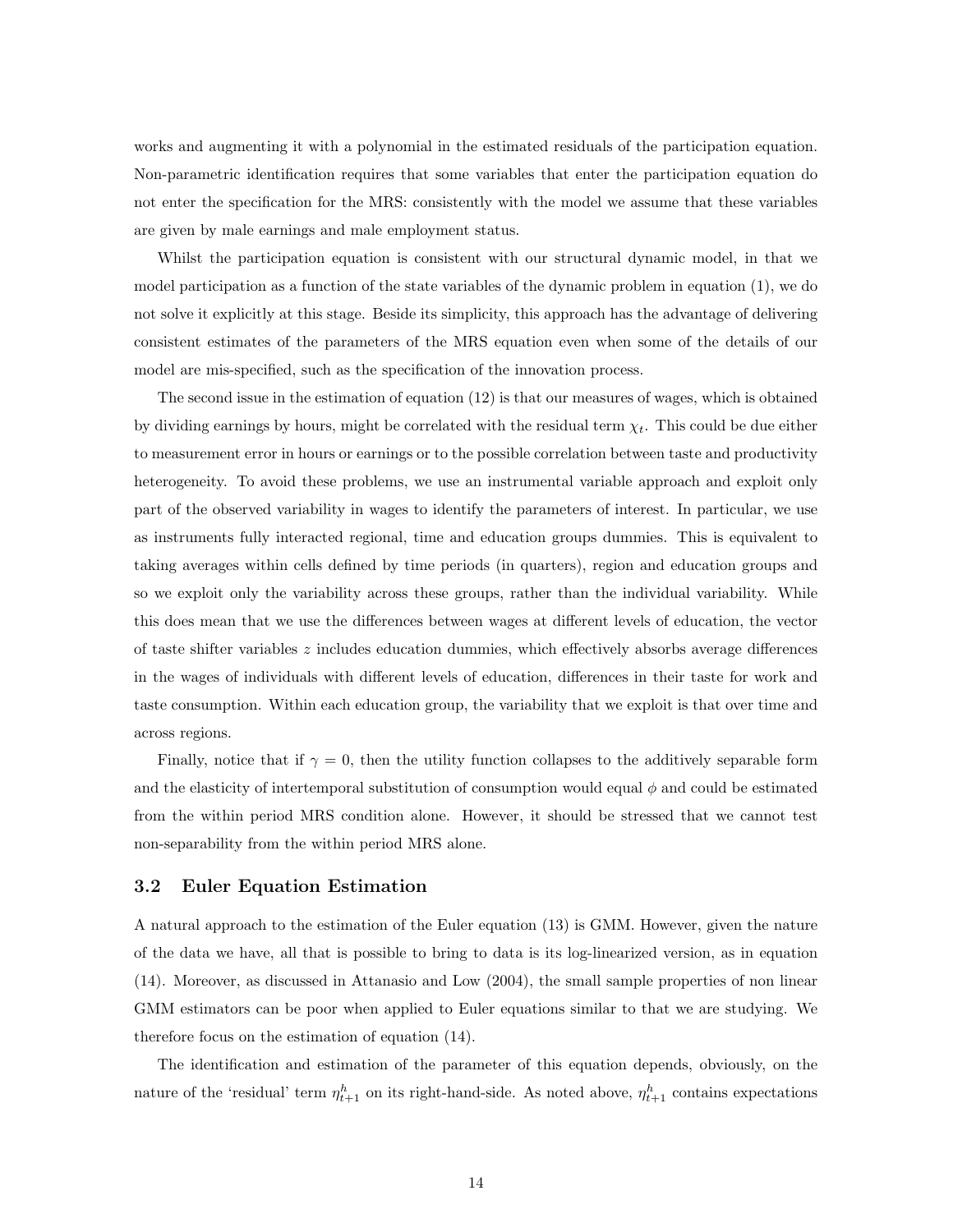works and augmenting it with a polynomial in the estimated residuals of the participation equation. Non-parametric identification requires that some variables that enter the participation equation do not enter the specification for the MRS: consistently with the model we assume that these variables are given by male earnings and male employment status.

Whilst the participation equation is consistent with our structural dynamic model, in that we model participation as a function of the state variables of the dynamic problem in equation (1), we do not solve it explicitly at this stage. Beside its simplicity, this approach has the advantage of delivering consistent estimates of the parameters of the MRS equation even when some of the details of our model are mis-specified, such as the specification of the innovation process.

The second issue in the estimation of equation (12) is that our measures of wages, which is obtained by dividing earnings by hours, might be correlated with the residual term  $\chi_t$ . This could be due either to measurement error in hours or earnings or to the possible correlation between taste and productivity heterogeneity. To avoid these problems, we use an instrumental variable approach and exploit only part of the observed variability in wages to identify the parameters of interest. In particular, we use as instruments fully interacted regional, time and education groups dummies. This is equivalent to taking averages within cells defined by time periods (in quarters), region and education groups and so we exploit only the variability across these groups, rather than the individual variability. While this does mean that we use the differences between wages at different levels of education, the vector of taste shifter variables  $z$  includes education dummies, which effectively absorbs average differences in the wages of individuals with different levels of education, differences in their taste for work and taste consumption. Within each education group, the variability that we exploit is that over time and across regions.

Finally, notice that if  $\gamma = 0$ , then the utility function collapses to the additively separable form and the elasticity of intertemporal substitution of consumption would equal  $\phi$  and could be estimated from the within period MRS condition alone. However, it should be stressed that we cannot test non-separability from the within period MRS alone.

#### 3.2 Euler Equation Estimation

A natural approach to the estimation of the Euler equation (13) is GMM. However, given the nature of the data we have, all that is possible to bring to data is its log-linearized version, as in equation (14). Moreover, as discussed in Attanasio and Low (2004), the small sample properties of non linear GMM estimators can be poor when applied to Euler equations similar to that we are studying. We therefore focus on the estimation of equation (14).

The identification and estimation of the parameter of this equation depends, obviously, on the nature of the 'residual' term  $\eta_{t+1}^h$  on its right-hand-side. As noted above,  $\eta_{t+1}^h$  contains expectations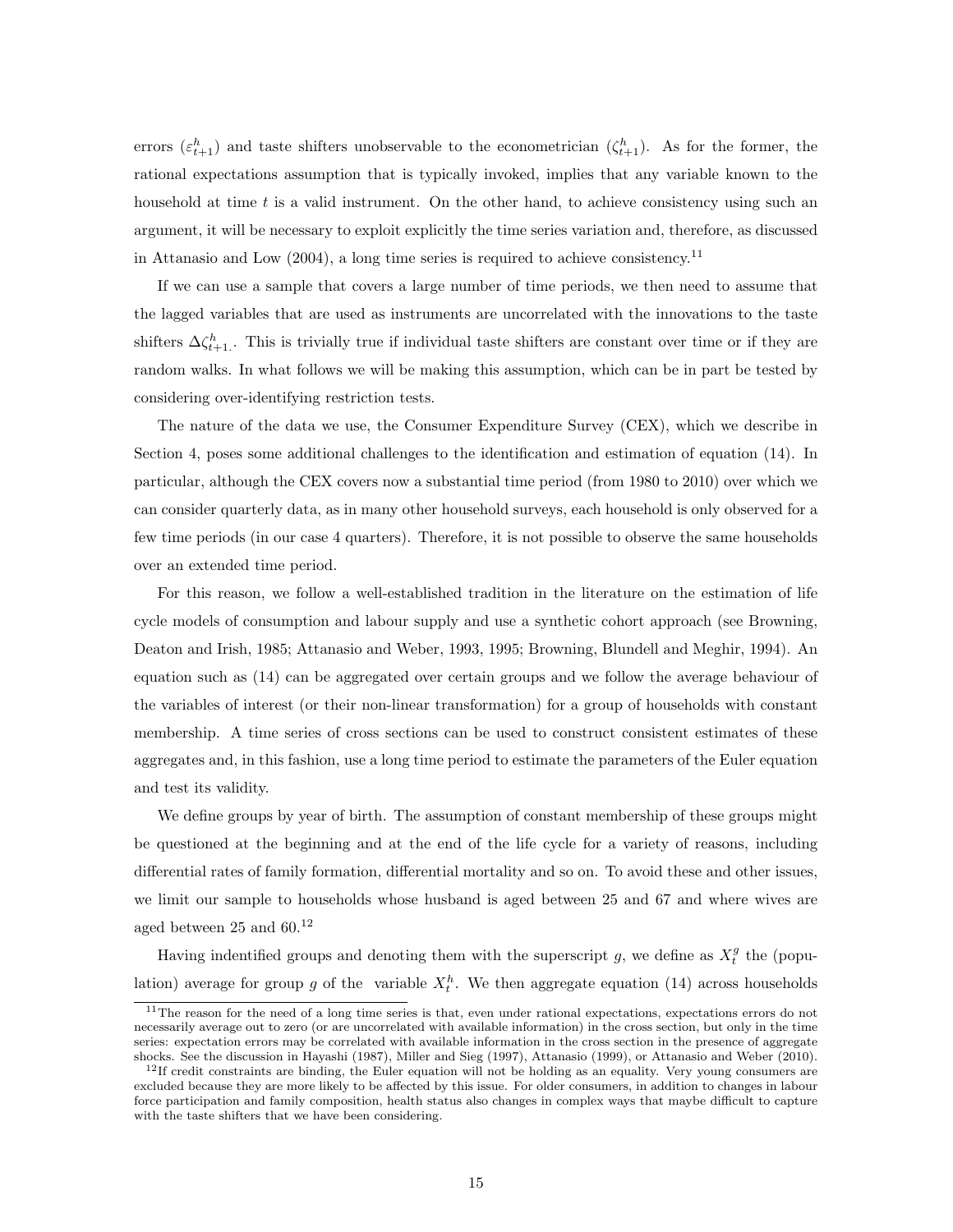errors  $(\varepsilon_{t+1}^h)$  and taste shifters unobservable to the econometrician  $(\zeta_{t+1}^h)$ . As for the former, the rational expectations assumption that is typically invoked, implies that any variable known to the household at time  $t$  is a valid instrument. On the other hand, to achieve consistency using such an argument, it will be necessary to exploit explicitly the time series variation and, therefore, as discussed in Attanasio and Low (2004), a long time series is required to achieve consistency.<sup>11</sup>

If we can use a sample that covers a large number of time periods, we then need to assume that the lagged variables that are used as instruments are uncorrelated with the innovations to the taste shifters  $\Delta \zeta_{t+1}^h$ . This is trivially true if individual taste shifters are constant over time or if they are random walks. In what follows we will be making this assumption, which can be in part be tested by considering over-identifying restriction tests.

The nature of the data we use, the Consumer Expenditure Survey (CEX), which we describe in Section 4, poses some additional challenges to the identification and estimation of equation (14). In particular, although the CEX covers now a substantial time period (from 1980 to 2010) over which we can consider quarterly data, as in many other household surveys, each household is only observed for a few time periods (in our case 4 quarters). Therefore, it is not possible to observe the same households over an extended time period.

For this reason, we follow a well-established tradition in the literature on the estimation of life cycle models of consumption and labour supply and use a synthetic cohort approach (see Browning, Deaton and Irish, 1985; Attanasio and Weber, 1993, 1995; Browning, Blundell and Meghir, 1994). An equation such as (14) can be aggregated over certain groups and we follow the average behaviour of the variables of interest (or their non-linear transformation) for a group of households with constant membership. A time series of cross sections can be used to construct consistent estimates of these aggregates and, in this fashion, use a long time period to estimate the parameters of the Euler equation and test its validity.

We define groups by year of birth. The assumption of constant membership of these groups might be questioned at the beginning and at the end of the life cycle for a variety of reasons, including differential rates of family formation, differential mortality and so on. To avoid these and other issues, we limit our sample to households whose husband is aged between 25 and 67 and where wives are aged between 25 and 60.<sup>12</sup>

Having indentified groups and denoting them with the superscript g, we define as  $X_t^g$  the (population) average for group g of the variable  $X_t^h$ . We then aggregate equation (14) across households

<sup>&</sup>lt;sup>11</sup>The reason for the need of a long time series is that, even under rational expectations, expectations errors do not necessarily average out to zero (or are uncorrelated with available information) in the cross section, but only in the time series: expectation errors may be correlated with available information in the cross section in the presence of aggregate shocks. See the discussion in Hayashi (1987), Miller and Sieg (1997), Attanasio (1999), or Attanasio and Weber (2010).

 $12$ If credit constraints are binding, the Euler equation will not be holding as an equality. Very young consumers are excluded because they are more likely to be affected by this issue. For older consumers, in addition to changes in labour force participation and family composition, health status also changes in complex ways that maybe difficult to capture with the taste shifters that we have been considering.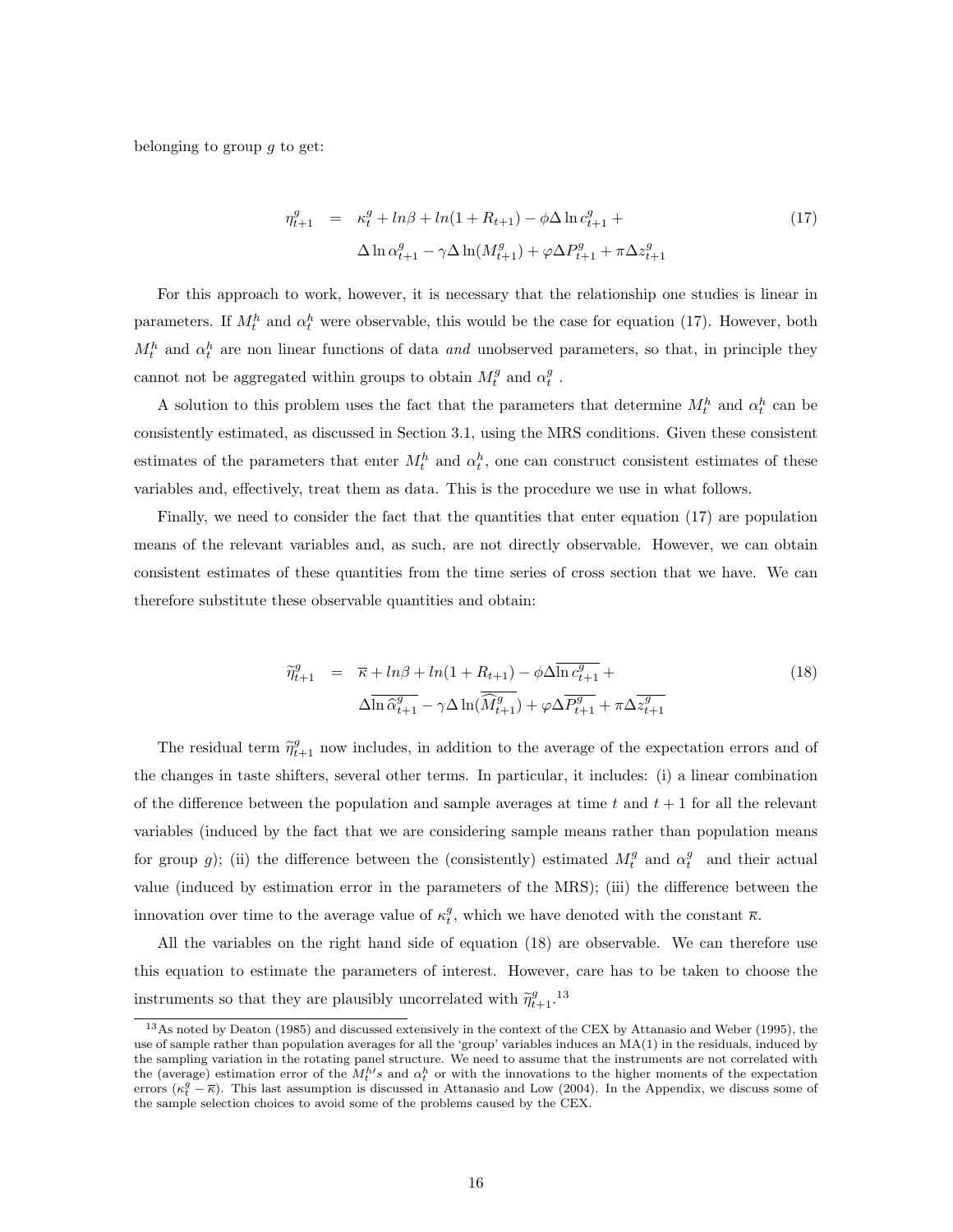belonging to group  $q$  to get:

$$
\eta_{t+1}^g = \kappa_t^g + \ln\beta + \ln(1 + R_{t+1}) - \phi \Delta \ln c_{t+1}^g +
$$
  

$$
\Delta \ln \alpha_{t+1}^g - \gamma \Delta \ln(M_{t+1}^g) + \varphi \Delta P_{t+1}^g + \pi \Delta z_{t+1}^g
$$
 (17)

For this approach to work, however, it is necessary that the relationship one studies is linear in parameters. If  $M_t^h$  and  $\alpha_t^h$  were observable, this would be the case for equation (17). However, both  $M_t^h$  and  $\alpha_t^h$  are non linear functions of data and unobserved parameters, so that, in principle they cannot not be aggregated within groups to obtain  $M_t^g$  and  $\alpha_t^g$ .

A solution to this problem uses the fact that the parameters that determine  $M_t^h$  and  $\alpha_t^h$  can be consistently estimated, as discussed in Section 3.1, using the MRS conditions. Given these consistent estimates of the parameters that enter  $M_t^h$  and  $\alpha_t^h$ , one can construct consistent estimates of these variables and, effectively, treat them as data. This is the procedure we use in what follows.

Finally, we need to consider the fact that the quantities that enter equation (17) are population means of the relevant variables and, as such, are not directly observable. However, we can obtain consistent estimates of these quantities from the time series of cross section that we have. We can therefore substitute these observable quantities and obtain:

$$
\widetilde{\eta}_{t+1}^g = \overline{\kappa} + \ln \beta + \ln (1 + R_{t+1}) - \phi \Delta \overline{\ln c_{t+1}^g} + \Delta \overline{\ln \widehat{\alpha}_{t+1}^g} - \gamma \Delta \ln (\overline{\widehat{M}_{t+1}^g}) + \varphi \Delta \overline{P_{t+1}^g} + \pi \Delta \overline{z_{t+1}^g}
$$
\n(18)

The residual term  $\tilde{\eta}_{t+1}^g$  now includes, in addition to the average of the expectation errors and of the changes in taste shifters, several other terms. In particular, it includes: (i) a linear combination of the difference between the population and sample averages at time t and  $t + 1$  for all the relevant variables (induced by the fact that we are considering sample means rather than population means for group g); (ii) the difference between the (consistently) estimated  $M_t^g$  and  $\alpha_t^g$  and their actual value (induced by estimation error in the parameters of the MRS); (iii) the difference between the innovation over time to the average value of  $\kappa_t^g$ , which we have denoted with the constant  $\bar{\kappa}$ .

All the variables on the right hand side of equation (18) are observable. We can therefore use this equation to estimate the parameters of interest. However, care has to be taken to choose the instruments so that they are plausibly uncorrelated with  $\tilde{\eta}^g_{t+1}.$ <sup>13</sup>

<sup>13</sup>As noted by Deaton (1985) and discussed extensively in the context of the CEX by Attanasio and Weber (1995), the use of sample rather than population averages for all the 'group' variables induces an MA(1) in the residuals, induced by the sampling variation in the rotating panel structure. We need to assume that the instruments are not correlated with the (average) estimation error of the  $M_t^{h/s}$  and  $\alpha_t^h$  or with the innovations to the higher moments of the expectation errors  $(\kappa_t^g - \overline{\kappa})$ . This last assumption is discussed in Attanasio and Low (2004). In the Appendix, we discuss some of the sample selection choices to avoid some of the problems caused by the CEX.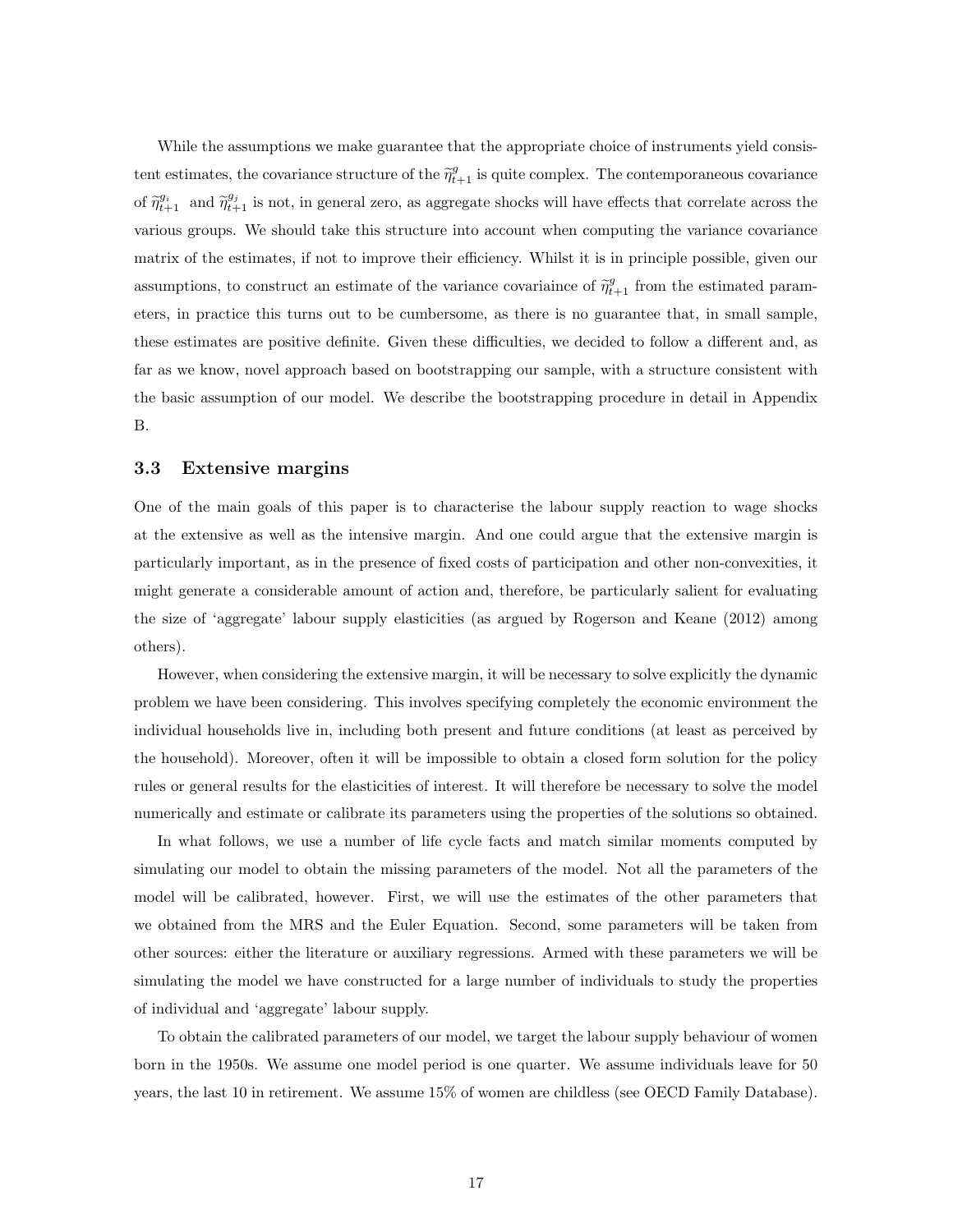While the assumptions we make guarantee that the appropriate choice of instruments yield consistent estimates, the covariance structure of the  $\tilde{\eta}^g_{t+1}$  is quite complex. The contemporaneous covariance of  $\tilde{\eta}_{t+1}^{g_i}$  and  $\tilde{\eta}_{t+1}^{g_j}$  is not, in general zero, as aggregate shocks will have effects that correlate across the various groups. We should take this structure into account when computing the variance covariance matrix of the estimates, if not to improve their efficiency. Whilst it is in principle possible, given our assumptions, to construct an estimate of the variance covariaince of  $\tilde{\eta}^g_{t+1}$  from the estimated parameters, in practice this turns out to be cumbersome, as there is no guarantee that, in small sample, these estimates are positive definite. Given these difficulties, we decided to follow a different and, as far as we know, novel approach based on bootstrapping our sample, with a structure consistent with the basic assumption of our model. We describe the bootstrapping procedure in detail in Appendix B.

#### 3.3 Extensive margins

One of the main goals of this paper is to characterise the labour supply reaction to wage shocks at the extensive as well as the intensive margin. And one could argue that the extensive margin is particularly important, as in the presence of fixed costs of participation and other non-convexities, it might generate a considerable amount of action and, therefore, be particularly salient for evaluating the size of 'aggregate' labour supply elasticities (as argued by Rogerson and Keane (2012) among others).

However, when considering the extensive margin, it will be necessary to solve explicitly the dynamic problem we have been considering. This involves specifying completely the economic environment the individual households live in, including both present and future conditions (at least as perceived by the household). Moreover, often it will be impossible to obtain a closed form solution for the policy rules or general results for the elasticities of interest. It will therefore be necessary to solve the model numerically and estimate or calibrate its parameters using the properties of the solutions so obtained.

In what follows, we use a number of life cycle facts and match similar moments computed by simulating our model to obtain the missing parameters of the model. Not all the parameters of the model will be calibrated, however. First, we will use the estimates of the other parameters that we obtained from the MRS and the Euler Equation. Second, some parameters will be taken from other sources: either the literature or auxiliary regressions. Armed with these parameters we will be simulating the model we have constructed for a large number of individuals to study the properties of individual and 'aggregate' labour supply.

To obtain the calibrated parameters of our model, we target the labour supply behaviour of women born in the 1950s. We assume one model period is one quarter. We assume individuals leave for 50 years, the last 10 in retirement. We assume 15% of women are childless (see OECD Family Database).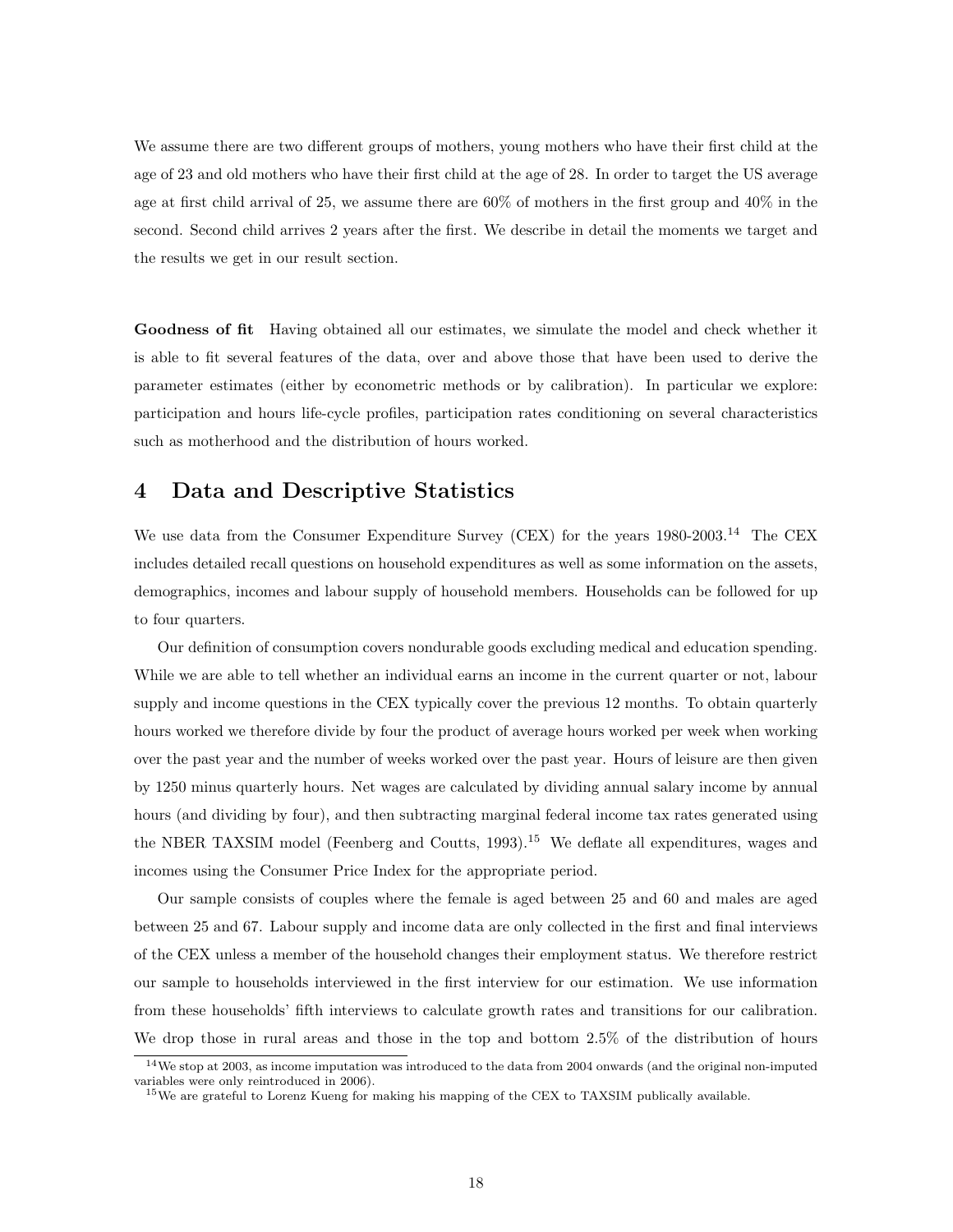We assume there are two different groups of mothers, young mothers who have their first child at the age of 23 and old mothers who have their first child at the age of 28. In order to target the US average age at first child arrival of 25, we assume there are 60% of mothers in the first group and 40% in the second. Second child arrives 2 years after the first. We describe in detail the moments we target and the results we get in our result section.

Goodness of fit Having obtained all our estimates, we simulate the model and check whether it is able to fit several features of the data, over and above those that have been used to derive the parameter estimates (either by econometric methods or by calibration). In particular we explore: participation and hours life-cycle profiles, participation rates conditioning on several characteristics such as motherhood and the distribution of hours worked.

## 4 Data and Descriptive Statistics

We use data from the Consumer Expenditure Survey (CEX) for the years 1980-2003.<sup>14</sup> The CEX includes detailed recall questions on household expenditures as well as some information on the assets, demographics, incomes and labour supply of household members. Households can be followed for up to four quarters.

Our definition of consumption covers nondurable goods excluding medical and education spending. While we are able to tell whether an individual earns an income in the current quarter or not, labour supply and income questions in the CEX typically cover the previous 12 months. To obtain quarterly hours worked we therefore divide by four the product of average hours worked per week when working over the past year and the number of weeks worked over the past year. Hours of leisure are then given by 1250 minus quarterly hours. Net wages are calculated by dividing annual salary income by annual hours (and dividing by four), and then subtracting marginal federal income tax rates generated using the NBER TAXSIM model (Feenberg and Coutts, 1993).<sup>15</sup> We deflate all expenditures, wages and incomes using the Consumer Price Index for the appropriate period.

Our sample consists of couples where the female is aged between 25 and 60 and males are aged between 25 and 67. Labour supply and income data are only collected in the first and final interviews of the CEX unless a member of the household changes their employment status. We therefore restrict our sample to households interviewed in the first interview for our estimation. We use information from these households' fifth interviews to calculate growth rates and transitions for our calibration. We drop those in rural areas and those in the top and bottom 2.5% of the distribution of hours

<sup>14</sup>We stop at 2003, as income imputation was introduced to the data from 2004 onwards (and the original non-imputed variables were only reintroduced in 2006).

<sup>&</sup>lt;sup>15</sup>We are grateful to Lorenz Kueng for making his mapping of the CEX to TAXSIM publically available.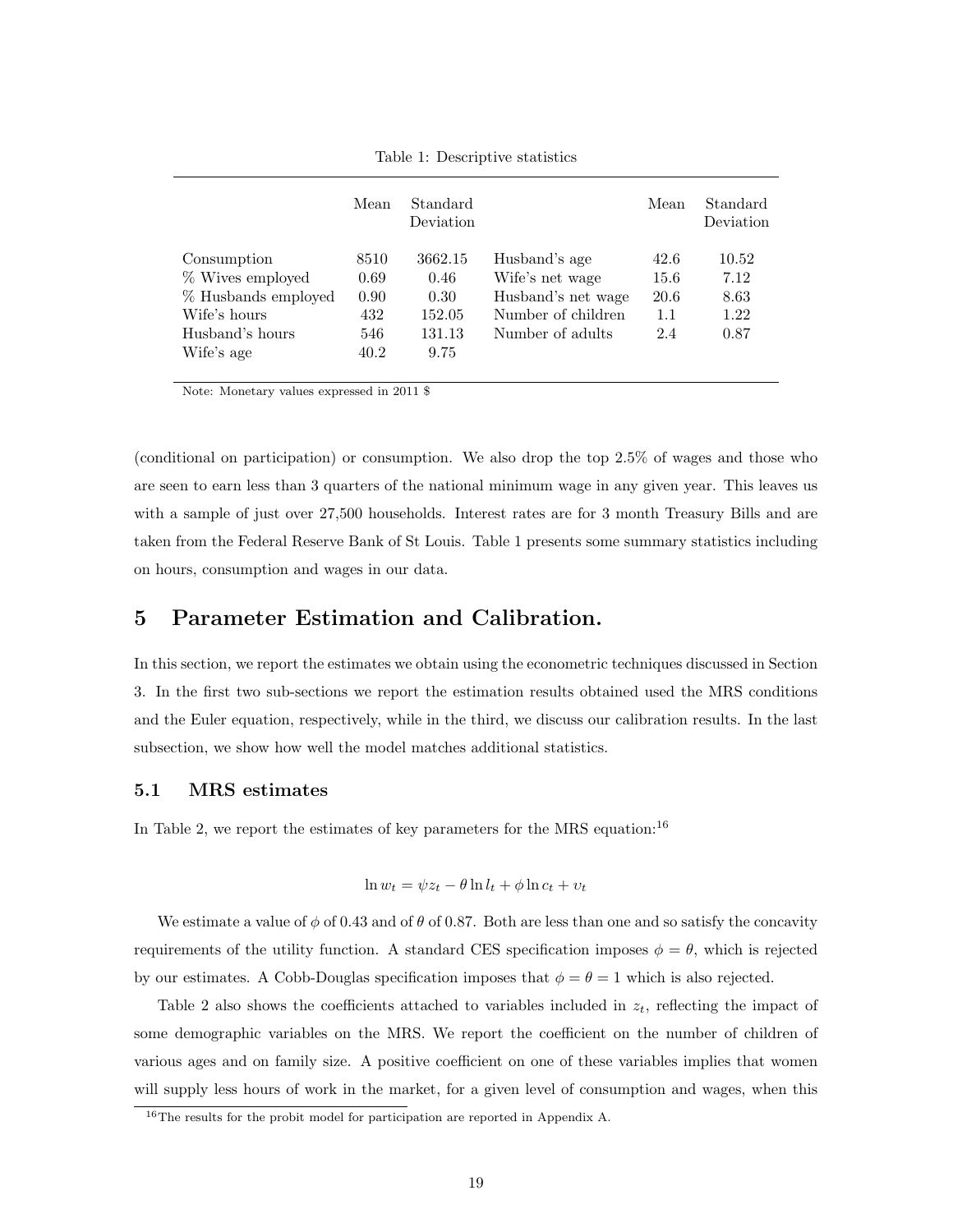|                     | Mean | Standard<br>Deviation |                    | Mean | Standard<br>Deviation |
|---------------------|------|-----------------------|--------------------|------|-----------------------|
| Consumption         | 8510 | 3662.15               | Husband's age      | 42.6 | 10.52                 |
| % Wives employed    | 0.69 | 0.46                  | Wife's net wage    | 15.6 | 7.12                  |
| % Husbands employed | 0.90 | 0.30                  | Husband's net wage | 20.6 | 8.63                  |
| Wife's hours        | 432  | 152.05                | Number of children | 1.1  | 1.22                  |
| Husband's hours     | 546  | 131.13                | Number of adults   | 2.4  | 0.87                  |
| Wife's age          | 40.2 | 9.75                  |                    |      |                       |

Table 1: Descriptive statistics

Note: Monetary values expressed in 2011 \$

(conditional on participation) or consumption. We also drop the top 2.5% of wages and those who are seen to earn less than 3 quarters of the national minimum wage in any given year. This leaves us with a sample of just over 27,500 households. Interest rates are for 3 month Treasury Bills and are taken from the Federal Reserve Bank of St Louis. Table 1 presents some summary statistics including on hours, consumption and wages in our data.

## 5 Parameter Estimation and Calibration.

In this section, we report the estimates we obtain using the econometric techniques discussed in Section 3. In the first two sub-sections we report the estimation results obtained used the MRS conditions and the Euler equation, respectively, while in the third, we discuss our calibration results. In the last subsection, we show how well the model matches additional statistics.

#### 5.1 MRS estimates

In Table 2, we report the estimates of key parameters for the MRS equation:<sup>16</sup>

$$
\ln w_t = \psi z_t - \theta \ln l_t + \phi \ln c_t + v_t
$$

We estimate a value of  $\phi$  of 0.43 and of  $\theta$  of 0.87. Both are less than one and so satisfy the concavity requirements of the utility function. A standard CES specification imposes  $\phi = \theta$ , which is rejected by our estimates. A Cobb-Douglas specification imposes that  $\phi = \theta = 1$  which is also rejected.

Table 2 also shows the coefficients attached to variables included in  $z_t$ , reflecting the impact of some demographic variables on the MRS. We report the coefficient on the number of children of various ages and on family size. A positive coefficient on one of these variables implies that women will supply less hours of work in the market, for a given level of consumption and wages, when this

<sup>&</sup>lt;sup>16</sup>The results for the probit model for participation are reported in Appendix A.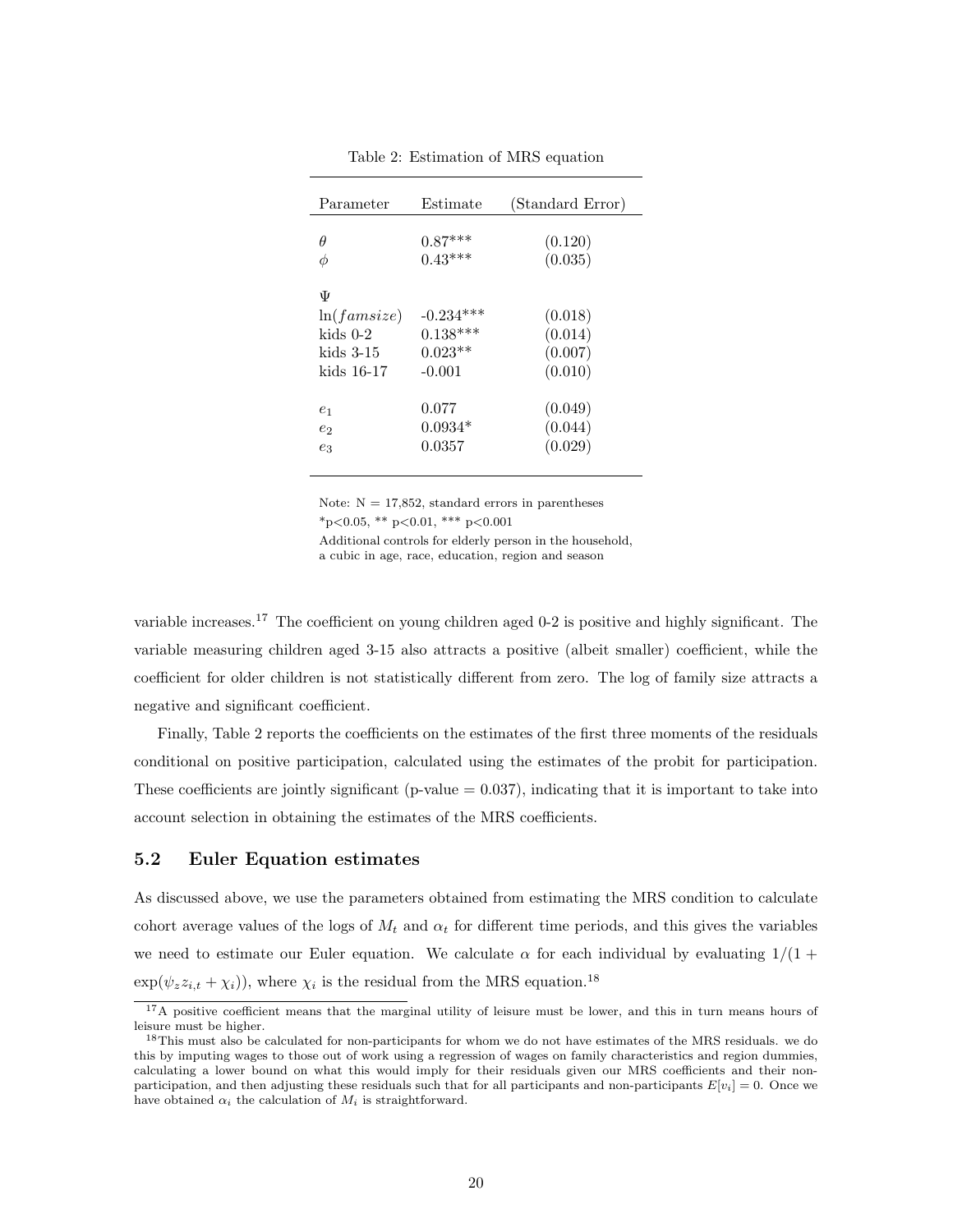| Parameter                                                 | Estimate                                           | (Standard Error)                         |
|-----------------------------------------------------------|----------------------------------------------------|------------------------------------------|
| θ<br>φ                                                    | $0.87***$<br>$0.43***$                             | (0.120)<br>(0.035)                       |
| Ψ<br>ln(famsize)<br>kids $0-2$<br>kids 3-15<br>kids 16-17 | $-0.234***$<br>$0.138***$<br>$0.023**$<br>$-0.001$ | (0.018)<br>(0.014)<br>(0.007)<br>(0.010) |
| $e_1$<br>$e_2$<br>$e_3$                                   | 0.077<br>$0.0934*$<br>0.0357                       | (0.049)<br>(0.044)<br>(0.029)            |

Table 2: Estimation of MRS equation

Note:  $N = 17,852$ , standard errors in parentheses  $*_{p<0.05}$ ,  $*_{p<0.01}$ ,  $*_{p<0.001}$ 

Additional controls for elderly person in the household, a cubic in age, race, education, region and season

variable increases.<sup>17</sup> The coefficient on young children aged 0-2 is positive and highly significant. The variable measuring children aged 3-15 also attracts a positive (albeit smaller) coefficient, while the coefficient for older children is not statistically different from zero. The log of family size attracts a negative and significant coefficient.

Finally, Table 2 reports the coefficients on the estimates of the first three moments of the residuals conditional on positive participation, calculated using the estimates of the probit for participation. These coefficients are jointly significant (p-value  $= 0.037$ ), indicating that it is important to take into account selection in obtaining the estimates of the MRS coefficients.

#### 5.2 Euler Equation estimates

As discussed above, we use the parameters obtained from estimating the MRS condition to calculate cohort average values of the logs of  $M_t$  and  $\alpha_t$  for different time periods, and this gives the variables we need to estimate our Euler equation. We calculate  $\alpha$  for each individual by evaluating  $1/(1 +$  $\exp(\psi_z z_{i,t} + \chi_i)$ , where  $\chi_i$  is the residual from the MRS equation.<sup>18</sup>

<sup>&</sup>lt;sup>17</sup>A positive coefficient means that the marginal utility of leisure must be lower, and this in turn means hours of leisure must be higher.

<sup>&</sup>lt;sup>18</sup>This must also be calculated for non-participants for whom we do not have estimates of the MRS residuals. we do this by imputing wages to those out of work using a regression of wages on family characteristics and region dummies, calculating a lower bound on what this would imply for their residuals given our MRS coefficients and their nonparticipation, and then adjusting these residuals such that for all participants and non-participants  $E[v_i] = 0$ . Once we have obtained  $\alpha_i$  the calculation of  $M_i$  is straightforward.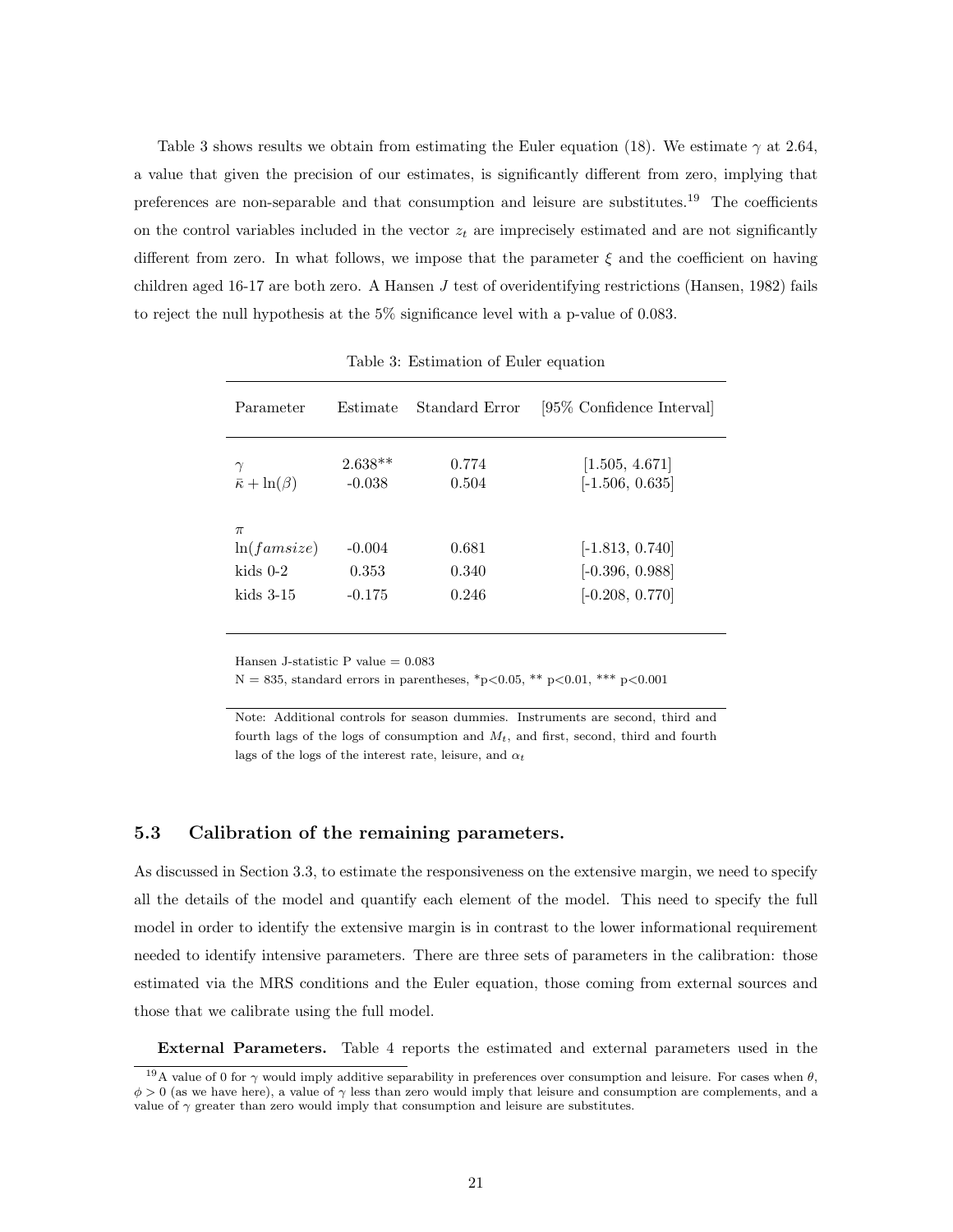Table 3 shows results we obtain from estimating the Euler equation (18). We estimate  $\gamma$  at 2.64, a value that given the precision of our estimates, is significantly different from zero, implying that preferences are non-separable and that consumption and leisure are substitutes.<sup>19</sup> The coefficients on the control variables included in the vector  $z_t$  are imprecisely estimated and are not significantly different from zero. In what follows, we impose that the parameter  $\xi$  and the coefficient on having children aged 16-17 are both zero. A Hansen  $J$  test of overidentifying restrictions (Hansen, 1982) fails to reject the null hypothesis at the 5% significance level with a p-value of 0.083.

| Parameter                                         | Estimate                      | Standard Error          | [95\% Confidence Interval]                                  |
|---------------------------------------------------|-------------------------------|-------------------------|-------------------------------------------------------------|
| $\gamma$<br>$\bar{\kappa} + \ln(\beta)$           | $2.638**$<br>$-0.038$         | 0.774<br>0.504          | [1.505, 4.671]<br>$[-1.506, 0.635]$                         |
| $\pi$<br>ln(famsize)<br>kids $0-2$<br>kids $3-15$ | $-0.004$<br>0.353<br>$-0.175$ | 0.681<br>0.340<br>0.246 | $[-1.813, 0.740]$<br>$[-0.396, 0.988]$<br>$[-0.208, 0.770]$ |

Table 3: Estimation of Euler equation

Hansen J-statistic P value = 0.083

 $N = 835$ , standard errors in parentheses, \*p<0.05, \*\* p<0.01, \*\*\* p<0.001

Note: Additional controls for season dummies. Instruments are second, third and fourth lags of the logs of consumption and  $M_t$ , and first, second, third and fourth lags of the logs of the interest rate, leisure, and  $\alpha_t$ 

#### 5.3 Calibration of the remaining parameters.

As discussed in Section 3.3, to estimate the responsiveness on the extensive margin, we need to specify all the details of the model and quantify each element of the model. This need to specify the full model in order to identify the extensive margin is in contrast to the lower informational requirement needed to identify intensive parameters. There are three sets of parameters in the calibration: those estimated via the MRS conditions and the Euler equation, those coming from external sources and those that we calibrate using the full model.

External Parameters. Table 4 reports the estimated and external parameters used in the

<sup>&</sup>lt;sup>19</sup>A value of 0 for  $\gamma$  would imply additive separability in preferences over consumption and leisure. For cases when  $\theta$ ,  $\phi > 0$  (as we have here), a value of  $\gamma$  less than zero would imply that leisure and consumption are complements, and a value of  $\gamma$  greater than zero would imply that consumption and leisure are substitutes.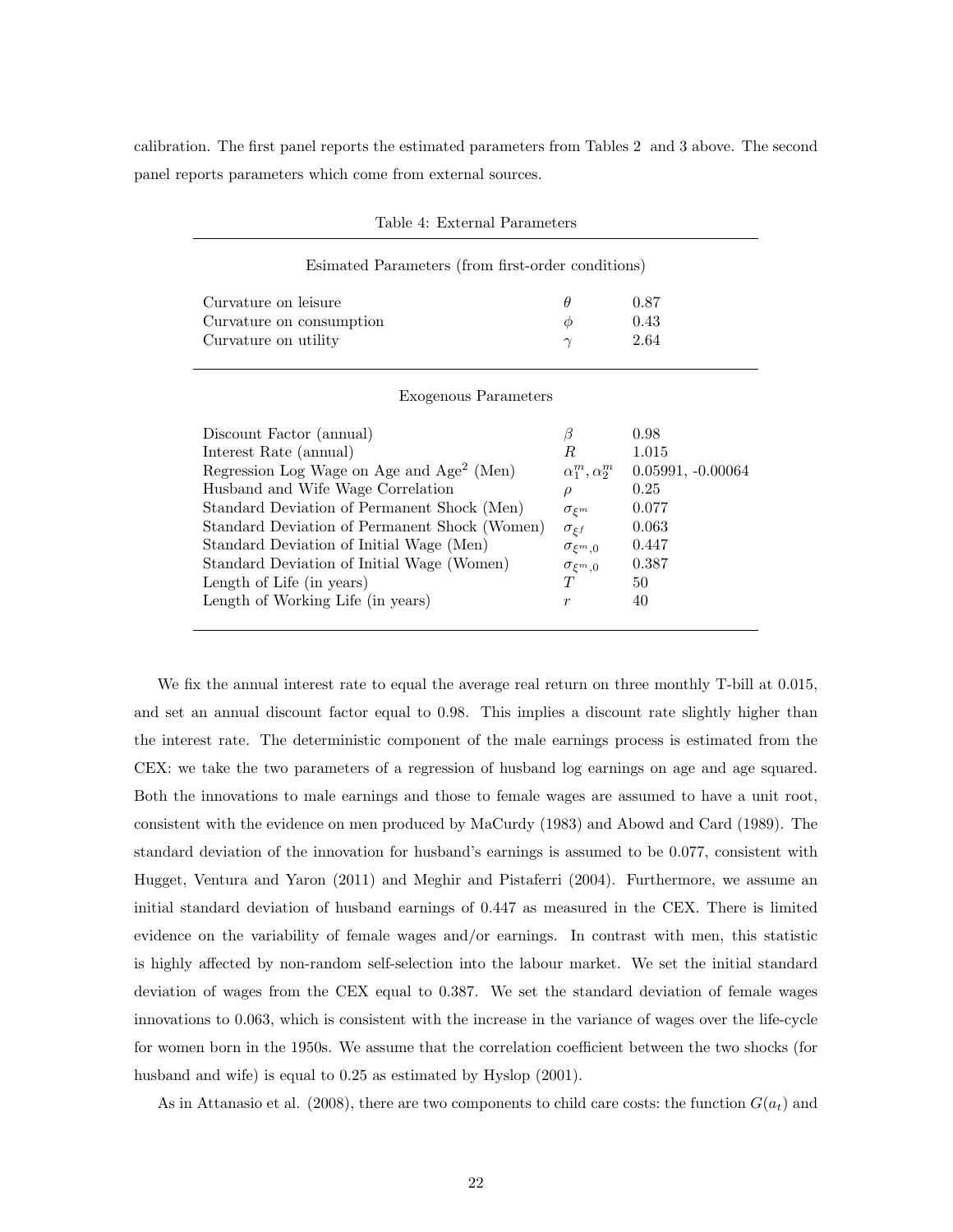calibration. The first panel reports the estimated parameters from Tables 2 and 3 above. The second panel reports parameters which come from external sources.

| Esimated Parameters (from first-order conditions)     |                          |                     |
|-------------------------------------------------------|--------------------------|---------------------|
| Curvature on leisure                                  | $\theta$                 | 0.87                |
| Curvature on consumption                              | $\varnothing$            | 0.43                |
| Curvature on utility                                  | $\sim$                   | 2.64                |
| Exogenous Parameters                                  |                          |                     |
| Discount Factor (annual)                              |                          | 0.98                |
| Interest Rate (annual)                                | R.                       | 1.015               |
| Regression Log Wage on Age and Age <sup>2</sup> (Men) | $\alpha_1^m, \alpha_2^m$ | $0.05991, -0.00064$ |
| Husband and Wife Wage Correlation                     |                          | 0.25                |

<sup>f</sup> 0.063

Standard Deviation of Permanent Shock (Men)  $\sigma_{\xi^m}$  0.077

Standard Deviation of Initial Wage (Men)  $\sigma_{\xi^m,0}$  0.447 Standard Deviation of Initial Wage (Women)  $\sigma_{\xi^m,0}$  0.387<br>Length of Life (in years)  $T$  50 Length of Life (in years)  $T = 50$ Length of Working Life (in years)  $r = 40$ 

Standard Deviation of Permanent Shock (Women)  $\sigma_{\xi}$ 

Table 4: External Parameters

| We fix the annual interest rate to equal the average real return on three monthly T-bill at 0.015,       |
|----------------------------------------------------------------------------------------------------------|
| and set an annual discount factor equal to 0.98. This implies a discount rate slightly higher than       |
| the interest rate. The deterministic component of the male earnings process is estimated from the        |
| CEX: we take the two parameters of a regression of husband log earnings on age and age squared.          |
| Both the innovations to male earnings and those to female wages are assumed to have a unit root,         |
| consistent with the evidence on men produced by MaCurdy (1983) and Abowd and Card (1989). The            |
| standard deviation of the innovation for husband's earnings is assumed to be 0.077, consistent with      |
| Hugget, Ventura and Yaron (2011) and Meghir and Pistaferri (2004). Furthermore, we assume an             |
| initial standard deviation of husband earnings of 0.447 as measured in the CEX. There is limited         |
| evidence on the variability of female wages and/or earnings. In contrast with men, this statistic        |
| is highly affected by non-random self-selection into the labour market. We set the initial standard      |
| deviation of wages from the CEX equal to 0.387. We set the standard deviation of female wages            |
| innovations to 0.063, which is consistent with the increase in the variance of wages over the life-cycle |
| for women born in the 1950s. We assume that the correlation coefficient between the two shocks (for      |
| husband and wife) is equal to $0.25$ as estimated by Hyslop $(2001)$ .                                   |

As in Attanasio et al. (2008), there are two components to child care costs: the function  $G(a_t)$  and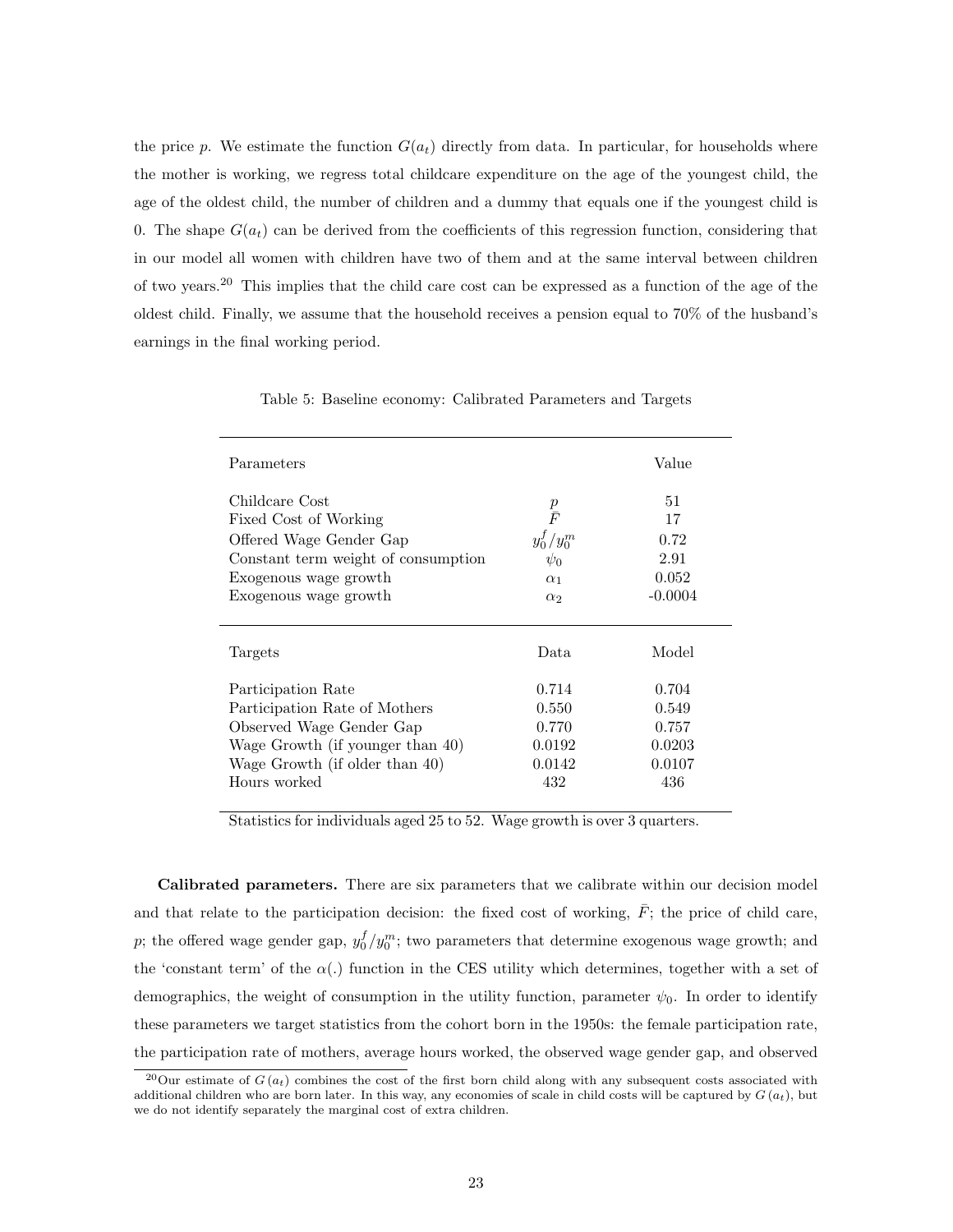the price p. We estimate the function  $G(a_t)$  directly from data. In particular, for households where the mother is working, we regress total childcare expenditure on the age of the youngest child, the age of the oldest child, the number of children and a dummy that equals one if the youngest child is 0. The shape  $G(a_t)$  can be derived from the coefficients of this regression function, considering that in our model all women with children have two of them and at the same interval between children of two years.<sup>20</sup> This implies that the child care cost can be expressed as a function of the age of the oldest child. Finally, we assume that the household receives a pension equal to 70% of the husband's earnings in the final working period.

| Parameters                                                                                                                                                  |                                                                              | Value                                          |
|-------------------------------------------------------------------------------------------------------------------------------------------------------------|------------------------------------------------------------------------------|------------------------------------------------|
| Childcare Cost<br>Fixed Cost of Working<br>Offered Wage Gender Gap<br>Constant term weight of consumption<br>Exogenous wage growth<br>Exogenous wage growth | $\frac{p}{\bar{F}}$<br>$y_0^f/y_0^m$<br>$\psi_0$<br>$\alpha_1$<br>$\alpha_2$ | 51<br>17<br>0.72<br>2.91<br>0.052<br>$-0.0004$ |
|                                                                                                                                                             |                                                                              |                                                |
| Targets                                                                                                                                                     | Data.                                                                        | Model                                          |
| Participation Rate<br>Participation Rate of Mothers                                                                                                         | 0.714<br>0.550                                                               | 0.704<br>0.549                                 |
| Observed Wage Gender Gap                                                                                                                                    | 0.770                                                                        | 0.757                                          |
| Wage Growth (if younger than 40)<br>Wage Growth (if older than 40)                                                                                          | 0.0192<br>0.0142                                                             | 0.0203<br>0.0107                               |
| Hours worked                                                                                                                                                | 432                                                                          | 436                                            |

Table 5: Baseline economy: Calibrated Parameters and Targets

Statistics for individuals aged 25 to 52. Wage growth is over 3 quarters.

Calibrated parameters. There are six parameters that we calibrate within our decision model and that relate to the participation decision: the fixed cost of working,  $\bar{F}$ ; the price of child care, p; the offered wage gender gap,  $y_0^f/y_0^m$ ; two parameters that determine exogenous wage growth; and the 'constant term' of the  $\alpha(.)$  function in the CES utility which determines, together with a set of demographics, the weight of consumption in the utility function, parameter  $\psi_0$ . In order to identify these parameters we target statistics from the cohort born in the 1950s: the female participation rate, the participation rate of mothers, average hours worked, the observed wage gender gap, and observed

<sup>&</sup>lt;sup>20</sup>Our estimate of  $G(a_t)$  combines the cost of the first born child along with any subsequent costs associated with additional children who are born later. In this way, any economies of scale in child costs will be captured by  $G(a_t)$ , but we do not identify separately the marginal cost of extra children.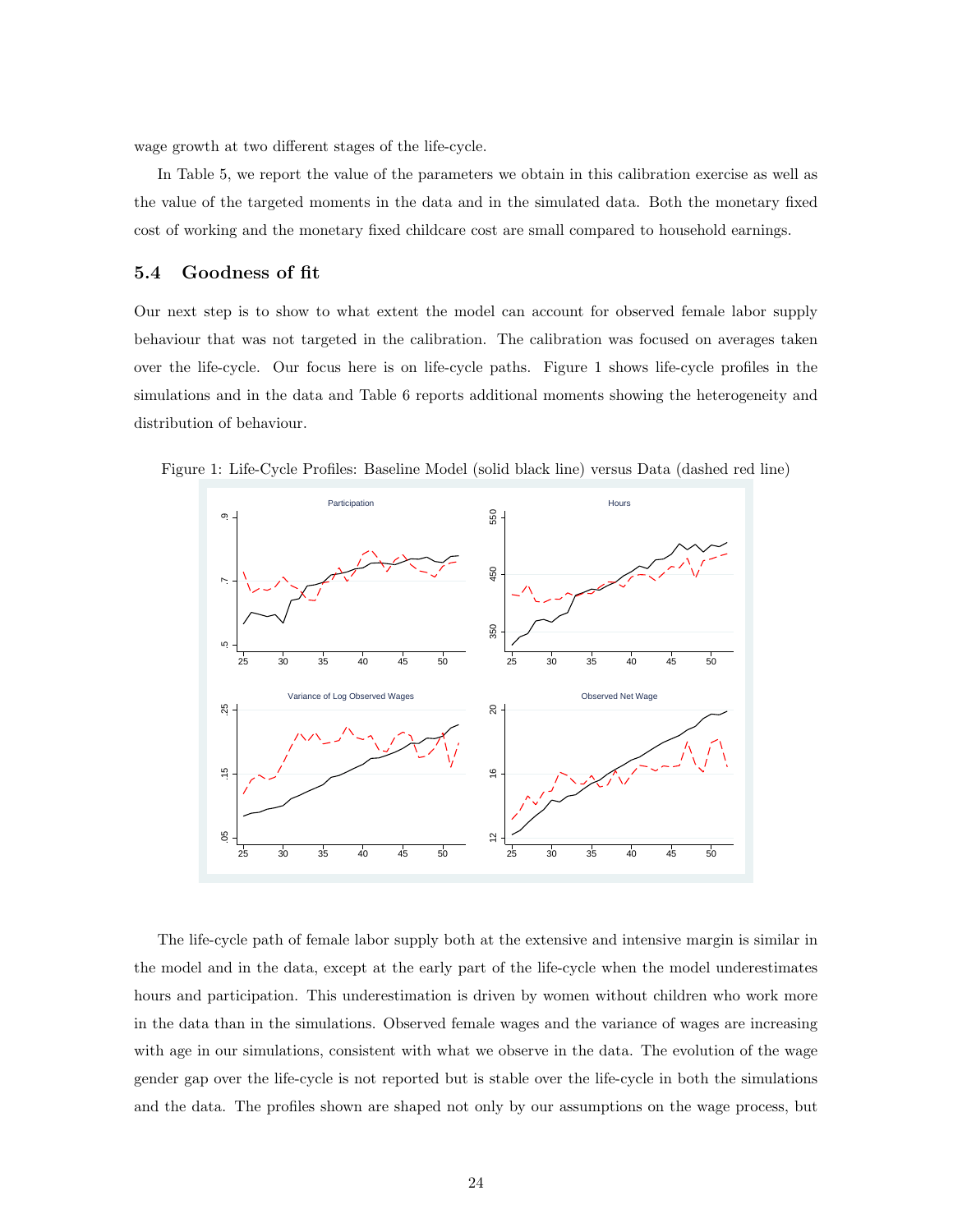wage growth at two different stages of the life-cycle.

In Table 5, we report the value of the parameters we obtain in this calibration exercise as well as the value of the targeted moments in the data and in the simulated data. Both the monetary fixed cost of working and the monetary fixed childcare cost are small compared to household earnings.

#### 5.4 Goodness of fit

Our next step is to show to what extent the model can account for observed female labor supply behaviour that was not targeted in the calibration. The calibration was focused on averages taken over the life-cycle. Our focus here is on life-cycle paths. Figure 1 shows life-cycle profiles in the simulations and in the data and Table 6 reports additional moments showing the heterogeneity and distribution of behaviour.

Figure 1: Life-Cycle Profiles: Baseline Model (solid black line) versus Data (dashed red line)



The life-cycle path of female labor supply both at the extensive and intensive margin is similar in the model and in the data, except at the early part of the life-cycle when the model underestimates hours and participation. This underestimation is driven by women without children who work more in the data than in the simulations. Observed female wages and the variance of wages are increasing with age in our simulations, consistent with what we observe in the data. The evolution of the wage gender gap over the life-cycle is not reported but is stable over the life-cycle in both the simulations and the data. The profiles shown are shaped not only by our assumptions on the wage process, but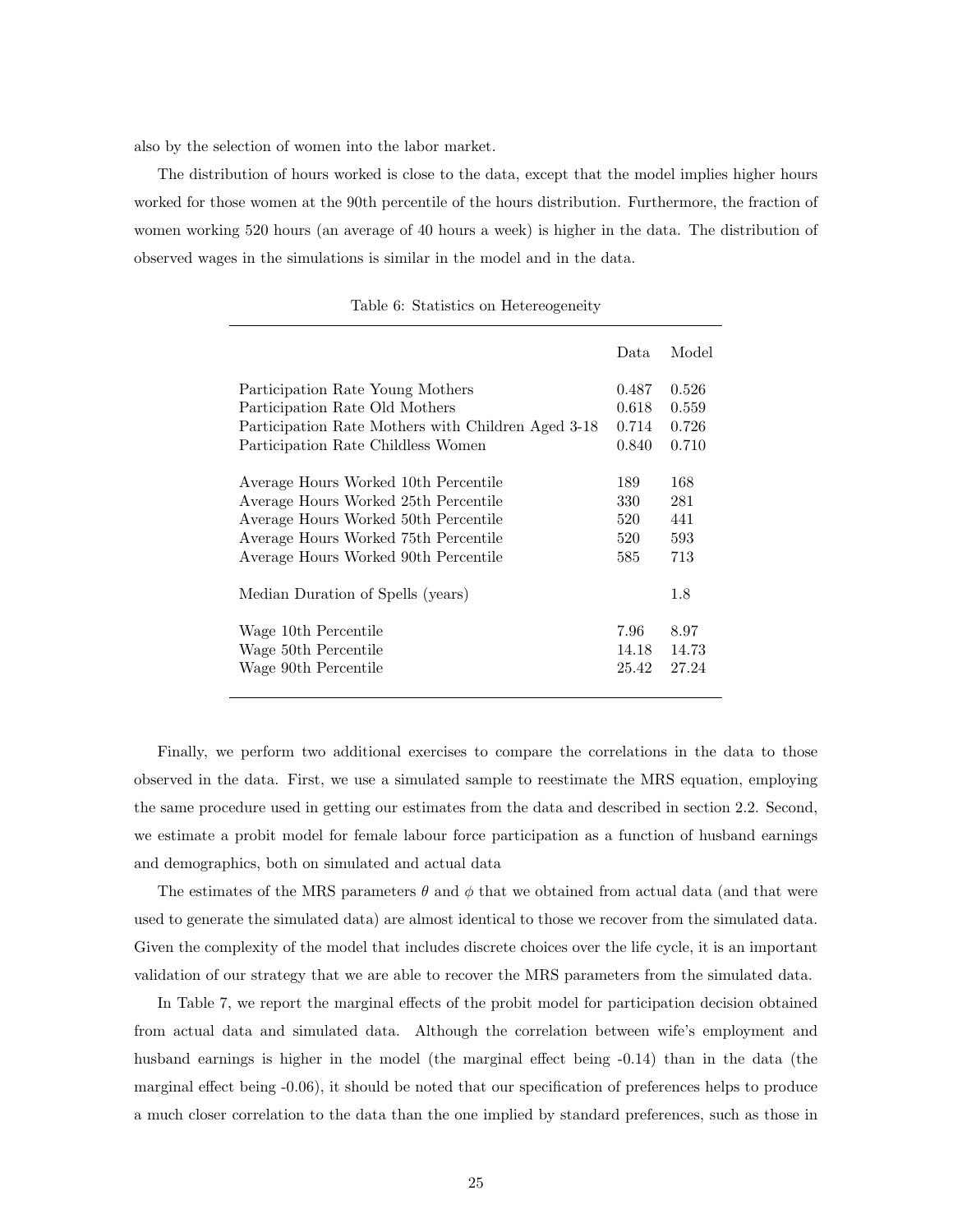also by the selection of women into the labor market.

The distribution of hours worked is close to the data, except that the model implies higher hours worked for those women at the 90th percentile of the hours distribution. Furthermore, the fraction of women working 520 hours (an average of 40 hours a week) is higher in the data. The distribution of observed wages in the simulations is similar in the model and in the data.

|                                                    | Data. | Model |
|----------------------------------------------------|-------|-------|
| Participation Rate Young Mothers                   | 0.487 | 0.526 |
| Participation Rate Old Mothers                     | 0.618 | 0.559 |
| Participation Rate Mothers with Children Aged 3-18 | 0.714 | 0.726 |
| Participation Rate Childless Women                 | 0.840 | 0.710 |
| Average Hours Worked 10th Percentile               | 189   | 168   |
| Average Hours Worked 25th Percentile               | 330   | 281   |
| Average Hours Worked 50th Percentile               | 520   | 441   |
| Average Hours Worked 75th Percentile               | 520   | 593   |
| Average Hours Worked 90th Percentile               | 585   | 713   |
| Median Duration of Spells (years)                  |       | 1.8   |
| Wage 10th Percentile                               | 7.96  | 8.97  |
| Wage 50th Percentile                               | 14.18 | 14.73 |
| Wage 90th Percentile                               | 25.42 | 27.24 |

|  | Table 6: Statistics on Hetereogeneity |
|--|---------------------------------------|
|  |                                       |

Finally, we perform two additional exercises to compare the correlations in the data to those observed in the data. First, we use a simulated sample to reestimate the MRS equation, employing the same procedure used in getting our estimates from the data and described in section 2.2. Second, we estimate a probit model for female labour force participation as a function of husband earnings and demographics, both on simulated and actual data

The estimates of the MRS parameters  $\theta$  and  $\phi$  that we obtained from actual data (and that were used to generate the simulated data) are almost identical to those we recover from the simulated data. Given the complexity of the model that includes discrete choices over the life cycle, it is an important validation of our strategy that we are able to recover the MRS parameters from the simulated data.

In Table 7, we report the marginal effects of the probit model for participation decision obtained from actual data and simulated data. Although the correlation between wife's employment and husband earnings is higher in the model (the marginal effect being  $-0.14$ ) than in the data (the marginal effect being -0.06), it should be noted that our specification of preferences helps to produce a much closer correlation to the data than the one implied by standard preferences, such as those in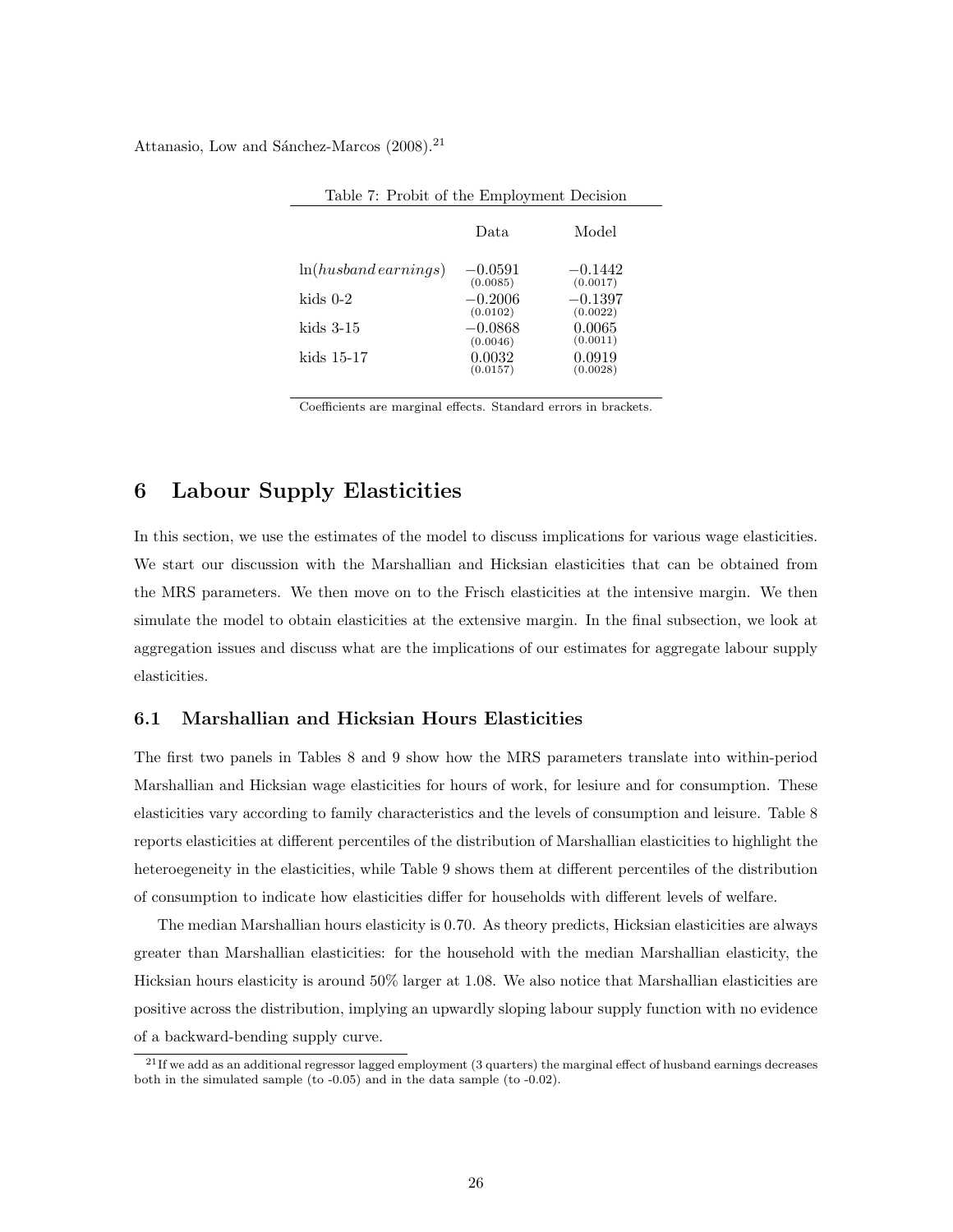Attanasio, Low and Sánchez-Marcos (2008).<sup>21</sup>

| Lable 1. I TODIL OF the Employment Decision |                       |                       |
|---------------------------------------------|-----------------------|-----------------------|
|                                             | Data.                 | Model                 |
| $ln(husband\,earnings)$                     | $-0.0591$<br>(0.0085) | $-0.1442$<br>(0.0017) |
| kids $0-2$                                  | $-0.2006$<br>(0.0102) | $-0.1397$<br>(0.0022) |
| kids 3-15                                   | $-0.0868$<br>(0.0046) | 0.0065<br>(0.0011)    |
| kids 15-17                                  | 0.0032<br>(0.0157)    | 0.0919<br>(0.0028)    |

Table 7: Probit of the Employment Decision

Coefficients are marginal effects. Standard errors in brackets.

## 6 Labour Supply Elasticities

In this section, we use the estimates of the model to discuss implications for various wage elasticities. We start our discussion with the Marshallian and Hicksian elasticities that can be obtained from the MRS parameters. We then move on to the Frisch elasticities at the intensive margin. We then simulate the model to obtain elasticities at the extensive margin. In the final subsection, we look at aggregation issues and discuss what are the implications of our estimates for aggregate labour supply elasticities.

#### 6.1 Marshallian and Hicksian Hours Elasticities

The first two panels in Tables 8 and 9 show how the MRS parameters translate into within-period Marshallian and Hicksian wage elasticities for hours of work, for lesiure and for consumption. These elasticities vary according to family characteristics and the levels of consumption and leisure. Table 8 reports elasticities at different percentiles of the distribution of Marshallian elasticities to highlight the heteroegeneity in the elasticities, while Table 9 shows them at different percentiles of the distribution of consumption to indicate how elasticities differ for households with different levels of welfare.

The median Marshallian hours elasticity is 0.70. As theory predicts, Hicksian elasticities are always greater than Marshallian elasticities: for the household with the median Marshallian elasticity, the Hicksian hours elasticity is around 50% larger at 1.08. We also notice that Marshallian elasticities are positive across the distribution, implying an upwardly sloping labour supply function with no evidence of a backward-bending supply curve.

 $^{21}$  If we add as an additional regressor lagged employment (3 quarters) the marginal effect of husband earnings decreases both in the simulated sample (to -0.05) and in the data sample (to -0.02).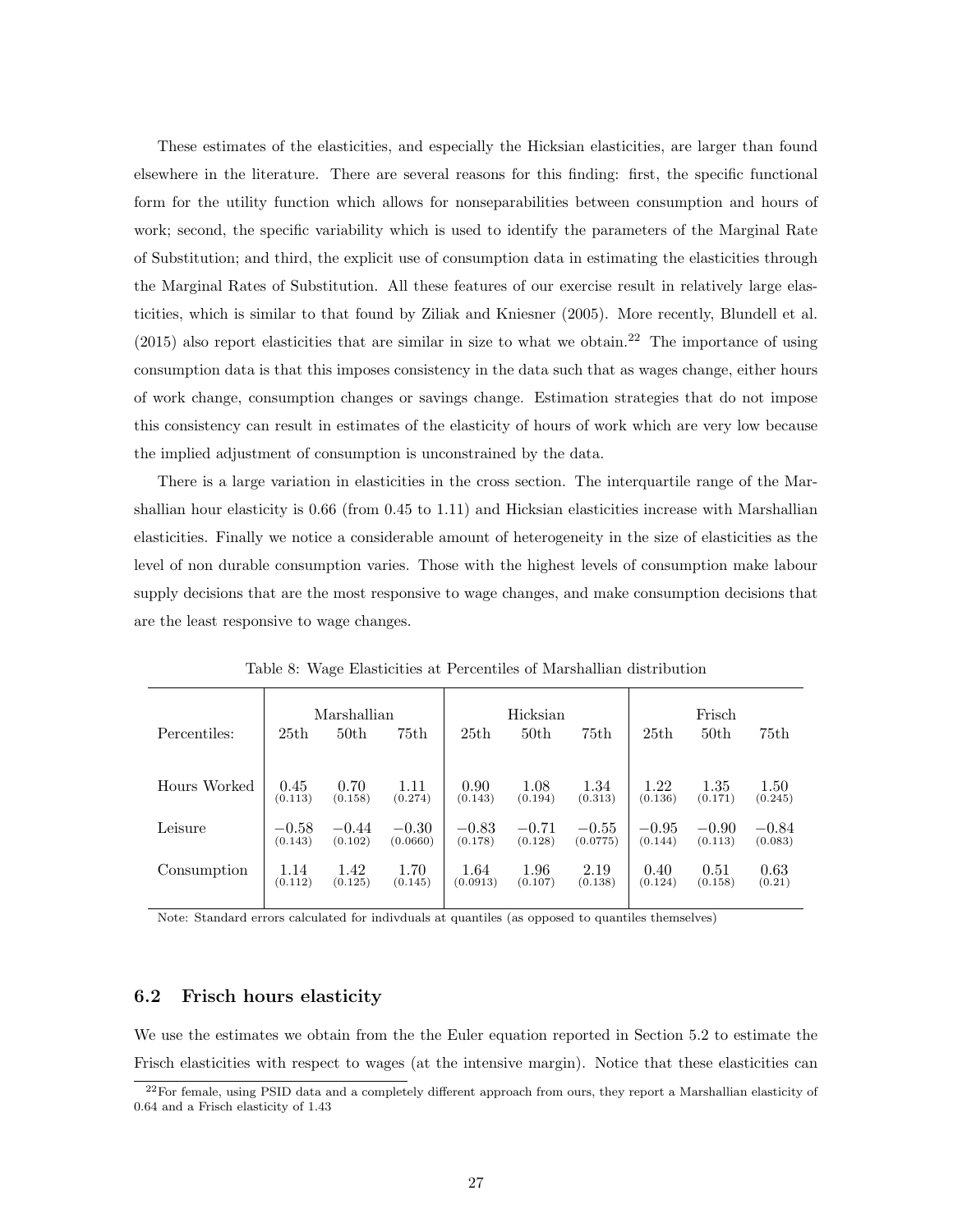These estimates of the elasticities, and especially the Hicksian elasticities, are larger than found elsewhere in the literature. There are several reasons for this finding: first, the specific functional form for the utility function which allows for nonseparabilities between consumption and hours of work; second, the specific variability which is used to identify the parameters of the Marginal Rate of Substitution; and third, the explicit use of consumption data in estimating the elasticities through the Marginal Rates of Substitution. All these features of our exercise result in relatively large elasticities, which is similar to that found by Ziliak and Kniesner (2005). More recently, Blundell et al.  $(2015)$  also report elasticities that are similar in size to what we obtain.<sup>22</sup> The importance of using consumption data is that this imposes consistency in the data such that as wages change, either hours of work change, consumption changes or savings change. Estimation strategies that do not impose this consistency can result in estimates of the elasticity of hours of work which are very low because the implied adjustment of consumption is unconstrained by the data.

There is a large variation in elasticities in the cross section. The interquartile range of the Marshallian hour elasticity is 0.66 (from 0.45 to 1.11) and Hicksian elasticities increase with Marshallian elasticities. Finally we notice a considerable amount of heterogeneity in the size of elasticities as the level of non durable consumption varies. Those with the highest levels of consumption make labour supply decisions that are the most responsive to wage changes, and make consumption decisions that are the least responsive to wage changes.

|              |         | Marshallian      |          |          | Hicksian         |          |         | Frisch           |         |
|--------------|---------|------------------|----------|----------|------------------|----------|---------|------------------|---------|
| Percentiles: | 25th    | 50 <sub>th</sub> | 75th     | 25th     | 50 <sub>th</sub> | 75th     | 25th    | 50 <sub>th</sub> | 75th    |
|              |         |                  |          |          |                  |          |         |                  |         |
| Hours Worked | 0.45    | 0.70             | 1.11     | 0.90     | 1.08             | 1.34     | 1.22    | 1.35             | 1.50    |
|              | (0.113) | (0.158)          | (0.274)  | (0.143)  | (0.194)          | (0.313)  | (0.136) | (0.171)          | (0.245) |
| Leisure      | $-0.58$ | $-0.44$          | $-0.30$  | $-0.83$  | $-0.71$          | $-0.55$  | $-0.95$ | $-0.90$          | $-0.84$ |
|              | (0.143) | (0.102)          | (0.0660) | (0.178)  | (0.128)          | (0.0775) | (0.144) | (0.113)          | (0.083) |
| Consumption  | 1.14    | 1.42             | 1.70     | 1.64     | 1.96             | 2.19     | 0.40    | 0.51             | 0.63    |
|              | (0.112) | (0.125)          | (0.145)  | (0.0913) | (0.107)          | (0.138)  | (0.124) | (0.158)          | (0.21)  |

Table 8: Wage Elasticities at Percentiles of Marshallian distribution

Note: Standard errors calculated for indivduals at quantiles (as opposed to quantiles themselves)

#### 6.2 Frisch hours elasticity

We use the estimates we obtain from the the Euler equation reported in Section 5.2 to estimate the Frisch elasticities with respect to wages (at the intensive margin). Notice that these elasticities can

 $22$ For female, using PSID data and a completely different approach from ours, they report a Marshallian elasticity of 0.64 and a Frisch elasticity of 1.43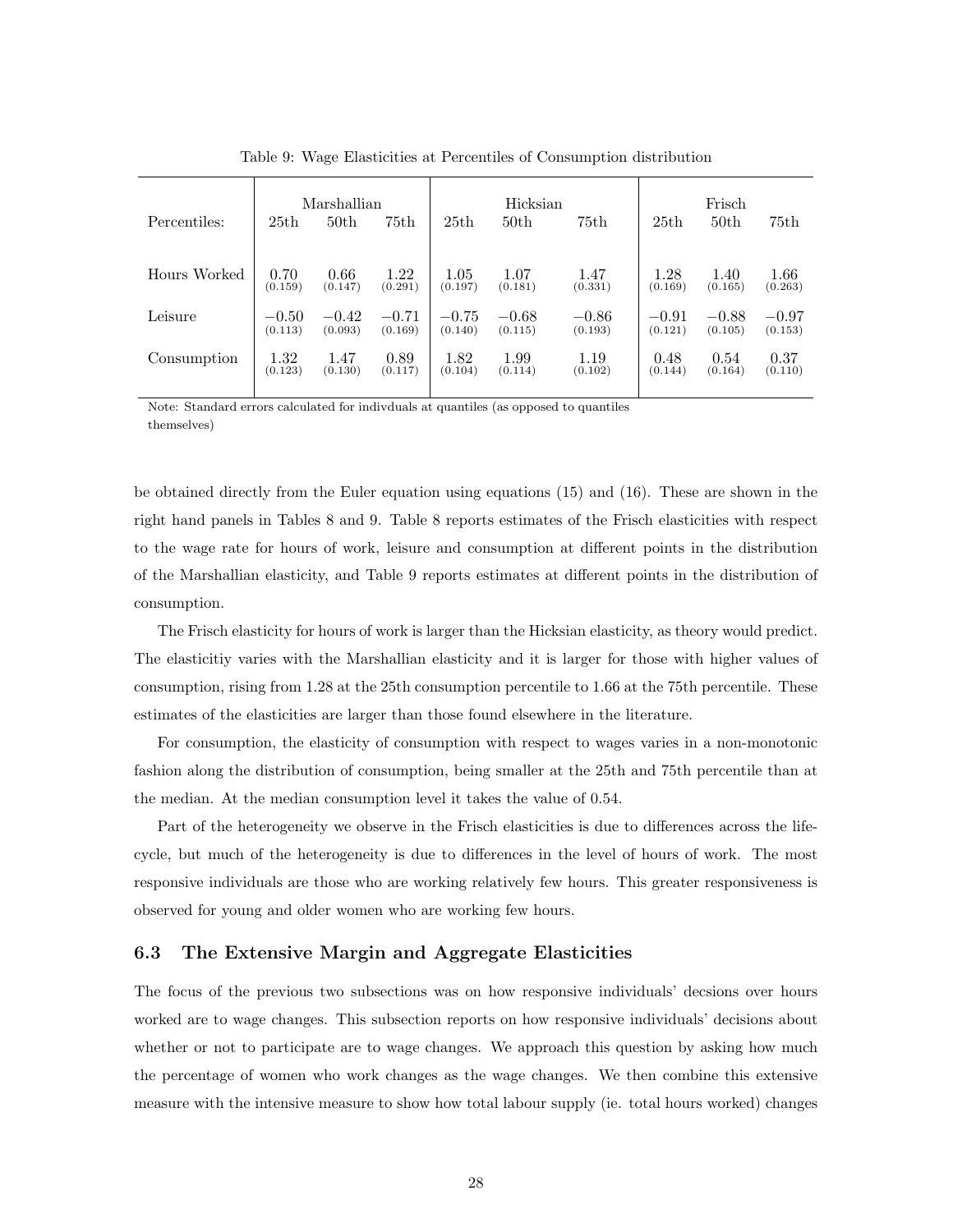| Percentiles: | 25th    | Marshallian<br>50 <sub>th</sub> | 75th    | 25th    | Hicksian<br>50 <sub>th</sub> | 75th    | 25th    | Frisch<br>50th | 75th    |
|--------------|---------|---------------------------------|---------|---------|------------------------------|---------|---------|----------------|---------|
| Hours Worked | 0.70    | 0.66                            | 1.22    | 1.05    | 1.07                         | 1.47    | 1.28    | 1.40           | 1.66    |
|              | (0.159) | (0.147)                         | (0.291) | (0.197) | (0.181)                      | (0.331) | (0.169) | (0.165)        | (0.263) |
| Leisure      | $-0.50$ | $-0.42$                         | $-0.71$ | $-0.75$ | $-0.68$                      | $-0.86$ | $-0.91$ | $-0.88$        | $-0.97$ |
|              | (0.113) | (0.093)                         | (0.169) | (0.140) | (0.115)                      | (0.193) | (0.121) | (0.105)        | (0.153) |
| Consumption  | 1.32    | 1.47                            | 0.89    | 1.82    | 1.99                         | 1.19    | 0.48    | 0.54           | 0.37    |
|              | (0.123) | (0.130)                         | (0.117) | (0.104) | (0.114)                      | (0.102) | (0.144) | (0.164)        | (0.110) |

Table 9: Wage Elasticities at Percentiles of Consumption distribution

Note: Standard errors calculated for indivduals at quantiles (as opposed to quantiles themselves)

be obtained directly from the Euler equation using equations (15) and (16). These are shown in the right hand panels in Tables 8 and 9. Table 8 reports estimates of the Frisch elasticities with respect to the wage rate for hours of work, leisure and consumption at different points in the distribution of the Marshallian elasticity, and Table 9 reports estimates at different points in the distribution of consumption.

The Frisch elasticity for hours of work is larger than the Hicksian elasticity, as theory would predict. The elasticitiy varies with the Marshallian elasticity and it is larger for those with higher values of consumption, rising from 1.28 at the 25th consumption percentile to 1.66 at the 75th percentile. These estimates of the elasticities are larger than those found elsewhere in the literature.

For consumption, the elasticity of consumption with respect to wages varies in a non-monotonic fashion along the distribution of consumption, being smaller at the 25th and 75th percentile than at the median. At the median consumption level it takes the value of 0.54.

Part of the heterogeneity we observe in the Frisch elasticities is due to differences across the lifecycle, but much of the heterogeneity is due to differences in the level of hours of work. The most responsive individuals are those who are working relatively few hours. This greater responsiveness is observed for young and older women who are working few hours.

#### 6.3 The Extensive Margin and Aggregate Elasticities

The focus of the previous two subsections was on how responsive individuals' decsions over hours worked are to wage changes. This subsection reports on how responsive individuals' decisions about whether or not to participate are to wage changes. We approach this question by asking how much the percentage of women who work changes as the wage changes. We then combine this extensive measure with the intensive measure to show how total labour supply (ie. total hours worked) changes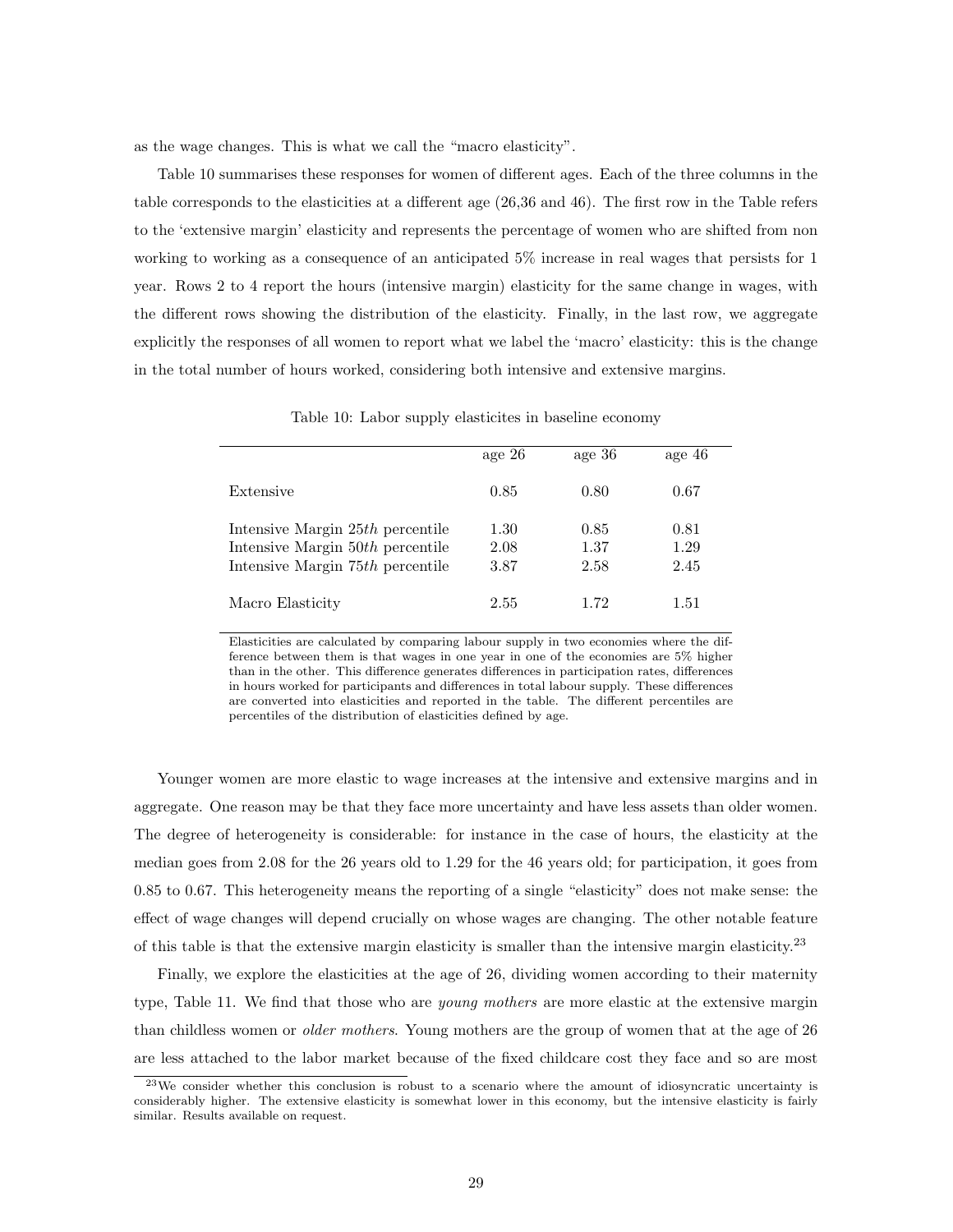as the wage changes. This is what we call the "macro elasticity".

Table 10 summarises these responses for women of different ages. Each of the three columns in the table corresponds to the elasticities at a different age (26,36 and 46). The first row in the Table refers to the 'extensive margin' elasticity and represents the percentage of women who are shifted from non working to working as a consequence of an anticipated 5% increase in real wages that persists for 1 year. Rows 2 to 4 report the hours (intensive margin) elasticity for the same change in wages, with the different rows showing the distribution of the elasticity. Finally, in the last row, we aggregate explicitly the responses of all women to report what we label the 'macro' elasticity: this is the change in the total number of hours worked, considering both intensive and extensive margins.

|  |  |  | Table 10: Labor supply elasticites in baseline economy |
|--|--|--|--------------------------------------------------------|
|--|--|--|--------------------------------------------------------|

|                                                                                                          | age $26$             | age 36               | age 46               |
|----------------------------------------------------------------------------------------------------------|----------------------|----------------------|----------------------|
| Extensive                                                                                                | 0.85                 | 0.80                 | 0.67                 |
| Intensive Margin 25th percentile<br>Intensive Margin 50th percentile<br>Intensive Margin 75th percentile | 1.30<br>2.08<br>3.87 | 0.85<br>1.37<br>2.58 | 0.81<br>1.29<br>2.45 |
| Macro Elasticity                                                                                         | 2.55                 | 1.72                 | 1.51                 |

Elasticities are calculated by comparing labour supply in two economies where the difference between them is that wages in one year in one of the economies are 5% higher than in the other. This difference generates differences in participation rates, differences in hours worked for participants and differences in total labour supply. These differences are converted into elasticities and reported in the table. The different percentiles are percentiles of the distribution of elasticities defined by age.

Younger women are more elastic to wage increases at the intensive and extensive margins and in aggregate. One reason may be that they face more uncertainty and have less assets than older women. The degree of heterogeneity is considerable: for instance in the case of hours, the elasticity at the median goes from 2.08 for the 26 years old to 1.29 for the 46 years old; for participation, it goes from 0.85 to 0.67. This heterogeneity means the reporting of a single "elasticity" does not make sense: the effect of wage changes will depend crucially on whose wages are changing. The other notable feature of this table is that the extensive margin elasticity is smaller than the intensive margin elasticity.<sup>23</sup>

Finally, we explore the elasticities at the age of 26, dividing women according to their maternity type, Table 11. We find that those who are *young mothers* are more elastic at the extensive margin than childless women or older mothers. Young mothers are the group of women that at the age of 26 are less attached to the labor market because of the fixed childcare cost they face and so are most

<sup>23</sup>We consider whether this conclusion is robust to a scenario where the amount of idiosyncratic uncertainty is considerably higher. The extensive elasticity is somewhat lower in this economy, but the intensive elasticity is fairly similar. Results available on request.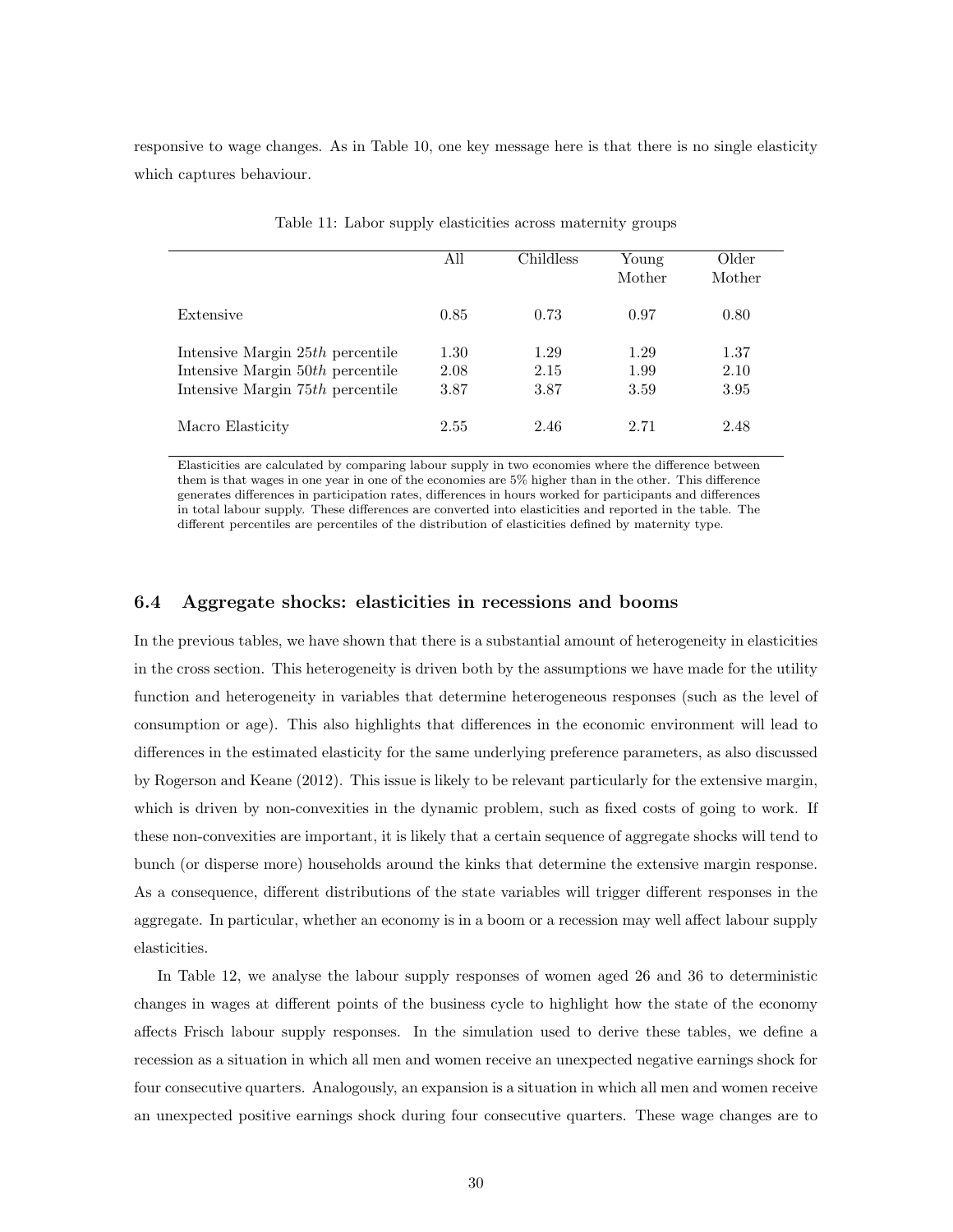responsive to wage changes. As in Table 10, one key message here is that there is no single elasticity which captures behaviour.

|                                                                                                            | All                  | Childless            | Young<br>Mother      | Older<br>Mother      |
|------------------------------------------------------------------------------------------------------------|----------------------|----------------------|----------------------|----------------------|
| Extensive                                                                                                  | 0.85                 | 0.73                 | 0.97                 | 0.80                 |
| Intensive Margin $25th$ percentile<br>Intensive Margin 50th percentile<br>Intensive Margin 75th percentile | 1.30<br>2.08<br>3.87 | 1.29<br>2.15<br>3.87 | 1.29<br>1.99<br>3.59 | 1.37<br>2.10<br>3.95 |
| Macro Elasticity                                                                                           | 2.55                 | 2.46                 | 2.71                 | 2.48                 |

Table 11: Labor supply elasticities across maternity groups

Elasticities are calculated by comparing labour supply in two economies where the difference between them is that wages in one year in one of the economies are 5% higher than in the other. This difference generates differences in participation rates, differences in hours worked for participants and differences in total labour supply. These differences are converted into elasticities and reported in the table. The different percentiles are percentiles of the distribution of elasticities defined by maternity type.

#### 6.4 Aggregate shocks: elasticities in recessions and booms

In the previous tables, we have shown that there is a substantial amount of heterogeneity in elasticities in the cross section. This heterogeneity is driven both by the assumptions we have made for the utility function and heterogeneity in variables that determine heterogeneous responses (such as the level of consumption or age). This also highlights that differences in the economic environment will lead to differences in the estimated elasticity for the same underlying preference parameters, as also discussed by Rogerson and Keane (2012). This issue is likely to be relevant particularly for the extensive margin, which is driven by non-convexities in the dynamic problem, such as fixed costs of going to work. If these non-convexities are important, it is likely that a certain sequence of aggregate shocks will tend to bunch (or disperse more) households around the kinks that determine the extensive margin response. As a consequence, different distributions of the state variables will trigger different responses in the aggregate. In particular, whether an economy is in a boom or a recession may well affect labour supply elasticities.

In Table 12, we analyse the labour supply responses of women aged 26 and 36 to deterministic changes in wages at different points of the business cycle to highlight how the state of the economy affects Frisch labour supply responses. In the simulation used to derive these tables, we define a recession as a situation in which all men and women receive an unexpected negative earnings shock for four consecutive quarters. Analogously, an expansion is a situation in which all men and women receive an unexpected positive earnings shock during four consecutive quarters. These wage changes are to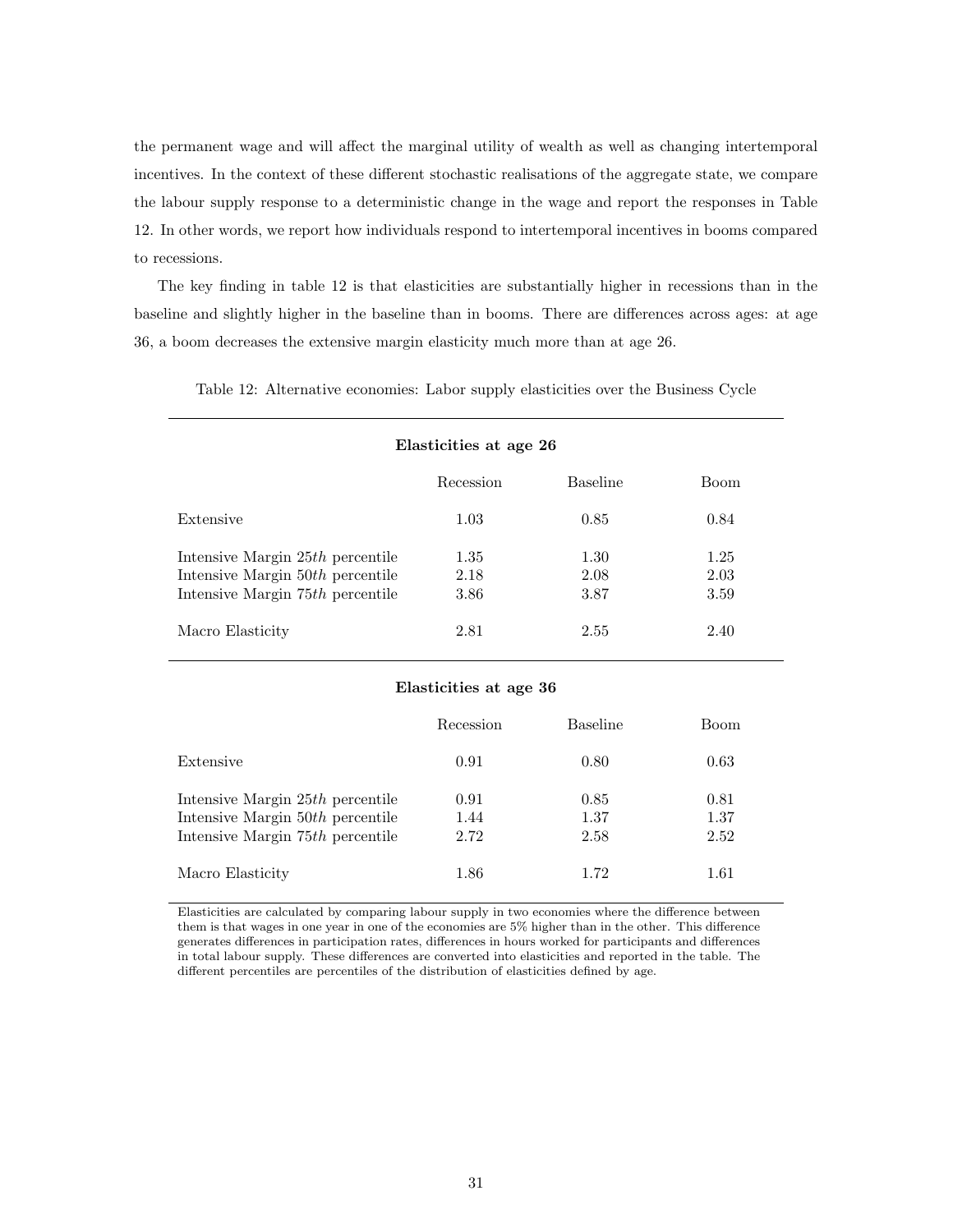the permanent wage and will affect the marginal utility of wealth as well as changing intertemporal incentives. In the context of these different stochastic realisations of the aggregate state, we compare the labour supply response to a deterministic change in the wage and report the responses in Table 12. In other words, we report how individuals respond to intertemporal incentives in booms compared to recessions.

The key finding in table 12 is that elasticities are substantially higher in recessions than in the baseline and slightly higher in the baseline than in booms. There are differences across ages: at age 36, a boom decreases the extensive margin elasticity much more than at age 26.

Table 12: Alternative economies: Labor supply elasticities over the Business Cycle

| Elasticities at age 26                                                 |              |                 |              |  |
|------------------------------------------------------------------------|--------------|-----------------|--------------|--|
|                                                                        | Recession    | <b>Baseline</b> | <b>Boom</b>  |  |
| Extensive                                                              | 1.03         | 0.85            | 0.84         |  |
| Intensive Margin 25th percentile<br>Intensive Margin $50th$ percentile | 1.35<br>2.18 | 1.30<br>2.08    | 1.25<br>2.03 |  |
| Intensive Margin 75th percentile                                       | 3.86         | 3.87            | 3.59         |  |
| Macro Elasticity                                                       | 2.81         | 2.55            | 2.40         |  |

#### Elasticities at age 36

|                                                                                                            | Recession            | <b>Baseline</b>      | <b>Boom</b>          |
|------------------------------------------------------------------------------------------------------------|----------------------|----------------------|----------------------|
| Extensive                                                                                                  | 0.91                 | 0.80                 | 0.63                 |
| Intensive Margin 25th percentile<br>Intensive Margin $50th$ percentile<br>Intensive Margin 75th percentile | 0.91<br>1.44<br>2.72 | 0.85<br>1.37<br>2.58 | 0.81<br>1.37<br>2.52 |
| Macro Elasticity                                                                                           | 1.86                 | 1.72                 | 1.61                 |

Elasticities are calculated by comparing labour supply in two economies where the difference between them is that wages in one year in one of the economies are 5% higher than in the other. This difference generates differences in participation rates, differences in hours worked for participants and differences in total labour supply. These differences are converted into elasticities and reported in the table. The different percentiles are percentiles of the distribution of elasticities defined by age.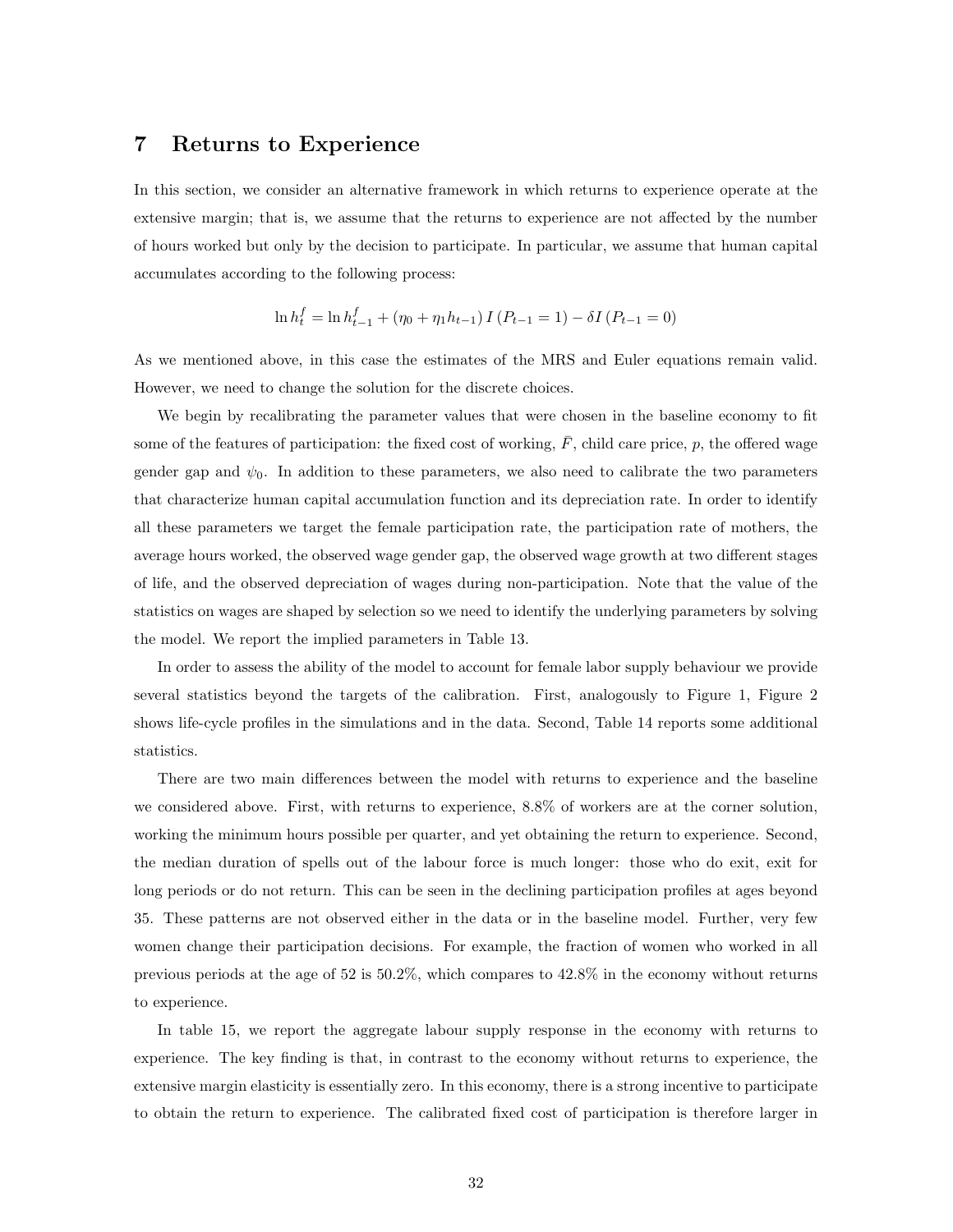## 7 Returns to Experience

In this section, we consider an alternative framework in which returns to experience operate at the extensive margin; that is, we assume that the returns to experience are not affected by the number of hours worked but only by the decision to participate. In particular, we assume that human capital accumulates according to the following process:

$$
\ln h_t^f = \ln h_{t-1}^f + (\eta_0 + \eta_1 h_{t-1}) I (P_{t-1} = 1) - \delta I (P_{t-1} = 0)
$$

As we mentioned above, in this case the estimates of the MRS and Euler equations remain valid. However, we need to change the solution for the discrete choices.

We begin by recalibrating the parameter values that were chosen in the baseline economy to fit some of the features of participation: the fixed cost of working,  $\bar{F}$ , child care price, p, the offered wage gender gap and  $\psi_0$ . In addition to these parameters, we also need to calibrate the two parameters that characterize human capital accumulation function and its depreciation rate. In order to identify all these parameters we target the female participation rate, the participation rate of mothers, the average hours worked, the observed wage gender gap, the observed wage growth at two different stages of life, and the observed depreciation of wages during non-participation. Note that the value of the statistics on wages are shaped by selection so we need to identify the underlying parameters by solving the model. We report the implied parameters in Table 13.

In order to assess the ability of the model to account for female labor supply behaviour we provide several statistics beyond the targets of the calibration. First, analogously to Figure 1, Figure 2 shows life-cycle profiles in the simulations and in the data. Second, Table 14 reports some additional statistics.

There are two main differences between the model with returns to experience and the baseline we considered above. First, with returns to experience, 8.8% of workers are at the corner solution, working the minimum hours possible per quarter, and yet obtaining the return to experience. Second, the median duration of spells out of the labour force is much longer: those who do exit, exit for long periods or do not return. This can be seen in the declining participation profiles at ages beyond 35. These patterns are not observed either in the data or in the baseline model. Further, very few women change their participation decisions. For example, the fraction of women who worked in all previous periods at the age of 52 is 50.2%, which compares to 42.8% in the economy without returns to experience.

In table 15, we report the aggregate labour supply response in the economy with returns to experience. The key finding is that, in contrast to the economy without returns to experience, the extensive margin elasticity is essentially zero. In this economy, there is a strong incentive to participate to obtain the return to experience. The calibrated fixed cost of participation is therefore larger in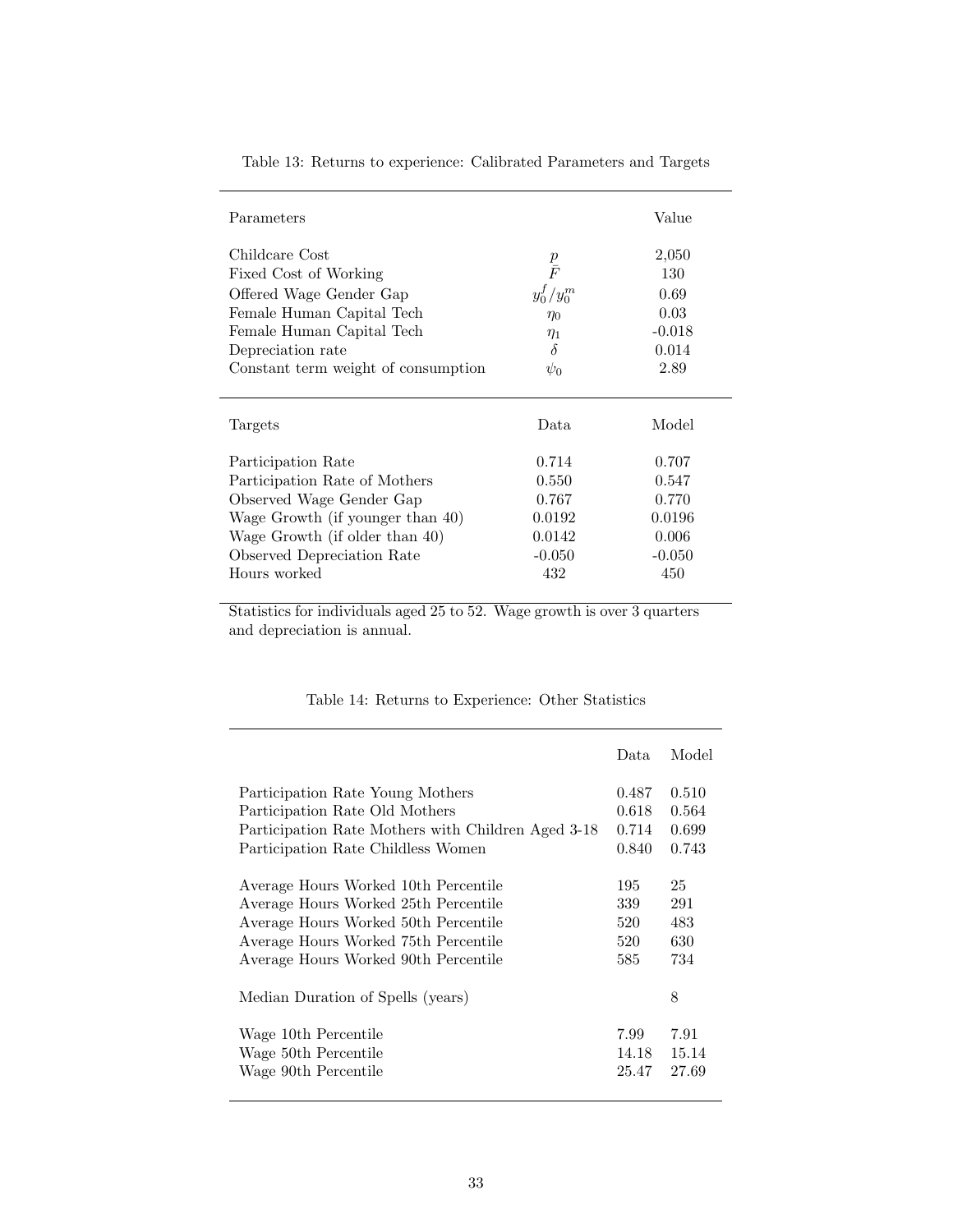| Parameters                          |                     | Value    |
|-------------------------------------|---------------------|----------|
| Childcare Cost                      | $\frac{p}{\bar{F}}$ | 2,050    |
| Fixed Cost of Working               |                     | 130      |
| Offered Wage Gender Gap             | $y_0^f / y_0^m$     | 0.69     |
| Female Human Capital Tech           | $\eta_0$            | 0.03     |
| Female Human Capital Tech           | $\eta_1$            | $-0.018$ |
| Depreciation rate                   | δ                   | 0.014    |
| Constant term weight of consumption | $\psi_0$            | 2.89     |
| Targets                             | Data.               | Model    |
| Participation Rate                  | 0.714               | 0.707    |
| Participation Rate of Mothers       | 0.550               | 0.547    |
| Observed Wage Gender Gap            | 0.767               | 0.770    |
| Wage Growth (if younger than 40)    | 0.0192              | 0.0196   |
| Wage Growth (if older than 40)      | 0.0142              | 0.006    |
| Observed Depreciation Rate          | $-0.050$            | $-0.050$ |
| Hours worked                        | 432                 | 450      |

Table 13: Returns to experience: Calibrated Parameters and Targets

Statistics for individuals aged 25 to 52. Wage growth is over 3 quarters and depreciation is annual.

|                                                    | Data  | Model |
|----------------------------------------------------|-------|-------|
| Participation Rate Young Mothers                   | 0.487 | 0.510 |
| Participation Rate Old Mothers                     | 0.618 | 0.564 |
| Participation Rate Mothers with Children Aged 3-18 | 0.714 | 0.699 |
| Participation Rate Childless Women                 | 0.840 | 0.743 |
| Average Hours Worked 10th Percentile               | 195   | 25    |
| Average Hours Worked 25th Percentile               | 339   | 291   |
| Average Hours Worked 50th Percentile               | 520   | 483   |
| Average Hours Worked 75th Percentile               | 520   | 630   |
| Average Hours Worked 90th Percentile               | 585   | 734   |
| Median Duration of Spells (years)                  |       | 8     |
| Wage 10th Percentile                               | 7.99  | 7.91  |
| Wage 50th Percentile                               | 14.18 | 15.14 |
| Wage 90th Percentile                               | 25.47 | 27.69 |

## Table 14: Returns to Experience: Other Statistics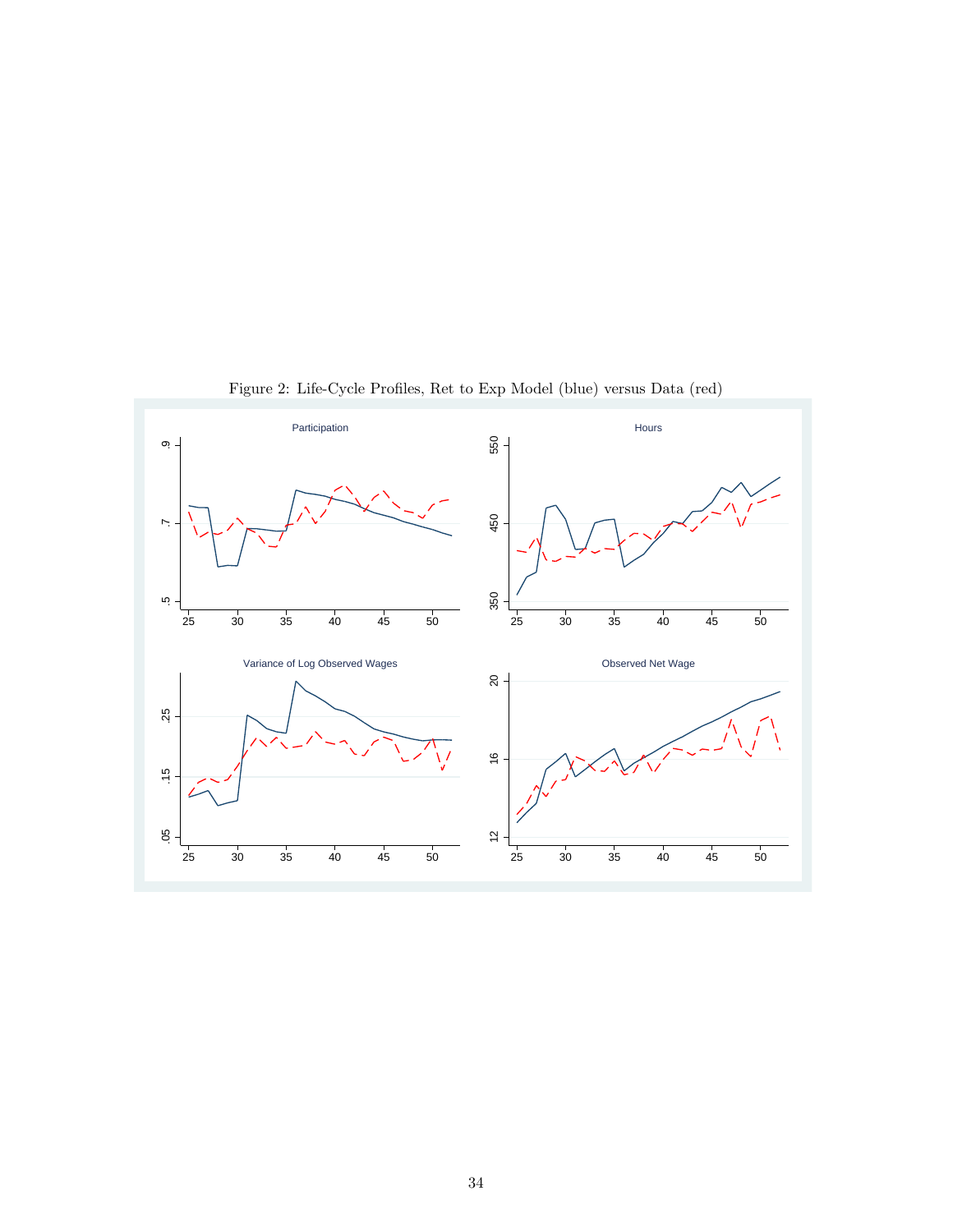

Figure 2: Life-Cycle Profiles, Ret to Exp Model (blue) versus Data (red)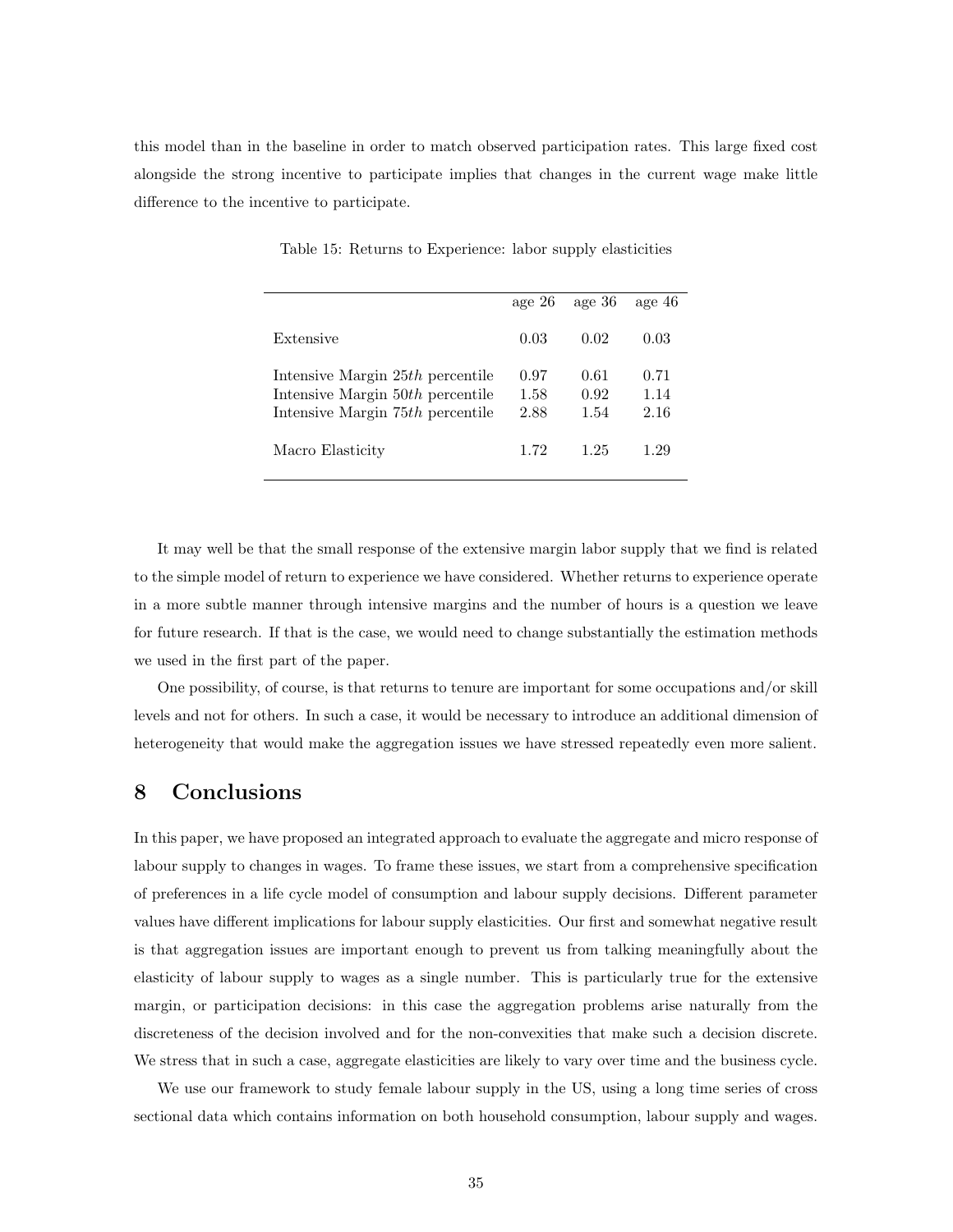this model than in the baseline in order to match observed participation rates. This large fixed cost alongside the strong incentive to participate implies that changes in the current wage make little difference to the incentive to participate.

|                                                                                                          | age $26$             | age 36               | age 46               |
|----------------------------------------------------------------------------------------------------------|----------------------|----------------------|----------------------|
| Extensive                                                                                                | 0.03                 | 0.02                 | 0.03                 |
| Intensive Margin 25th percentile<br>Intensive Margin 50th percentile<br>Intensive Margin 75th percentile | 0.97<br>1.58<br>2.88 | 0.61<br>0.92<br>1.54 | 0.71<br>1.14<br>2.16 |
| Macro Elasticity                                                                                         | 1.72                 | 1.25                 | 1 29                 |

Table 15: Returns to Experience: labor supply elasticities

It may well be that the small response of the extensive margin labor supply that we find is related to the simple model of return to experience we have considered. Whether returns to experience operate in a more subtle manner through intensive margins and the number of hours is a question we leave for future research. If that is the case, we would need to change substantially the estimation methods we used in the first part of the paper.

One possibility, of course, is that returns to tenure are important for some occupations and/or skill levels and not for others. In such a case, it would be necessary to introduce an additional dimension of heterogeneity that would make the aggregation issues we have stressed repeatedly even more salient.

## 8 Conclusions

In this paper, we have proposed an integrated approach to evaluate the aggregate and micro response of labour supply to changes in wages. To frame these issues, we start from a comprehensive specification of preferences in a life cycle model of consumption and labour supply decisions. Different parameter values have different implications for labour supply elasticities. Our first and somewhat negative result is that aggregation issues are important enough to prevent us from talking meaningfully about the elasticity of labour supply to wages as a single number. This is particularly true for the extensive margin, or participation decisions: in this case the aggregation problems arise naturally from the discreteness of the decision involved and for the non-convexities that make such a decision discrete. We stress that in such a case, aggregate elasticities are likely to vary over time and the business cycle.

We use our framework to study female labour supply in the US, using a long time series of cross sectional data which contains information on both household consumption, labour supply and wages.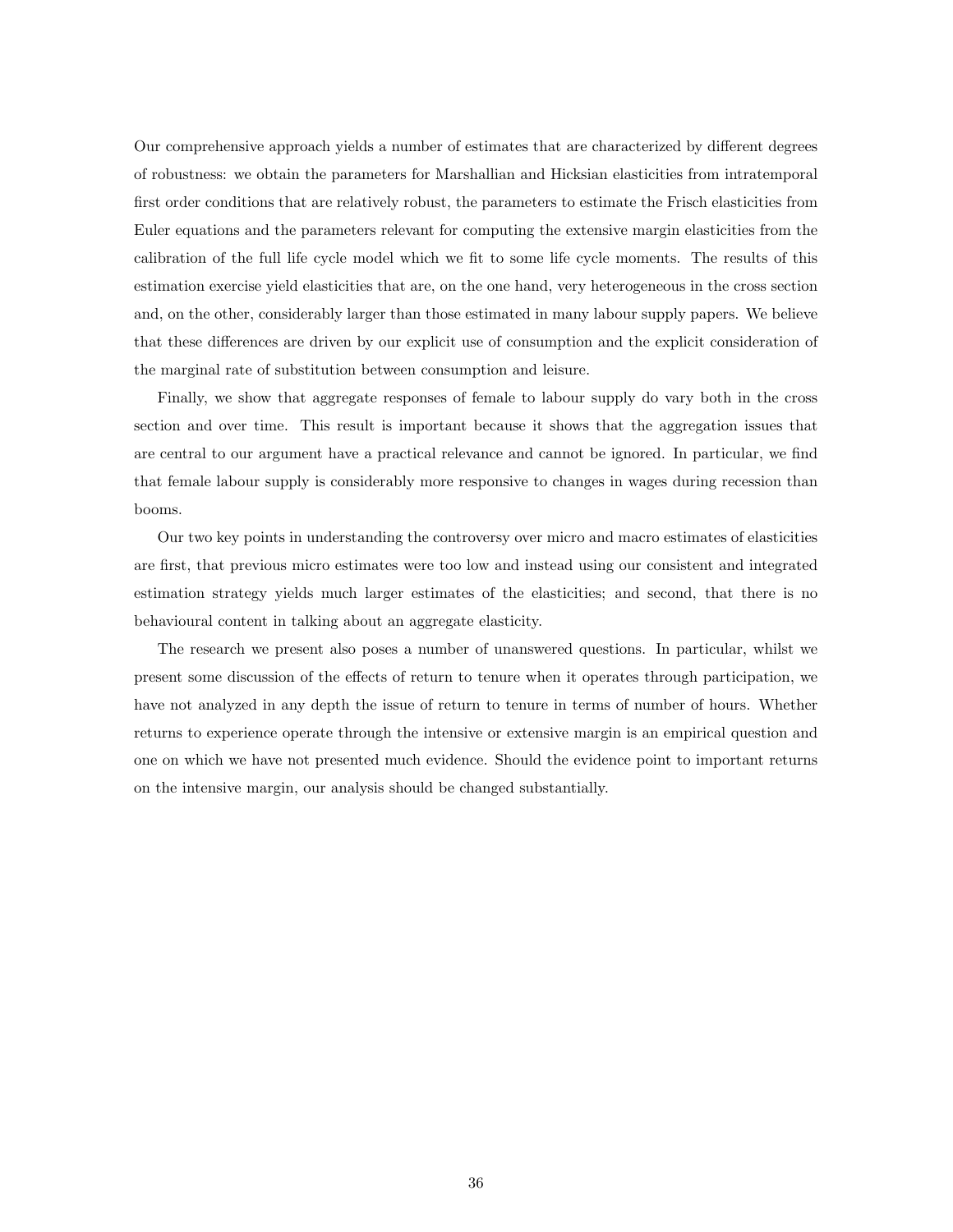Our comprehensive approach yields a number of estimates that are characterized by different degrees of robustness: we obtain the parameters for Marshallian and Hicksian elasticities from intratemporal first order conditions that are relatively robust, the parameters to estimate the Frisch elasticities from Euler equations and the parameters relevant for computing the extensive margin elasticities from the calibration of the full life cycle model which we fit to some life cycle moments. The results of this estimation exercise yield elasticities that are, on the one hand, very heterogeneous in the cross section and, on the other, considerably larger than those estimated in many labour supply papers. We believe that these differences are driven by our explicit use of consumption and the explicit consideration of the marginal rate of substitution between consumption and leisure.

Finally, we show that aggregate responses of female to labour supply do vary both in the cross section and over time. This result is important because it shows that the aggregation issues that are central to our argument have a practical relevance and cannot be ignored. In particular, we find that female labour supply is considerably more responsive to changes in wages during recession than booms.

Our two key points in understanding the controversy over micro and macro estimates of elasticities are first, that previous micro estimates were too low and instead using our consistent and integrated estimation strategy yields much larger estimates of the elasticities; and second, that there is no behavioural content in talking about an aggregate elasticity.

The research we present also poses a number of unanswered questions. In particular, whilst we present some discussion of the effects of return to tenure when it operates through participation, we have not analyzed in any depth the issue of return to tenure in terms of number of hours. Whether returns to experience operate through the intensive or extensive margin is an empirical question and one on which we have not presented much evidence. Should the evidence point to important returns on the intensive margin, our analysis should be changed substantially.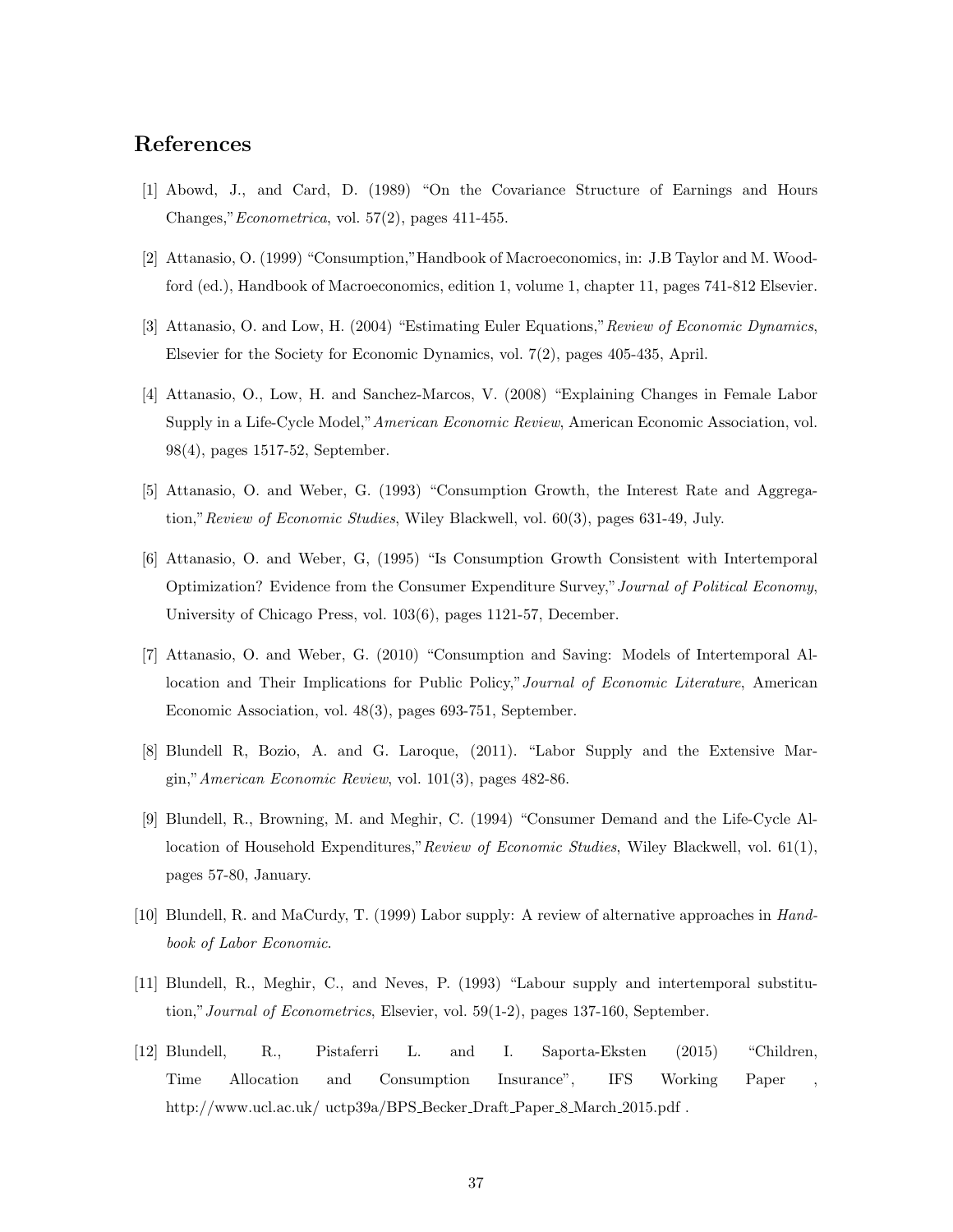## References

- [1] Abowd, J., and Card, D. (1989) "On the Covariance Structure of Earnings and Hours Changes,"Econometrica, vol. 57(2), pages 411-455.
- [2] Attanasio, O. (1999) "Consumption,"Handbook of Macroeconomics, in: J.B Taylor and M. Woodford (ed.), Handbook of Macroeconomics, edition 1, volume 1, chapter 11, pages 741-812 Elsevier.
- [3] Attanasio, O. and Low, H. (2004) "Estimating Euler Equations,"Review of Economic Dynamics, Elsevier for the Society for Economic Dynamics, vol. 7(2), pages 405-435, April.
- [4] Attanasio, O., Low, H. and Sanchez-Marcos, V. (2008) "Explaining Changes in Female Labor Supply in a Life-Cycle Model,"American Economic Review, American Economic Association, vol. 98(4), pages 1517-52, September.
- [5] Attanasio, O. and Weber, G. (1993) "Consumption Growth, the Interest Rate and Aggregation,"Review of Economic Studies, Wiley Blackwell, vol. 60(3), pages 631-49, July.
- [6] Attanasio, O. and Weber, G, (1995) "Is Consumption Growth Consistent with Intertemporal Optimization? Evidence from the Consumer Expenditure Survey,"Journal of Political Economy, University of Chicago Press, vol. 103(6), pages 1121-57, December.
- [7] Attanasio, O. and Weber, G. (2010) "Consumption and Saving: Models of Intertemporal Allocation and Their Implications for Public Policy," Journal of Economic Literature, American Economic Association, vol. 48(3), pages 693-751, September.
- [8] Blundell R, Bozio, A. and G. Laroque, (2011). "Labor Supply and the Extensive Margin,"American Economic Review, vol. 101(3), pages 482-86.
- [9] Blundell, R., Browning, M. and Meghir, C. (1994) "Consumer Demand and the Life-Cycle Allocation of Household Expenditures," Review of Economic Studies, Wiley Blackwell, vol. 61(1), pages 57-80, January.
- [10] Blundell, R. and MaCurdy, T. (1999) Labor supply: A review of alternative approaches in Handbook of Labor Economic.
- [11] Blundell, R., Meghir, C., and Neves, P. (1993) "Labour supply and intertemporal substitution,"Journal of Econometrics, Elsevier, vol. 59(1-2), pages 137-160, September.
- [12] Blundell, R., Pistaferri L. and I. Saporta-Eksten (2015) "Children, Time Allocation and Consumption Insurance", IFS Working Paper http://www.ucl.ac.uk/ uctp39a/BPS\_Becker\_Draft\_Paper\_8\_March\_2015.pdf.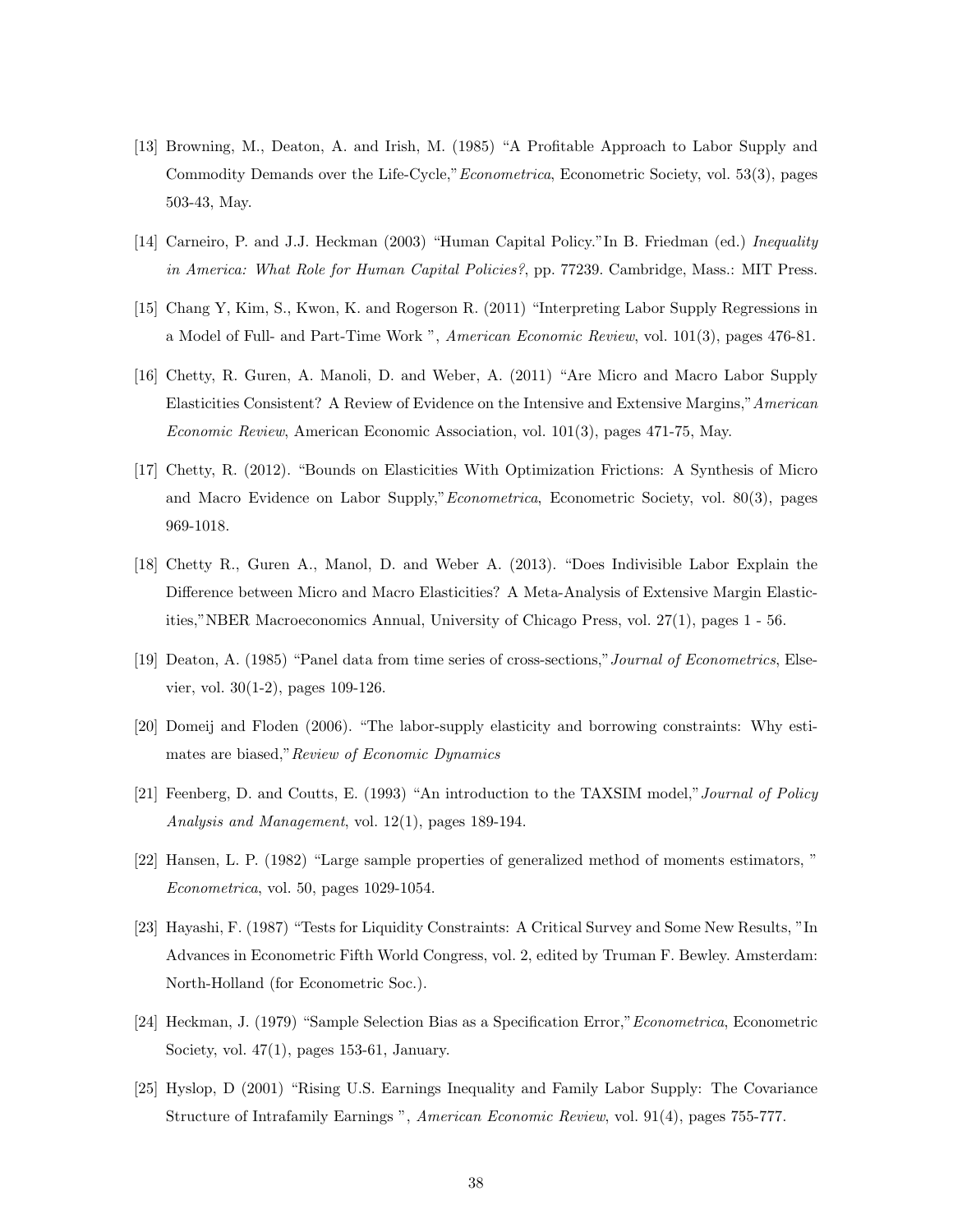- [13] Browning, M., Deaton, A. and Irish, M. (1985) "A Profitable Approach to Labor Supply and Commodity Demands over the Life-Cycle,"Econometrica, Econometric Society, vol. 53(3), pages 503-43, May.
- [14] Carneiro, P. and J.J. Heckman (2003) "Human Capital Policy."In B. Friedman (ed.) Inequality in America: What Role for Human Capital Policies?, pp. 77239. Cambridge, Mass.: MIT Press.
- [15] Chang Y, Kim, S., Kwon, K. and Rogerson R. (2011) "Interpreting Labor Supply Regressions in a Model of Full- and Part-Time Work ", American Economic Review, vol. 101(3), pages 476-81.
- [16] Chetty, R. Guren, A. Manoli, D. and Weber, A. (2011) "Are Micro and Macro Labor Supply Elasticities Consistent? A Review of Evidence on the Intensive and Extensive Margins,"American Economic Review, American Economic Association, vol. 101(3), pages 471-75, May.
- [17] Chetty, R. (2012). "Bounds on Elasticities With Optimization Frictions: A Synthesis of Micro and Macro Evidence on Labor Supply,"Econometrica, Econometric Society, vol. 80(3), pages 969-1018.
- [18] Chetty R., Guren A., Manol, D. and Weber A. (2013). "Does Indivisible Labor Explain the Difference between Micro and Macro Elasticities? A Meta-Analysis of Extensive Margin Elasticities,"NBER Macroeconomics Annual, University of Chicago Press, vol. 27(1), pages 1 - 56.
- [19] Deaton, A. (1985) "Panel data from time series of cross-sections,"Journal of Econometrics, Elsevier, vol. 30(1-2), pages 109-126.
- [20] Domeij and Floden (2006). "The labor-supply elasticity and borrowing constraints: Why estimates are biased,"Review of Economic Dynamics
- [21] Feenberg, D. and Coutts, E. (1993) "An introduction to the TAXSIM model,"Journal of Policy Analysis and Management, vol. 12(1), pages 189-194.
- [22] Hansen, L. P. (1982) "Large sample properties of generalized method of moments estimators, " Econometrica, vol. 50, pages 1029-1054.
- [23] Hayashi, F. (1987) "Tests for Liquidity Constraints: A Critical Survey and Some New Results, "In Advances in Econometric Fifth World Congress, vol. 2, edited by Truman F. Bewley. Amsterdam: North-Holland (for Econometric Soc.).
- [24] Heckman, J. (1979) "Sample Selection Bias as a Specification Error,"Econometrica, Econometric Society, vol.  $47(1)$ , pages 153-61, January.
- [25] Hyslop, D (2001) "Rising U.S. Earnings Inequality and Family Labor Supply: The Covariance Structure of Intrafamily Earnings ", American Economic Review, vol. 91(4), pages 755-777.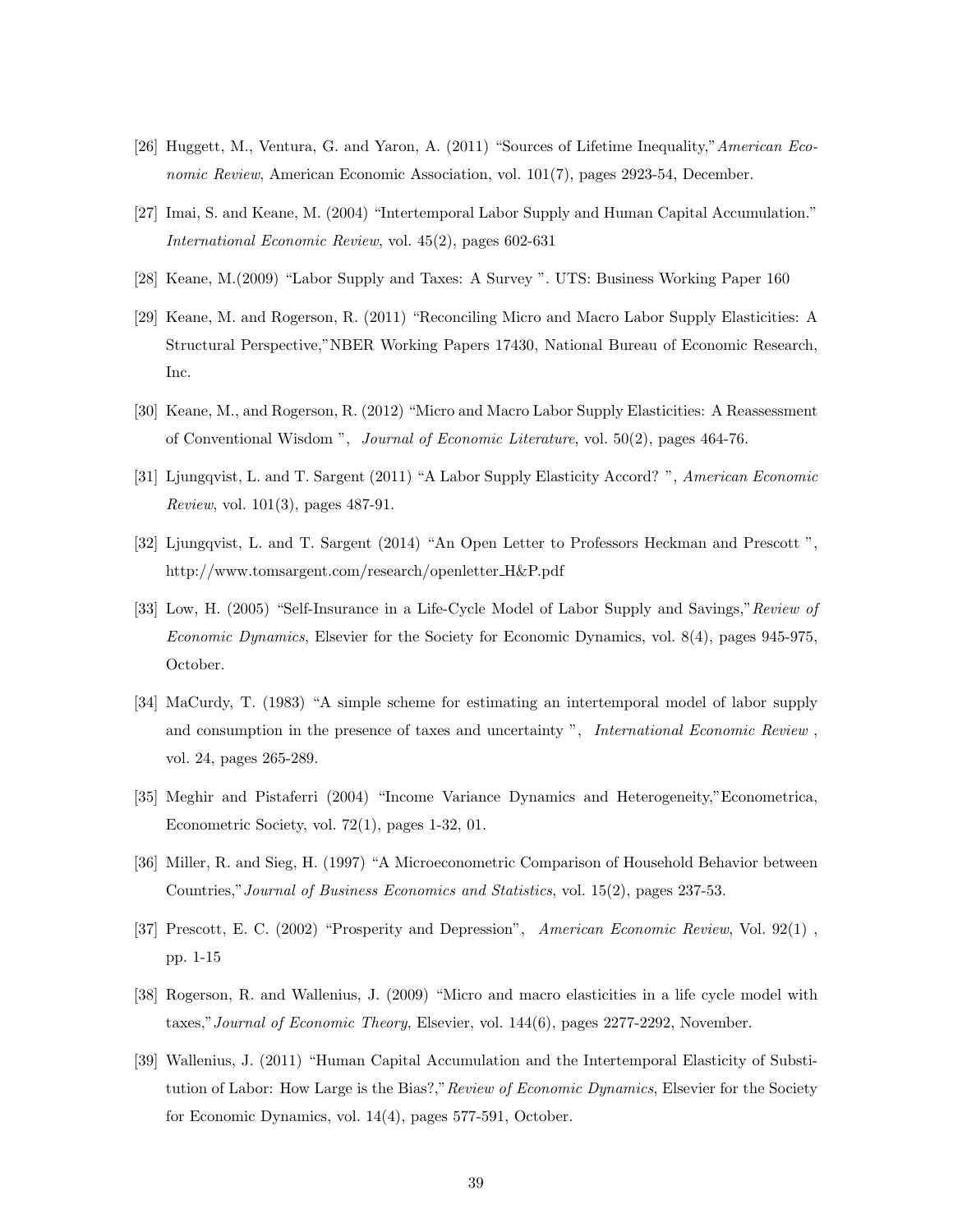- [26] Huggett, M., Ventura, G. and Yaron, A. (2011) "Sources of Lifetime Inequality,"American Economic Review, American Economic Association, vol. 101(7), pages 2923-54, December.
- [27] Imai, S. and Keane, M. (2004) "Intertemporal Labor Supply and Human Capital Accumulation." International Economic Review, vol. 45(2), pages 602-631
- [28] Keane, M.(2009) "Labor Supply and Taxes: A Survey ". UTS: Business Working Paper 160
- [29] Keane, M. and Rogerson, R. (2011) "Reconciling Micro and Macro Labor Supply Elasticities: A Structural Perspective,"NBER Working Papers 17430, National Bureau of Economic Research, Inc.
- [30] Keane, M., and Rogerson, R. (2012) "Micro and Macro Labor Supply Elasticities: A Reassessment of Conventional Wisdom ", Journal of Economic Literature, vol. 50(2), pages 464-76.
- [31] Ljungqvist, L. and T. Sargent (2011) "A Labor Supply Elasticity Accord? ", American Economic Review, vol. 101(3), pages 487-91.
- [32] Ljungqvist, L. and T. Sargent (2014) "An Open Letter to Professors Heckman and Prescott ", http://www.tomsargent.com/research/openletter H&P.pdf
- [33] Low, H. (2005) "Self-Insurance in a Life-Cycle Model of Labor Supply and Savings,"Review of Economic Dynamics, Elsevier for the Society for Economic Dynamics, vol. 8(4), pages 945-975, October.
- [34] MaCurdy, T. (1983) "A simple scheme for estimating an intertemporal model of labor supply and consumption in the presence of taxes and uncertainty ", International Economic Review, vol. 24, pages 265-289.
- [35] Meghir and Pistaferri (2004) "Income Variance Dynamics and Heterogeneity,"Econometrica, Econometric Society, vol. 72(1), pages 1-32, 01.
- [36] Miller, R. and Sieg, H. (1997) "A Microeconometric Comparison of Household Behavior between Countries,"Journal of Business Economics and Statistics, vol. 15(2), pages 237-53.
- [37] Prescott, E. C. (2002) "Prosperity and Depression", American Economic Review, Vol. 92(1) , pp. 1-15
- [38] Rogerson, R. and Wallenius, J. (2009) "Micro and macro elasticities in a life cycle model with taxes,"Journal of Economic Theory, Elsevier, vol. 144(6), pages 2277-2292, November.
- [39] Wallenius, J. (2011) "Human Capital Accumulation and the Intertemporal Elasticity of Substitution of Labor: How Large is the Bias?," Review of Economic Dynamics, Elsevier for the Society for Economic Dynamics, vol. 14(4), pages 577-591, October.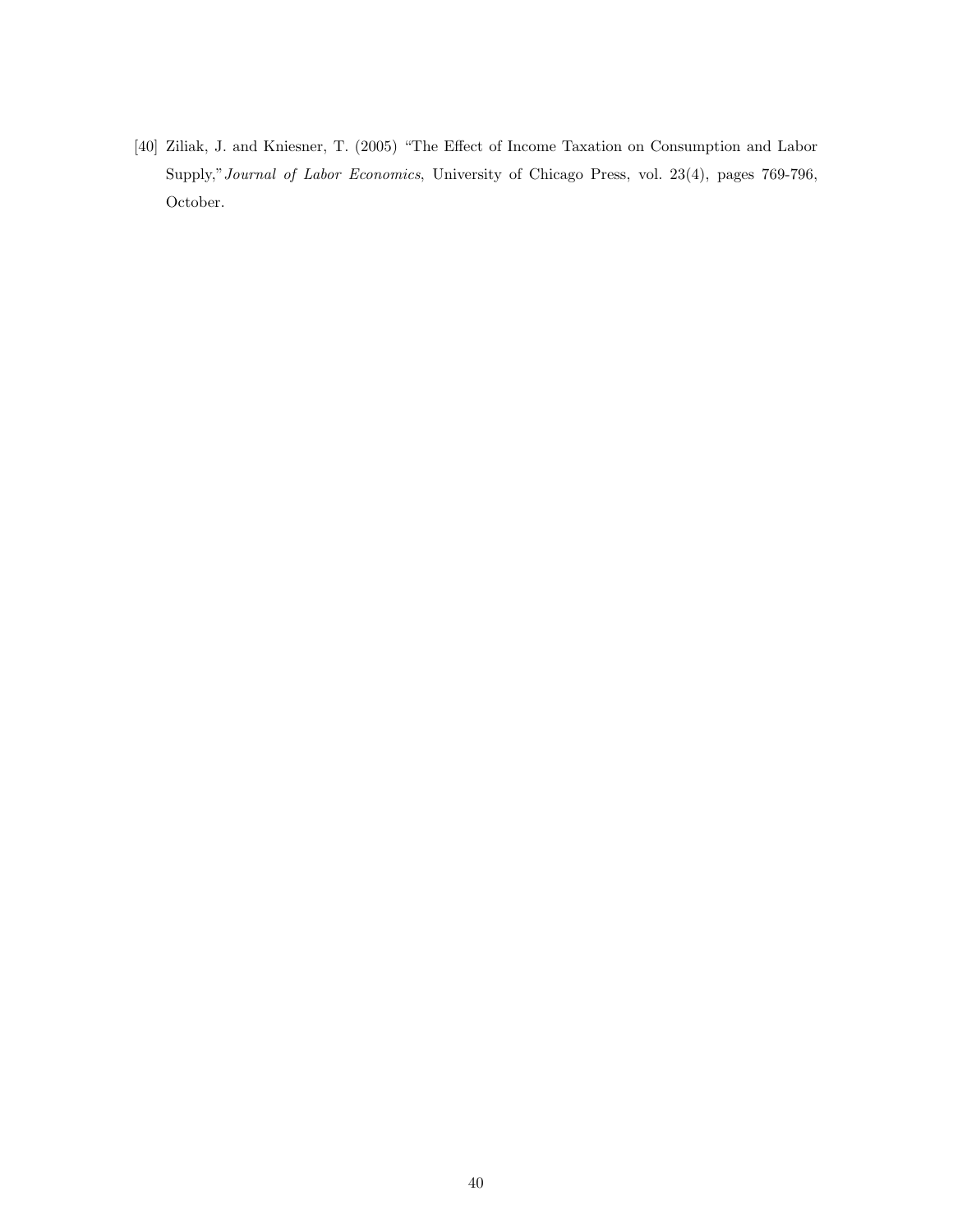[40] Ziliak, J. and Kniesner, T. (2005) "The Effect of Income Taxation on Consumption and Labor Supply,"Journal of Labor Economics, University of Chicago Press, vol. 23(4), pages 769-796, October.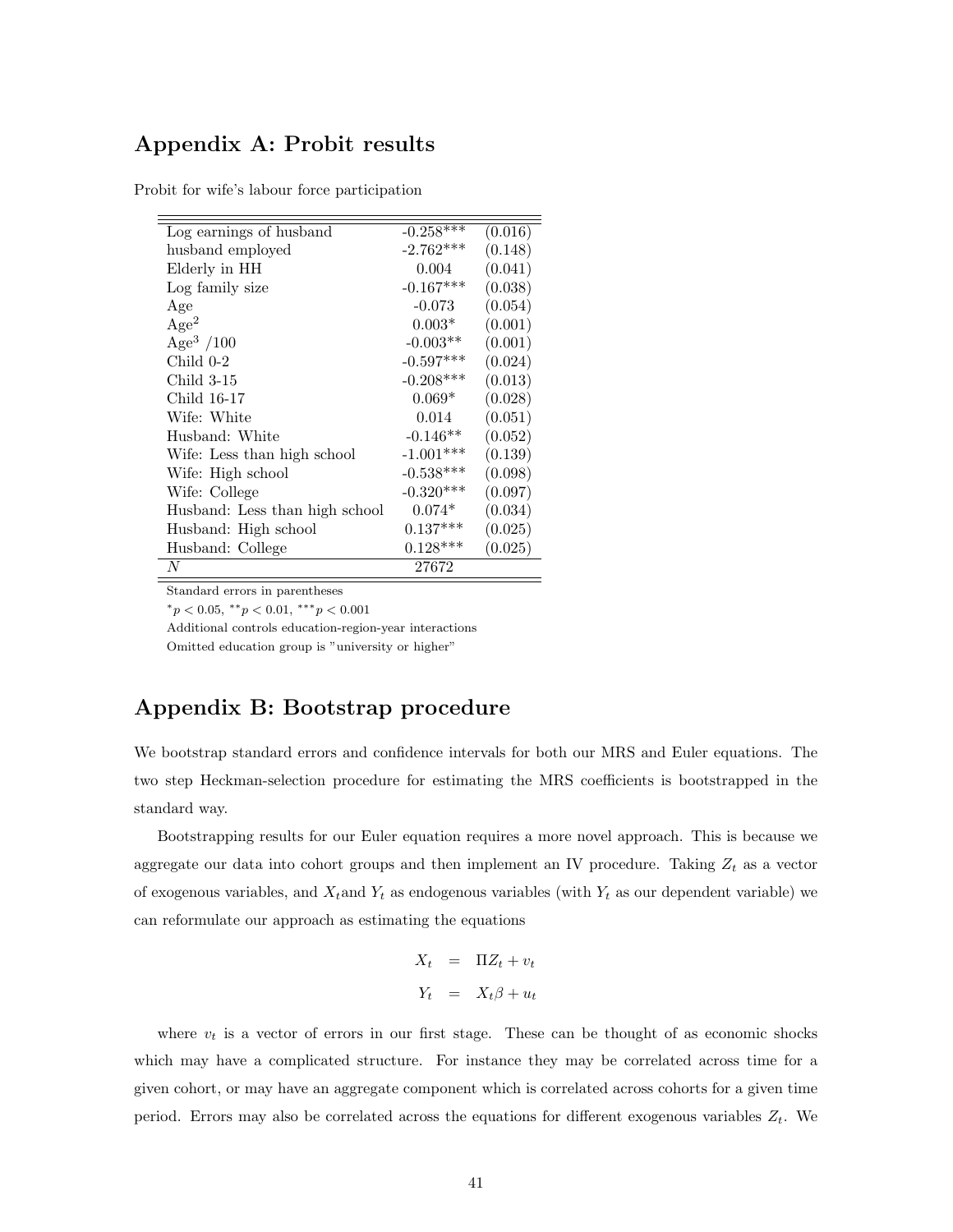## Appendix A: Probit results

Probit for wife's labour force participation

| Log earnings of husband        | $-0.258***$ | (0.016) |
|--------------------------------|-------------|---------|
| husband employed               | $-2.762***$ | (0.148) |
| Elderly in HH                  | 0.004       | (0.041) |
| Log family size                | $-0.167***$ | (0.038) |
| Age                            | $-0.073$    | (0.054) |
| Age <sup>2</sup>               | $0.003*$    | (0.001) |
| Age <sup>3</sup> /100          | $-0.003**$  | (0.001) |
| Child 0-2                      | $-0.597***$ | (0.024) |
| Child 3-15                     | $-0.208***$ | (0.013) |
| Child 16-17                    | $0.069*$    | (0.028) |
| Wife: White                    | 0.014       | (0.051) |
| Husband: White                 | $-0.146**$  | (0.052) |
| Wife: Less than high school    | $-1.001***$ | (0.139) |
| Wife: High school              | $-0.538***$ | (0.098) |
| Wife: College                  | $-0.320***$ | (0.097) |
| Husband: Less than high school | $0.074*$    | (0.034) |
| Husband: High school           | $0.137***$  | (0.025) |
| Husband: College               | $0.128***$  | (0.025) |
| N                              | 27672       |         |

Standard errors in parentheses

 $*_p$  < 0.05,  $*_p$  < 0.01,  $**_p$  < 0.001

Additional controls education-region-year interactions

Omitted education group is "university or higher"

## Appendix B: Bootstrap procedure

We bootstrap standard errors and confidence intervals for both our MRS and Euler equations. The two step Heckman-selection procedure for estimating the MRS coefficients is bootstrapped in the standard way.

Bootstrapping results for our Euler equation requires a more novel approach. This is because we aggregate our data into cohort groups and then implement an IV procedure. Taking  $Z_t$  as a vector of exogenous variables, and  $X_t$  and  $Y_t$  as endogenous variables (with  $Y_t$  as our dependent variable) we can reformulate our approach as estimating the equations

$$
X_t = \Pi Z_t + v_t
$$

$$
Y_t = X_t \beta + u_t
$$

where  $v_t$  is a vector of errors in our first stage. These can be thought of as economic shocks which may have a complicated structure. For instance they may be correlated across time for a given cohort, or may have an aggregate component which is correlated across cohorts for a given time period. Errors may also be correlated across the equations for different exogenous variables  $Z_t$ . We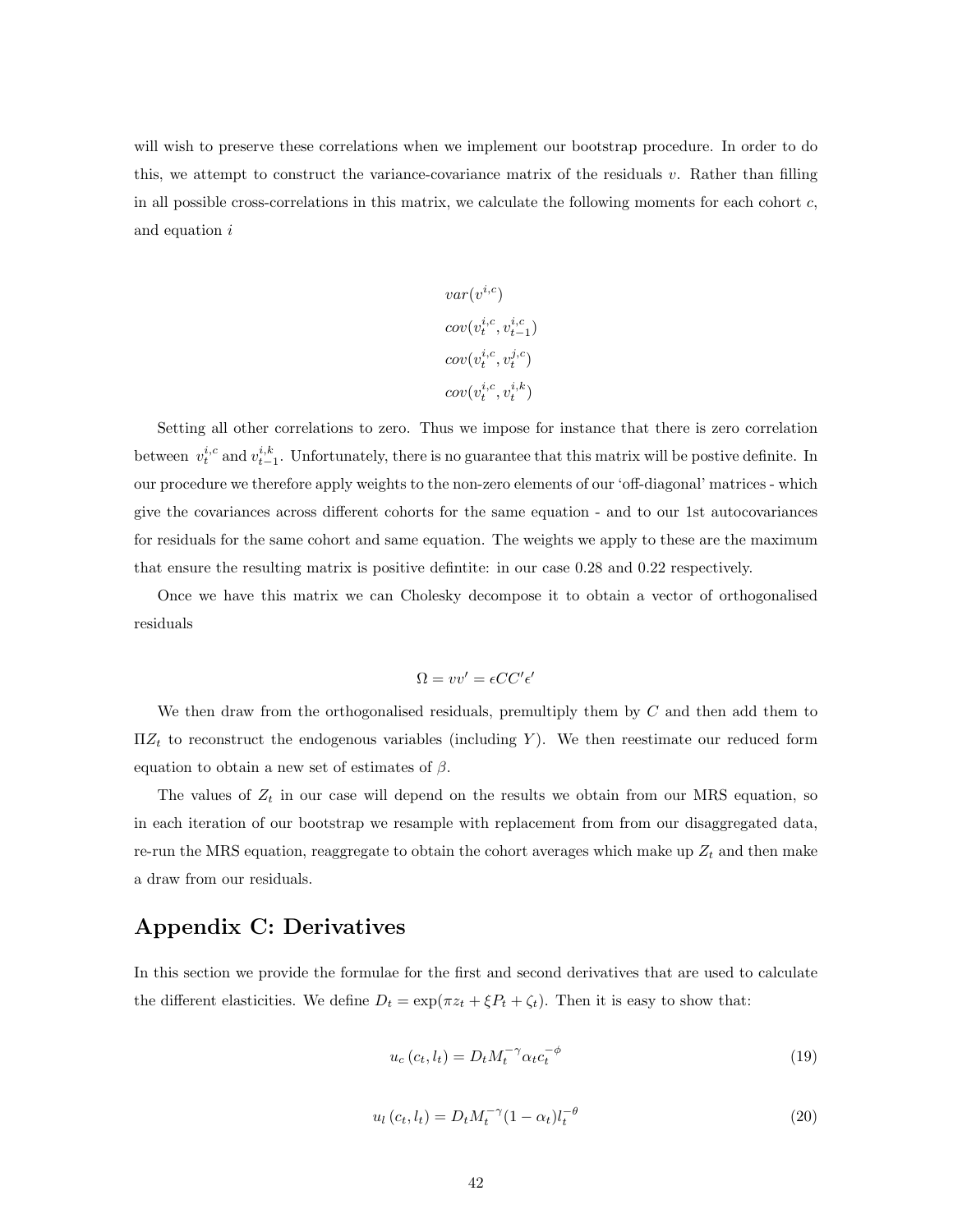will wish to preserve these correlations when we implement our bootstrap procedure. In order to do this, we attempt to construct the variance-covariance matrix of the residuals v. Rather than filling in all possible cross-correlations in this matrix, we calculate the following moments for each cohort  $c$ , and equation i

$$
var(v^{i,c})
$$
  
\n
$$
cov(v_t^{i,c}, v_{t-1}^{i,c})
$$
  
\n
$$
cov(v_t^{i,c}, v_t^{j,c})
$$
  
\n
$$
cov(v_t^{i,c}, v_t^{i,k})
$$

Setting all other correlations to zero. Thus we impose for instance that there is zero correlation between  $v_t^{i,c}$  and  $v_{t-1}^{i,k}$ . Unfortunately, there is no guarantee that this matrix will be postive definite. In our procedure we therefore apply weights to the non-zero elements of our 'off-diagonal' matrices - which give the covariances across different cohorts for the same equation - and to our 1st autocovariances for residuals for the same cohort and same equation. The weights we apply to these are the maximum that ensure the resulting matrix is positive defintite: in our case 0.28 and 0.22 respectively.

Once we have this matrix we can Cholesky decompose it to obtain a vector of orthogonalised residuals

$$
\Omega = vv' = \epsilon C C' \epsilon'
$$

We then draw from the orthogonalised residuals, premultiply them by  $C$  and then add them to  $\Pi Z_t$  to reconstruct the endogenous variables (including Y). We then reestimate our reduced form equation to obtain a new set of estimates of  $\beta$ .

The values of  $Z_t$  in our case will depend on the results we obtain from our MRS equation, so in each iteration of our bootstrap we resample with replacement from from our disaggregated data, re-run the MRS equation, reaggregate to obtain the cohort averages which make up  $Z_t$  and then make a draw from our residuals.

## Appendix C: Derivatives

In this section we provide the formulae for the first and second derivatives that are used to calculate the different elasticities. We define  $D_t = \exp(\pi z_t + \xi P_t + \zeta_t)$ . Then it is easy to show that:

$$
u_c(c_t, l_t) = D_t M_t^{-\gamma} \alpha_t c_t^{-\phi}
$$
\n
$$
(19)
$$

$$
u_l\left(c_t, l_t\right) = D_t M_t^{-\gamma} (1 - \alpha_t) l_t^{-\theta} \tag{20}
$$